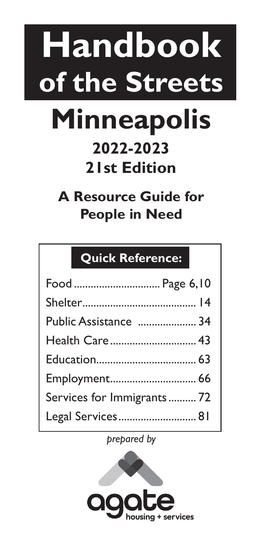# **Handbook of the Streets Minneapolis**

## **2022-2023 21st Edition**

**A Resource Guide for People in Need**

## **Quick Reference:**

| Food  Page 6,10           |  |
|---------------------------|--|
|                           |  |
| Public Assistance  34     |  |
| Health Care 43            |  |
|                           |  |
|                           |  |
| Services for Immigrants72 |  |
| Legal Services 81         |  |

*prepared by* 

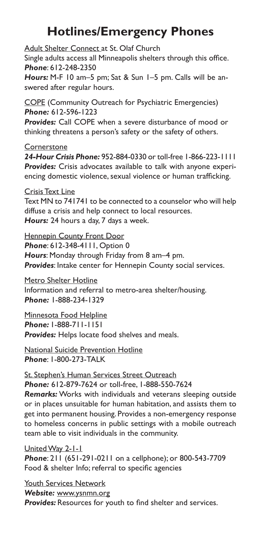## **Hotlines/Emergency Phones**

Adult Shelter Connect at St. Olaf Church Single adults access all Minneapolis shelters through this office. *Phone*: 612-248-2350 *Hours:* M-F 10 am–5 pm; Sat & Sun 1–5 pm. Calls will be answered after regular hours.

COPE (Community Outreach for Psychiatric Emergencies) *Phone:* 612-596-1223

*Provides:* Call COPE when a severe disturbance of mood or thinking threatens a person's safety or the safety of others.

#### **Cornerstone**

*24-Hour Crisis Phone:* 952-884-0330 or toll-free 1-866-223-1111 *Provides:* Crisis advocates available to talk with anyone experiencing domestic violence, sexual violence or human trafficking.

#### Crisis Text Line

Text MN to 741741 to be connected to a counselor who will help diffuse a crisis and help connect to local resources. *Hours:* 24 hours a day, 7 days a week.

**Hennepin County Front Door** *Phone*: 612-348-4111, Option 0

*Hours*: Monday through Friday from 8 am–4 pm. *Provides*: Intake center for Hennepin County social services.

Metro Shelter Hotline Information and referral to metro-area shelter/housing. *Phone:* 1-888-234-1329

Minnesota Food Helpline

*Phone:* 1-888-711-1151

*Provides:* Helps locate food shelves and meals.

National Suicide Prevention Hotline *Phone*: 1-800-273-TALK

#### St. Stephen's Human Services Street Outreach *Phone:* 612-879-7624 or toll-free, 1-888-550-7624

*Remarks:* Works with individuals and veterans sleeping outside or in places unsuitable for human habitation, and assists them to get into permanent housing. Provides a non-emergency response to homeless concerns in public settings with a mobile outreach team able to visit individuals in the community.

#### United Way 2-1-1

*Phone*: 211 (651-291-0211 on a cellphone); or 800-543-7709 Food & shelter Info; referral to specific agencies

Youth Services Network *Website:* www.ysnmn.org *Provides:* Resources for youth to find shelter and services.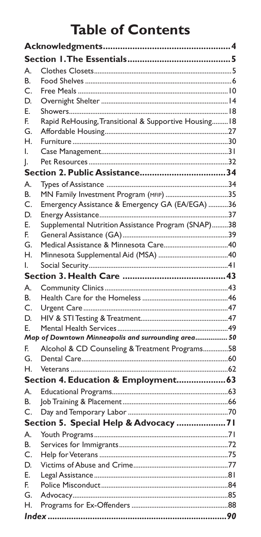## **Table of Contents**

| А. |                                                       |  |
|----|-------------------------------------------------------|--|
| В. |                                                       |  |
| C. |                                                       |  |
| D. |                                                       |  |
| Е. |                                                       |  |
| F. | Rapid ReHousing, Transitional & Supportive Housing 18 |  |
| G. |                                                       |  |
| Н. |                                                       |  |
| I. |                                                       |  |
| I. |                                                       |  |
|    |                                                       |  |
| А. |                                                       |  |
| В. | MN Family Investment Program (MFIP) 35                |  |
| C. | Emergency Assistance & Emergency GA (EA/EGA) 36       |  |
| D. |                                                       |  |
| E. | Supplemental Nutrition Assistance Program (SNAP)38    |  |
| F. |                                                       |  |
| G. |                                                       |  |
| Н. |                                                       |  |
| L. |                                                       |  |
|    |                                                       |  |
| А. |                                                       |  |
| В. |                                                       |  |
| C. |                                                       |  |
| D. |                                                       |  |
| Е. |                                                       |  |
|    | Map of Downtown Minneapolis and surrounding area 50   |  |
| F. | Alcohol & CD Counseling & Treatment Programs58        |  |
| G. |                                                       |  |
| Н. |                                                       |  |
|    | Section 4. Education & Employment 63                  |  |
| А. |                                                       |  |
| В. |                                                       |  |
| C. |                                                       |  |
|    | Section 5. Special Help & Advocacy 71                 |  |
| А. |                                                       |  |
| В. |                                                       |  |
| C. |                                                       |  |
| D. |                                                       |  |
| E. |                                                       |  |
| F. |                                                       |  |
| G. |                                                       |  |
| Н. |                                                       |  |
|    |                                                       |  |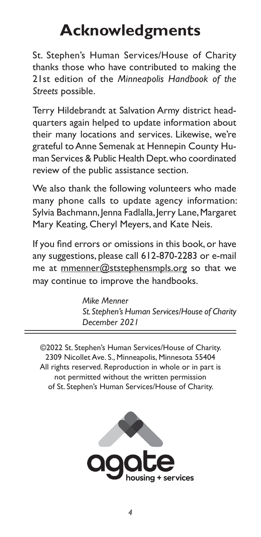## **Acknowledgments**

St. Stephen's Human Services/House of Charity thanks those who have contributed to making the 21st edition of the *Minneapolis Handbook of the Streets* possible.

Terry Hildebrandt at Salvation Army district headquarters again helped to update information about their many locations and services. Likewise, we're grateful to Anne Semenak at Hennepin County Human Services & Public Health Dept. who coordinated review of the public assistance section.

We also thank the following volunteers who made many phone calls to update agency information: Sylvia Bachmann, Jenna Fadlalla, Jerry Lane, Margaret Mary Keating, Cheryl Meyers, and Kate Neis.

If you find errors or omissions in this book, or have any suggestions, please call 612-870-2283 or e-mail me at mmenner@ststephensmpls.org so that we may continue to improve the handbooks.

> *Mike Menner St. Stephen's Human Services/House of Charity December 2021*

©2022 St. Stephen's Human Services/House of Charity. 2309 Nicollet Ave. S., Minneapolis, Minnesota 55404 All rights reserved. Reproduction in whole or in part is not permitted without the written permission of St. Stephen's Human Services/House of Charity.

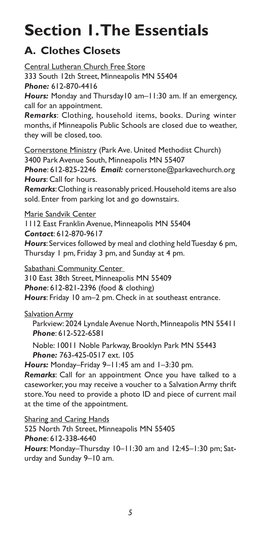## **Section 1. The Essentials**

## **A. Clothes Closets**

Central Lutheran Church Free Store 333 South 12th Street, Minneapolis MN 55404 *Phone:* 612-870-4416 *Hours:* Monday and Thursday10 am–11:30 am. If an emergency, call for an appointment. *Remarks*: Clothing, household items, books. During winter months, if Minneapolis Public Schools are closed due to weather, they will be closed, too. Cornerstone Ministry (Park Ave. United Methodist Church) 3400 Park Avenue South, Minneapolis MN 55407 *Phone*: 612-825-2246 *Email:* cornerstone@parkavechurch.org *Hours*: Call for hours. *Remarks*: Clothing is reasonably priced. Household items are also sold. Enter from parking lot and go downstairs. Marie Sandvik Center 1112 East Franklin Avenue, Minneapolis MN 55404 *Contact*: 612-870-9617 *Hours*: Services followed by meal and clothing held Tuesday 6 pm, Thursday 1 pm, Friday 3 pm, and Sunday at 4 pm. Sabathani Community Center 310 East 38th Street, Minneapolis MN 55409 *Phone*: 612-821-2396 (food & clothing) *Hours*: Friday 10 am–2 pm. Check in at southeast entrance. **Salvation Army** Parkview: 2024 Lyndale Avenue North, Minneapolis MN 55411 *Phone*: 612-522-6581 Noble: 10011 Noble Parkway, Brooklyn Park MN 55443 *Phone:* 763-425-0517 ext. 105 *Hours:* Monday–Friday 9–11:45 am and 1–3:30 pm. *Remarks*: Call for an appointment Once you have talked to a caseworker, you may receive a voucher to a Salvation Army thrift store. You need to provide a photo ID and piece of current mail at the time of the appointment.

**Sharing and Caring Hands** 525 North 7th Street, Minneapolis MN 55405 *Phone*: 612-338-4640 *Hours*: Monday–Thursday 10–11:30 am and 12:45–1:30 pm; Saturday and Sunday 9–10 am.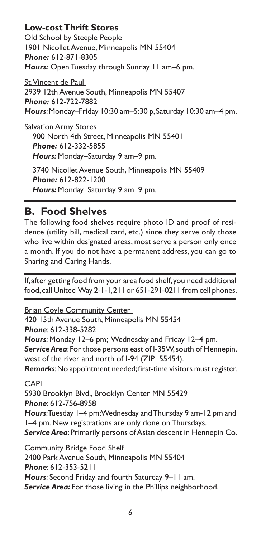#### **Low-cost Thrift Stores**

Old School by Steeple People 1901 Nicollet Avenue, Minneapolis MN 55404 *Phone:* 612-871-8305 *Hours:* Open Tuesday through Sunday 11 am–6 pm.

St. Vincent de Paul 2939 12th Avenue South, Minneapolis MN 55407 *Phone:* 612-722-7882 *Hours*: Monday–Friday 10:30 am–5:30 p, Saturday 10:30 am–4 pm.

Salvation Army Stores 900 North 4th Street, Minneapolis MN 55401 *Phone:* 612-332-5855 *Hours:* Monday–Saturday 9 am–9 pm.

3740 Nicollet Avenue South, Minneapolis MN 55409 *Phone:* 612-822-1200 *Hours:* Monday–Saturday 9 am–9 pm.

### **B. Food Shelves**

The following food shelves require photo ID and proof of residence (utility bill, medical card, etc.) since they serve only those who live within designated areas; most serve a person only once a month. If you do not have a permanent address, you can go to Sharing and Caring Hands.

If, after getting food from your area food shelf, you need additional food, call United Way 2-1-1, 211 or 651-291-0211 from cell phones.

Brian Coyle Community Center

420 15th Avenue South, Minneapolis MN 55454 *Phone*: 612-338-5282 *Hours*: Monday 12–6 pm; Wednesday and Friday 12–4 pm. *Service Area*: For those persons east of I-35W, south of Hennepin, west of the river and north of I-94 (ZIP 55454). *Remarks*: No appointment needed; first-time visitors must register.

CAPI

5930 Brooklyn Blvd., Brooklyn Center MN 55429 *Phone*: 612-756-8958 *Hours*: Tuesday 1–4 pm; Wednesday and Thursday 9 am-12 pm and 1–4 pm. New registrations are only done on Thursdays. *Service Area*: Primarily persons of Asian descent in Hennepin Co.

Community Bridge Food Shelf 2400 Park Avenue South, Minneapolis MN 55404 *Phone*: 612-353-5211 *Hours*: Second Friday and fourth Saturday 9–11 am. Service Area: For those living in the Phillips neighborhood.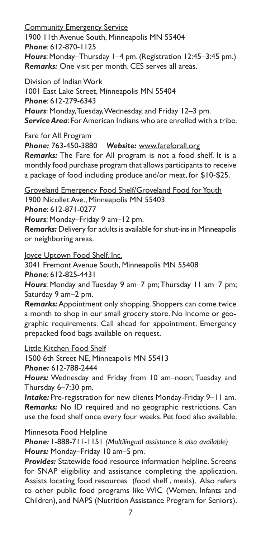Community Emergency Service 1900 11th Avenue South, Minneapolis MN 55404 *Phone*: 612-870-1125 *Hours*: Monday–Thursday 1–4 pm. (Registration 12:45–3:45 pm.) *Remarks:* One visit per month. CES serves all areas.

Division of Indian Work 1001 East Lake Street, Minneapolis MN 55404 *Phone*: 612-279-6343 *Hours*: Monday, Tuesday, Wednesday, and Friday 12–3 pm. *Service Area*: For American Indians who are enrolled with a tribe.

Fare for All Program

*Phone:* 763-450-3880 *Website:* www.fareforall.org

*Remarks:* The Fare for All program is not a food shelf. It is a monthly food purchase program that allows participants to receive a package of food including produce and/or meat, for \$10-\$25.

Groveland Emergency Food Shelf/Groveland Food for Youth 1900 Nicollet Ave., Minneapolis MN 55403 *Phone*: 612-871-0277 *Hours*: Monday–Friday 9 am–12 pm.

*Remarks:* Delivery for adults is available for shut-ins in Minneapolis or neighboring areas.

Joyce Uptown Food Shelf, Inc.

3041 Fremont Avenue South, Minneapolis MN 55408 *Phone*: 612-825-4431

*Hours*: Monday and Tuesday 9 am–7 pm; Thursday 11 am–7 pm; Saturday 9 am–2 pm.

*Remarks:* Appointment only shopping. Shoppers can come twice a month to shop in our small grocery store. No Income or geographic requirements. Call ahead for appointment. Emergency prepacked food bags available on request.

Little Kitchen Food Shelf

1500 6th Street NE, Minneapolis MN 55413

*Phone:* 612-788-2444

*Hours:* Wednesday and Friday from 10 am–noon; Tuesday and Thursday 6–7:30 pm.

*Intake:* Pre-registration for new clients Monday-Friday 9–11 am. *Remarks:* No ID required and no geographic restrictions. Can use the food shelf once every four weeks. Pet food also available.

#### Minnesota Food Helpline

*Phone:* 1-888-711-1151 *(Multilingual assistance is also available) Hours:* Monday–Friday 10 am–5 pm.

*Provides:* Statewide food resource information helpline. Screens for SNAP eligibility and assistance completing the application. Assists locating food resources (food shelf , meals). Also refers to other public food programs like WIC (Women, Infants and Children), and NAPS (Nutrition Assistance Program for Seniors).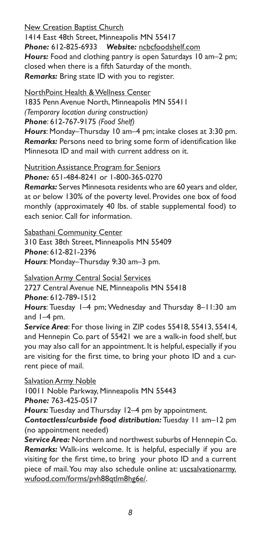New Creation Baptist Church

1414 East 48th Street, Minneapolis MN 55417 *Phone:* 612-825-6933 *Website:* ncbcfoodshelf.com *Hours:* Food and clothing pantry is open Saturdays 10 am–2 pm; closed when there is a fifth Saturday of the month. *Remarks:* Bring state ID with you to register.

NorthPoint Health & Wellness Center

1835 Penn Avenue North, Minneapolis MN 55411 *(Temporary location during construction) Phone*: 612-767-9175 *(Food Shelf)*

*Hours*: Monday–Thursday 10 am–4 pm; intake closes at 3:30 pm. *Remarks:* Persons need to bring some form of identification like Minnesota ID and mail with current address on it.

Nutrition Assistance Program for Seniors *Phone:* 651-484-8241 or 1-800-365-0270

*Remarks:* Serves Minnesota residents who are 60 years and older, at or below 130% of the poverty level. Provides one box of food monthly (approximately 40 lbs. of stable supplemental food) to each senior. Call for information.

Sabathani Community Center

310 East 38th Street, Minneapolis MN 55409 *Phone*: 612-821-2396 *Hours*: Monday–Thursday 9:30 am–3 pm.

Salvation Army Central Social Services

2727 Central Avenue NE, Minneapolis MN 55418

*Phone*: 612-789-1512

*Hours*: Tuesday 1–4 pm; Wednesday and Thursday 8–11:30 am and 1–4 pm.

*Service Area*: For those living in ZIP codes 55418, 55413, 55414, and Hennepin Co. part of 55421 we are a walk-in food shelf, but you may also call for an appointment. It is helpful, especially if you are visiting for the first time, to bring your photo ID and a current piece of mail.

Salvation Army Noble 10011 Noble Parkway, Minneapolis MN 55443 *Phone:* 763-425-0517

*Hours:* Tuesday and Thursday 12–4 pm by appointment.

*Contactless/curbside food distribution:* Tuesday 11 am–12 pm (no appointment needed)

*Service Area:* Northern and northwest suburbs of Hennepin Co. *Remarks:* Walk-ins welcome. It is helpful, especially if you are visiting for the first time, to bring your photo ID and a current piece of mail. You may also schedule online at: uscsalvationarmy. wufood.com/forms/pvh88qtlm8hg6e/.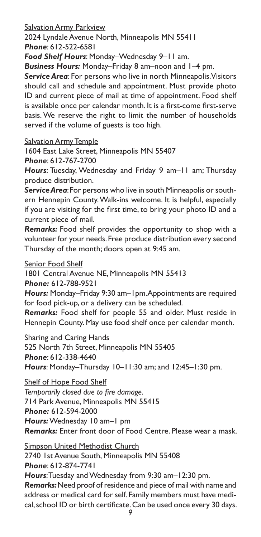Salvation Army Parkview

2024 Lyndale Avenue North, Minneapolis MN 55411 *Phone*: 612-522-6581

*Food Shelf Hours*: Monday–Wednesday 9–11 am.

*Business Hours:* Monday–Friday 8 am–noon and 1–4 pm.

*Service Area*: For persons who live in north Minneapolis. Visitors should call and schedule and appointment. Must provide photo ID and current piece of mail at time of appointment. Food shelf is available once per calendar month. It is a first-come first-serve basis. We reserve the right to limit the number of households served if the volume of guests is too high.

Salvation Army Temple

1604 East Lake Street, Minneapolis MN 55407

*Phone*: 612-767-2700

*Hours*: Tuesday, Wednesday and Friday 9 am–11 am; Thursday produce distribution.

*Service Area*: For persons who live in south Minneapolis or southern Hennepin County. Walk-ins welcome. It is helpful, especially if you are visiting for the first time, to bring your photo ID and a current piece of mail.

*Remarks:* Food shelf provides the opportunity to shop with a volunteer for your needs. Free produce distribution every second Thursday of the month; doors open at 9:45 am.

Senior Food Shelf

1801 Central Avenue NE, Minneapolis MN 55413

*Phone:* 612-788-9521

*Hours:* Monday–Friday 9:30 am–1pm. Appointments are required for food pick-up, or a delivery can be scheduled.

*Remarks:* Food shelf for people 55 and older. Must reside in Hennepin County. May use food shelf once per calendar month.

Sharing and Caring Hands

525 North 7th Street, Minneapolis MN 55405 *Phone*: 612-338-4640 *Hours*: Monday–Thursday 10–11:30 am; and 12:45–1:30 pm.

Shelf of Hope Food Shelf

*Temporarily closed due to fire damage.*

714 Park Avenue, Minneapolis MN 55415

*Phone:* 612-594-2000

*Hours:* Wednesday 10 am–1 pm

*Remarks:* Enter front door of Food Centre. Please wear a mask.

Simpson United Methodist Church 2740 1st Avenue South, Minneapolis MN 55408 *Phone*: 612-874-7741 *Hours*: Tuesday and Wednesday from 9:30 am–12:30 pm. *Remarks:* Need proof of residence and piece of mail with name and address or medical card for self. Family members must have medi-

cal, school ID or birth certificate. Can be used once every 30 days.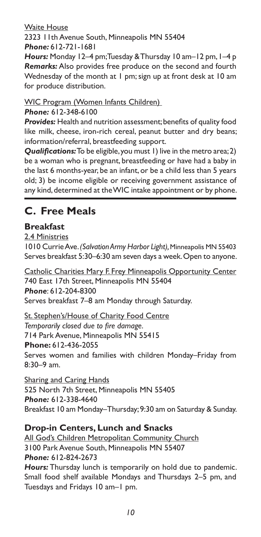#### Waite House

2323 11th Avenue South, Minneapolis MN 55404 *Phone:* 612-721-1681

*Hours:* Monday 12–4 pm; Tuesday & Thursday 10 am–12 pm, 1–4 p *Remarks:* Also provides free produce on the second and fourth Wednesday of the month at 1 pm; sign up at front desk at 10 am for produce distribution.

WIC Program (Women Infants Children)

*Phone:* 612-348-6100

*Provides:* Health and nutrition assessment; benefits of quality food like milk, cheese, iron-rich cereal, peanut butter and dry beans; information/referral, breastfeeding support.

*Qualifications:* To be eligible, you must 1) live in the metro area; 2) be a woman who is pregnant, breastfeeding or have had a baby in the last 6 months-year, be an infant, or be a child less than 5 years old; 3) be income eligible or receiving government assistance of any kind, determined at the WIC intake appointment or by phone.

## **C. Free Meals**

#### **Breakfast**

2.4 Ministries 1010 Currie Ave. *(Salvation Army Harbor Light),* Minneapolis MN 55403 Serves breakfast 5:30–6:30 am seven days a week. Open to anyone.

Catholic Charities Mary F. Frey Minneapolis Opportunity Center 740 East 17th Street, Minneapolis MN 55404 *Phone*: 612-204-8300 Serves breakfast 7–8 am Monday through Saturday.

St. Stephen's/House of Charity Food Centre *Temporarily closed due to fire damage.* 714 Park Avenue, Minneapolis MN 55415 **Phone:** 612-436-2055 Serves women and families with children Monday–Friday from 8:30–9 am.

Sharing and Caring Hands 525 North 7th Street, Minneapolis MN 55405 *Phone:* 612-338-4640 Breakfast 10 am Monday–Thursday; 9:30 am on Saturday & Sunday.

#### **Drop-in Centers, Lunch and Snacks**

All God's Children Metropolitan Community Church 3100 Park Avenue South, Minneapolis MN 55407 *Phone:* 612-824-2673 *Hours:* Thursday lunch is temporarily on hold due to pandemic. Small food shelf available Mondays and Thursdays 2–5 pm, and Tuesdays and Fridays 10 am–1 pm.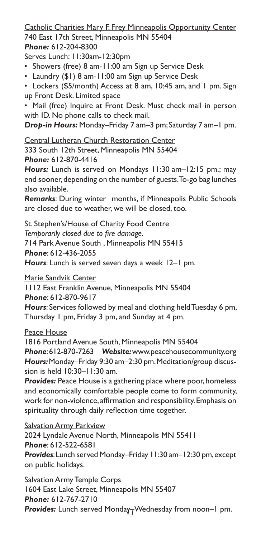#### Catholic Charities Mary F. Frey Minneapolis Opportunity Center 740 East 17th Street, Minneapolis MN 55404

#### *Phone:* 612-204-8300

Serves Lunch: 11:30am-12:30pm

- Showers (free) 8 am-11:00 am Sign up Service Desk
- Laundry (\$1) 8 am-11:00 am Sign up Service Desk
- Lockers (\$5/month) Access at 8 am, 10:45 am, and 1 pm. Sign up Front Desk. Limited space

• Mail (free) Inquire at Front Desk. Must check mail in person with ID. No phone calls to check mail.

*Drop-in Hours:* Monday–Friday 7 am–3 pm; Saturday 7 am–1 pm.

Central Lutheran Church Restoration Center 333 South 12th Street, Minneapolis MN 55404 *Phone:* 612-870-4416

*Hours:* Lunch is served on Mondays 11:30 am–12:15 pm.; may end sooner, depending on the number of guests. To-go bag lunches also available.

*Remarks*: During winter months, if Minneapolis Public Schools are closed due to weather, we will be closed, too.

St. Stephen's/House of Charity Food Centre

*Temporarily closed due to fire damage.*

714 Park Avenue South , Minneapolis MN 55415 *Phone*: 612-436-2055

*Hours*: Lunch is served seven days a week 12–1 pm.

Marie Sandvik Center

1112 East Franklin Avenue, Minneapolis MN 55404 *Phone*: 612-870-9617

*Hours*: Services followed by meal and clothing held Tuesday 6 pm, Thursday 1 pm, Friday 3 pm, and Sunday at 4 pm.

#### Peace House

1816 Portland Avenue South, Minneapolis MN 55404 *Phone*: 612-870-7263 *Website:* www.peacehousecommunity.org *Hours:* Monday–Friday 9:30 am–2:30 pm. Meditation/group discussion is held 10:30–11:30 am.

*Provides:* Peace House is a gathering place where poor, homeless and economically comfortable people come to form community, work for non-violence, affirmation and responsibility. Emphasis on spirituality through daily reflection time together.

#### Salvation Army Parkview

2024 Lyndale Avenue North, Minneapolis MN 55411 *Phone*: 612-522-6581

*Provides*: Lunch served Monday–Friday 11:30 am–12:30 pm, except on public holidays.

*11 Provides:* Lunch served Monday–Wednesday from noon–1 pm.Salvation Army Temple Corps 1604 East Lake Street, Minneapolis MN 55407 *Phone:* 612-767-2710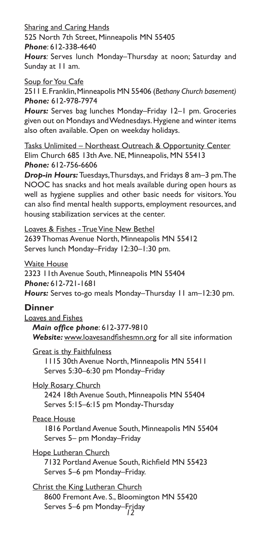Sharing and Caring Hands

525 North 7th Street, Minneapolis MN 55405

*Phone*: 612-338-4640

*Hours:* Serves lunch Monday–Thursday at noon; Saturday and Sunday at 11 am.

Soup for You Cafe

2511 E. Franklin, Minneapolis MN 55406 (*Bethany Church basement) Phone:* 612-978-7974

*Hours:* Serves bag lunches Monday–Friday 12–1 pm. Groceries given out on Mondays and Wednesdays. Hygiene and winter items also often available. Open on weekday holidays.

Tasks Unlimited – Northeast Outreach & Opportunity Center Elim Church 685 13th Ave. NE, Minneapolis, MN 55413 *Phone:* 612-756-6606

*Drop-in Hours:* Tuesdays, Thursdays, and Fridays 8 am–3 pm. The NOOC has snacks and hot meals available during open hours as well as hygiene supplies and other basic needs for visitors. You can also find mental health supports, employment resources, and housing stabilization services at the center.

Loaves & Fishes - True Vine New Bethel 2639 Thomas Avenue North, Minneapolis MN 55412 Serves lunch Monday–Friday 12:30–1:30 pm.

Waite House

2323 11th Avenue South, Minneapolis MN 55404 *Phone:* 612-721-1681 *Hours:* Serves to-go meals Monday–Thursday 11 am–12:30 pm.

#### **Dinner**

Loaves and Fishes *Main office phone*: 612-377-9810 *Website:* www.loavesandfishesmn.org for all site information

Great is thy Faithfulness 1115 30th Avenue North, Minneapolis MN 55411 Serves 5:30–6:30 pm Monday–Friday

Holy Rosary Church 2424 18th Avenue South, Minneapolis MN 55404 Serves 5:15–6:15 pm Monday-Thursday

Peace House

1816 Portland Avenue South, Minneapolis MN 55404 Serves 5– pm Monday–Friday

Hope Lutheran Church 7132 Portland Avenue South, Richfield MN 55423 Serves 5–6 pm Monday–Friday.

*12* Serves 5–6 pm Monday–FridayChrist the King Lutheran Church 8600 Fremont Ave. S., Bloomington MN 55420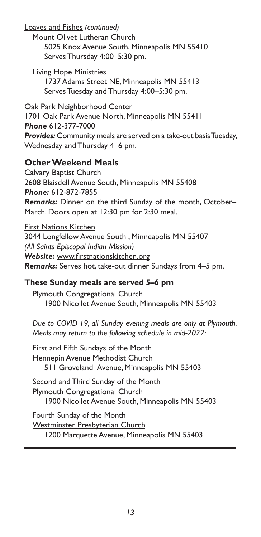Loaves and Fishes *(continued)*

Mount Olivet Lutheran Church 5025 Knox Avenue South, Minneapolis MN 55410 Serves Thursday 4:00–5:30 pm.

Living Hope Ministries 1737 Adams Street NE, Minneapolis MN 55413 Serves Tuesday and Thursday 4:00–5:30 pm.

Oak Park Neighborhood Center 1701 Oak Park Avenue North, Minneapolis MN 55411 *Phone* 612-377-7000 *Provides:* Community meals are served on a take-out basis Tuesday, Wednesday and Thursday 4–6 pm.

#### **Other Weekend Meals**

Calvary Baptist Church 2608 Blaisdell Avenue South, Minneapolis MN 55408 *Phone:* 612-872-7855 *Remarks:* Dinner on the third Sunday of the month, October– March. Doors open at 12:30 pm for 2:30 meal.

First Nations Kitchen 3044 Longfellow Avenue South , Minneapolis MN 55407 *(All Saints Episcopal Indian Mission) Website:* www.firstnationskitchen.org *Remarks:* Serves hot, take-out dinner Sundays from 4–5 pm.

#### **These Sunday meals are served 5–6 pm**

Plymouth Congregational Church 1900 Nicollet Avenue South, Minneapolis MN 55403

*Due to COVID-19, all Sunday evening meals are only at Plymouth. Meals may return to the following schedule in mid-2022:*

First and Fifth Sundays of the Month Hennepin Avenue Methodist Church 511 Groveland Avenue, Minneapolis MN 55403

Second and Third Sunday of the Month Plymouth Congregational Church 1900 Nicollet Avenue South, Minneapolis MN 55403

Fourth Sunday of the Month Westminster Presbyterian Church 1200 Marquette Avenue, Minneapolis MN 55403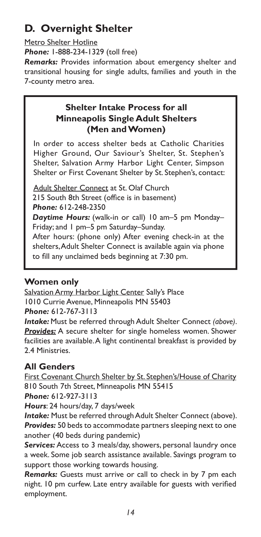## **D. Overnight Shelter**

#### Metro Shelter Hotline

*Phone:* 1-888-234-1329 (toll free)

*Remarks:* Provides information about emergency shelter and transitional housing for single adults, families and youth in the 7-county metro area.

#### **Shelter Intake Process for all Minneapolis Single Adult Shelters (Men and Women)**

In order to access shelter beds at Catholic Charities Higher Ground, Our Saviour's Shelter, St. Stephen's Shelter, Salvation Army Harbor Light Center, Simpson Shelter or First Covenant Shelter by St. Stephen's, contact:

Adult Shelter Connect at St. Olaf Church 215 South 8th Street (office is in basement) *Phone:* 612-248-2350 *Daytime Hours:* (walk-in or call) 10 am–5 pm Monday– Friday; and 1 pm–5 pm Saturday–Sunday. After hours: (phone only) After evening check-in at the shelters, Adult Shelter Connect is available again via phone to fill any unclaimed beds beginning at 7:30 pm.

#### **Women only**

Salvation Army Harbor Light Center Sally's Place 1010 Currie Avenue, Minneapolis MN 55403 *Phone:* 612-767-3113

*Intake:* Must be referred through Adult Shelter Connect *(above)*. *Provides:* A secure shelter for single homeless women. Shower facilities are available. A light continental breakfast is provided by 2.4 Ministries.

#### **All Genders**

First Covenant Church Shelter by St. Stephen's/House of Charity 810 South 7th Street, Minneapolis MN 55415

*Phone:* 612-927-3113

*Hours*: 24 hours/day, 7 days/week

*Intake:* Must be referred through Adult Shelter Connect (above). *Provides:* 50 beds to accommodate partners sleeping next to one another (40 beds during pandemic)

*Services:* Access to 3 meals/day, showers, personal laundry once a week. Some job search assistance available. Savings program to support those working towards housing.

*Remarks:* Guests must arrive or call to check in by 7 pm each night. 10 pm curfew. Late entry available for guests with verified employment.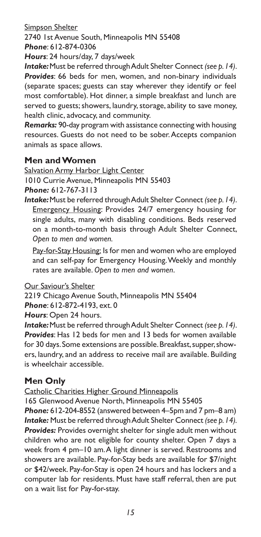Simpson Shelter

2740 1st Avenue South, Minneapolis MN 55408 *Phone*: 612-874-0306

*Hours*: 24 hours/day, 7 days/week

*Intake:* Must be referred through Adult Shelter Connect *(see p. 14)*. *Provides*: 66 beds for men, women, and non-binary individuals (separate spaces; guests can stay wherever they identify or feel most comfortable). Hot dinner, a simple breakfast and lunch are served to guests; showers, laundry, storage, ability to save money, health clinic, advocacy, and community.

*Remarks:* 90-day program with assistance connecting with housing resources. Guests do not need to be sober. Accepts companion animals as space allows.

#### **Men and Women**

Salvation Army Harbor Light Center

1010 Currie Avenue, Minneapolis MN 55403

*Phone:* 612-767-3113

*Intake:* Must be referred through Adult Shelter Connect *(see p. 14)*. Emergency Housing: Provides 24/7 emergency housing for single adults, many with disabling conditions. Beds reserved on a month-to-month basis through Adult Shelter Connect, *Open to men and women.* 

Pay-for-Stay Housing: Is for men and women who are employed and can self-pay for Emergency Housing. Weekly and monthly rates are available. *Open to men and women*.

Our Saviour's Shelter

2219 Chicago Avenue South, Minneapolis MN 55404 *Phone*: 612-872-4193, ext. 0

*Hours*: Open 24 hours.

*Intake:* Must be referred through Adult Shelter Connect *(see p. 14)*. *Provides*: Has 12 beds for men and 13 beds for women available for 30 days. Some extensions are possible. Breakfast, supper, showers, laundry, and an address to receive mail are available. Building is wheelchair accessible.

#### **Men Only**

Catholic Charities Higher Ground Minneapolis

165 Glenwood Avenue North, Minneapolis MN 55405

*Phone:* 612-204-8552 (answered between 4–5pm and 7 pm–8 am) *Intake:* Must be referred through Adult Shelter Connect *(see p. 14). Provides:* Provides overnight shelter for single adult men without children who are not eligible for county shelter. Open 7 days a week from 4 pm–10 am. A light dinner is served. Restrooms and showers are available. Pay-for-Stay beds are available for \$7/night or \$42/week. Pay-for-Stay is open 24 hours and has lockers and a computer lab for residents. Must have staff referral, then are put on a wait list for Pay-for-stay.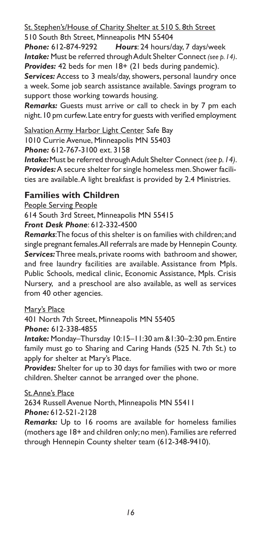St. Stephen's/House of Charity Shelter at 510 S. 8th Street

510 South 8th Street, Minneapolis MN 55404

*Phone:* 612-874-9292 *Hours*: 24 hours/day, 7 days/week *Intake:* Must be referred through Adult Shelter Connect *(see p. 14)*. **Provides:** 42 beds for men 18+ (21 beds during pandemic).

**Services:** Access to 3 meals/day, showers, personal laundry once a week. Some job search assistance available. Savings program to support those working towards housing.

*Remarks:* Guests must arrive or call to check in by 7 pm each night. 10 pm curfew. Late entry for guests with verified employment

Salvation Army Harbor Light Center Safe Bay 1010 Currie Avenue, Minneapolis MN 55403

*Phone:* 612-767-3100 ext. 3158

*Intake:* Must be referred through Adult Shelter Connect *(see p. 14)*. *Provides:* A secure shelter for single homeless men. Shower facilities are available. A light breakfast is provided by 2.4 Ministries.

#### **Families with Children**

People Serving People 614 South 3rd Street, Minneapolis MN 55415 *Front Desk Phone*: 612-332-4500

*Remarks*: The focus of this shelter is on families with children; and single pregnant females. All referrals are made by Hennepin County. *Services:* Three meals, private rooms with bathroom and shower, and free laundry facilities are available. Assistance from Mpls. Public Schools, medical clinic, Economic Assistance, Mpls. Crisis Nursery, and a preschool are also available, as well as services from 40 other agencies.

#### Mary's Place

401 North 7th Street, Minneapolis MN 55405 *Phone:* 612-338-4855

*Intake:* Monday–Thursday 10:15–11:30 am &1:30–2:30 pm. Entire family must go to Sharing and Caring Hands (525 N. 7th St.) to apply for shelter at Mary's Place.

*Provides:* Shelter for up to 30 days for families with two or more children. Shelter cannot be arranged over the phone.

#### St. Anne's Place

2634 Russell Avenue North, Minneapolis MN 55411 *Phone:* 612-521-2128

*Remarks:* Up to 16 rooms are available for homeless families (mothers age 18+ and children only; no men). Families are referred through Hennepin County shelter team (612-348-9410).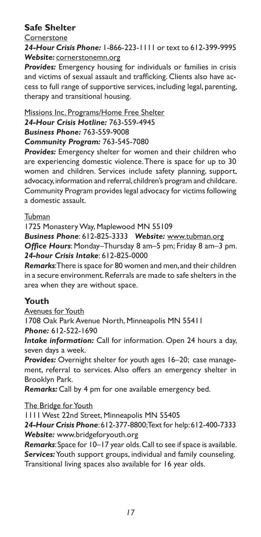#### **Safe Shelter**

#### **Cornerstone**

*24-Hour Crisis Phone:* 1-866-223-1111 or text to 612-399-9995 *Website:* cornerstonemn.org

*Provides:* Emergency housing for individuals or families in crisis and victims of sexual assault and trafficking. Clients also have access to full range of supportive services, including legal, parenting, therapy and transitional housing.

#### Missions Inc. Programs/Home Free Shelter

*24-Hour Crisis Hotline:* 763-559-4945 *Business Phone:* 763-559-9008

#### *Community Program:* 763-545-7080

*Provides:* Emergency shelter for women and their children who are experiencing domestic violence. There is space for up to 30 women and children. Services include safety planning, support, advocacy, information and referral, children's program and childcare. Community Program provides legal advocacy for victims following a domestic assault.

#### Tubman

1725 Monastery Way, Maplewood MN 55109

*Business Phone*: 612-825-3333 *Website:* www.tubman.org *Office Hours*: Monday–Thursday 8 am–5 pm; Friday 8 am–3 pm. *24-hour Crisis Intake*: 612-825-0000

*Remarks*: There is space for 80 women and men, and their children in a secure environment. Referrals are made to safe shelters in the area when they are without space.

#### **Youth**

Avenues for Youth 1708 Oak Park Avenue North, Minneapolis MN 55411 *Phone:* 612-522-1690

*Intake information:* Call for information. Open 24 hours a day, seven days a week.

*Provides:* Overnight shelter for youth ages 16–20; case management, referral to services. Also offers an emergency shelter in Brooklyn Park.

*Remarks:* Call by 4 pm for one available emergency bed.

The Bridge for Youth

1111 West 22nd Street, Minneapolis MN 55405

*24-Hour Crisis Phone*: 612-377-8800; Text for help: 612-400-7333 *Website:* www.bridgeforyouth.org

*Remarks*: Space for 10–17 year olds. Call to see if space is available. *Services:* Youth support groups, individual and family counseling.

Transitional living spaces also available for 16 year olds.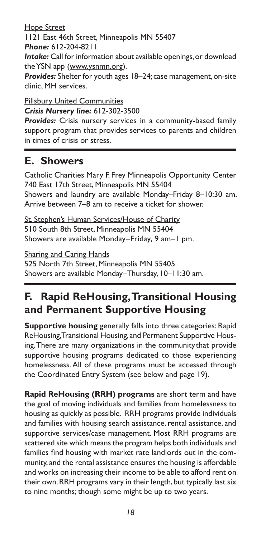Hope Street 1121 East 46th Street, Minneapolis MN 55407 *Phone:* 612-204-8211 *Intake:* Call for information about available openings, or download the YSN app (www.ysnmn.org). *Provides:* Shelter for youth ages 18–24; case management, on-site clinic, MH services.

Pillsbury United Communities *Crisis Nursery line:* 612-302-3500 *Provides:* Crisis nursery services in a community-based family

support program that provides services to parents and children in times of crisis or stress.

### **E. Showers**

Catholic Charities Mary F. Frey Minneapolis Opportunity Center 740 East 17th Street, Minneapolis MN 55404 Showers and laundry are available Monday–Friday 8–10:30 am. Arrive between 7–8 am to receive a ticket for shower.

St. Stephen's Human Services/House of Charity 510 South 8th Street, Minneapolis MN 55404 Showers are available Monday–Friday, 9 am–1 pm.

Sharing and Caring Hands 525 North 7th Street, Minneapolis MN 55405 Showers are available Monday–Thursday, 10–11:30 am.

## **F. Rapid ReHousing, Transitional Housing and Permanent Supportive Housing**

**Supportive housing** generally falls into three categories: Rapid ReHousing, Transitional Housing, and Permanent Supportive Housing. There are many organizations in the communitythat provide supportive housing programs dedicated to those experiencing homelessness. All of these programs must be accessed through the Coordinated Entry System (see below and page 19).

**Rapid ReHousing (RRH) programs** are short term and have the goal of moving individuals and families from homelessness to housing as quickly as possible. RRH programs provide individuals and families with housing search assistance, rental assistance, and supportive services/case management. Most RRH programs are scattered site which means the program helps both individuals and families find housing with market rate landlords out in the community, and the rental assistance ensures the housing is affordable and works on increasing their income to be able to afford rent on their own. RRH programs vary in their length, but typically last six to nine months; though some might be up to two years.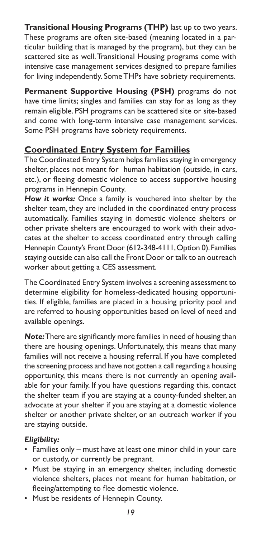**Transitional Housing Programs (THP)** last up to two years. These programs are often site-based (meaning located in a particular building that is managed by the program), but they can be scattered site as well. Transitional Housing programs come with intensive case management services designed to prepare families for living independently. Some THPs have sobriety requirements.

**Permanent Supportive Housing (PSH)** programs do not have time limits; singles and families can stay for as long as they remain eligible. PSH programs can be scattered site or site-based and come with long-term intensive case management services. Some PSH programs have sobriety requirements.

#### **Coordinated Entry System for Families**

The Coordinated Entry System helps families staying in emergency shelter, places not meant for human habitation (outside, in cars, etc.), or fleeing domestic violence to access supportive housing programs in Hennepin County.

*How it works:* Once a family is vouchered into shelter by the shelter team, they are included in the coordinated entry process automatically. Families staying in domestic violence shelters or other private shelters are encouraged to work with their advocates at the shelter to access coordinated entry through calling Hennepin County's Front Door (612-348-4111, Option 0). Families staying outside can also call the Front Door or talk to an outreach worker about getting a CES assessment.

The Coordinated Entry System involves a screening assessment to determine eligibility for homeless-dedicated housing opportunities. If eligible, families are placed in a housing priority pool and are referred to housing opportunities based on level of need and available openings.

*Note:* There are significantly more families in need of housing than there are housing openings. Unfortunately, this means that many families will not receive a housing referral. If you have completed the screening process and have not gotten a call regarding a housing opportunity, this means there is not currently an opening available for your family. If you have questions regarding this, contact the shelter team if you are staying at a county-funded shelter, an advocate at your shelter if you are staying at a domestic violence shelter or another private shelter, or an outreach worker if you are staying outside.

#### *Eligibility:*

- Families only must have at least one minor child in your care or custody, or currently be pregnant.
- Must be staying in an emergency shelter, including domestic violence shelters, places not meant for human habitation, or fleeing/attempting to flee domestic violence.
- Must be residents of Hennepin County.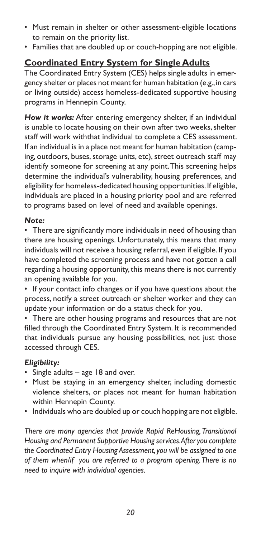- Must remain in shelter or other assessment-eligible locations to remain on the priority list.
- Families that are doubled up or couch-hopping are not eligible.

#### **Coordinated Entry System for Single Adults**

The Coordinated Entry System (CES) helps single adults in emergency shelter or places not meant for human habitation (e.g., in cars or living outside) access homeless-dedicated supportive housing programs in Hennepin County.

*How it works:* After entering emergency shelter, if an individual is unable to locate housing on their own after two weeks, shelter staff will work withthat individual to complete a CES assessment. If an individual is in a place not meant for human habitation (camping, outdoors, buses, storage units, etc), street outreach staff may identify someone for screening at any point. This screening helps determine the individual's vulnerability, housing preferences, and eligibility for homeless-dedicated housing opportunities. If eligible, individuals are placed in a housing priority pool and are referred to programs based on level of need and available openings.

#### *Note:*

• There are significantly more individuals in need of housing than there are housing openings. Unfortunately, this means that many individuals will not receive a housing referral, even if eligible. If you have completed the screening process and have not gotten a call regarding a housing opportunity, this means there is not currently an opening available for you.

• If your contact info changes or if you have questions about the process, notify a street outreach or shelter worker and they can update your information or do a status check for you.

• There are other housing programs and resources that are not filled through the Coordinated Entry System. It is recommended that individuals pursue any housing possibilities, not just those accessed through CES.

#### *Eligibility:*

- Single adults age 18 and over.
- Must be staying in an emergency shelter, including domestic violence shelters, or places not meant for human habitation within Hennepin County.
- Individuals who are doubled up or couch hopping are not eligible.

*There are many agencies that provide Rapid ReHousing, Transitional Housing and Permanent Supportive Housing services. After you complete the Coordinated Entry Housing Assessment, you will be assigned to one of them when/if you are referred to a program opening. There is no need to inquire with individual agencies.*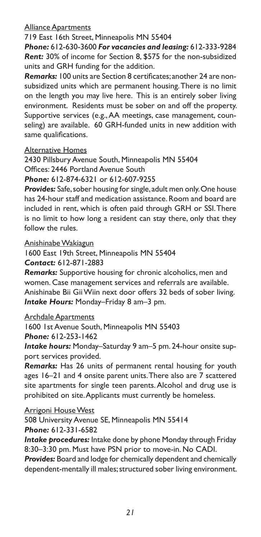#### Alliance Apartments

719 East 16th Street, Minneapolis MN 55404

*Phone:* 612-630-3600 *For vacancies and leasing:* 612-333-9284 *Rent:* 30% of income for Section 8, \$575 for the non-subsidized units and GRH funding for the addition.

*Remarks:* 100 units are Section 8 certificates; another 24 are nonsubsidized units which are permanent housing. There is no limit on the length you may live here. This is an entirely sober living environment. Residents must be sober on and off the property. Supportive services (e.g., AA meetings, case management, counseling) are available. 60 GRH-funded units in new addition with same qualifications.

#### Alternative Homes

2430 Pillsbury Avenue South, Minneapolis MN 55404 Offices: 2446 Portland Avenue South *Phone:* 612-874-6321 or 612-607-9255

*Provides:* Safe, sober housing for single, adult men only. One house has 24-hour staff and medication assistance. Room and board are included in rent, which is often paid through GRH or SSI. There is no limit to how long a resident can stay there, only that they follow the rules.

Anishinabe Wakiagun

1600 East 19th Street, Minneapolis MN 55404 *Contact:* 612-871-2883

*Remarks:* Supportive housing for chronic alcoholics, men and women. Case management services and referrals are available. Anishinabe Bii Gii Wiin next door offers 32 beds of sober living. *Intake Hours:* Monday–Friday 8 am–3 pm.

Archdale Apartments

1600 1st Avenue South, Minneapolis MN 55403

*Phone:* 612-253-1462

*Intake hours:* Monday–Saturday 9 am–5 pm. 24-hour onsite support services provided.

*Remarks:* Has 26 units of permanent rental housing for youth ages 16–21 and 4 onsite parent units. There also are 7 scattered site apartments for single teen parents. Alcohol and drug use is prohibited on site. Applicants must currently be homeless.

Arrigoni House West

508 University Avenue SE, Minneapolis MN 55414 *Phone:* 612-331-6582

*Intake procedures:* Intake done by phone Monday through Friday 8:30–3:30 pm. Must have PSN prior to move-in. No CADI.

*Provides:* Board and lodge for chemically dependent and chemically dependent-mentally ill males; structured sober living environment.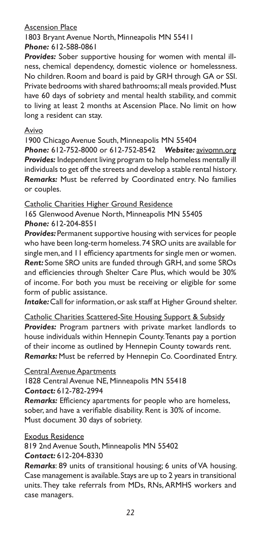#### Ascension Place

1803 Bryant Avenue North, Minneapolis MN 55411 *Phone:* 612-588-0861

*Provides:* Sober supportive housing for women with mental illness, chemical dependency, domestic violence or homelessness. No children. Room and board is paid by GRH through GA or SSI. Private bedrooms with shared bathrooms; all meals provided. Must have 60 days of sobriety and mental health stability, and commit to living at least 2 months at Ascension Place. No limit on how long a resident can stay.

#### Avivo

1900 Chicago Avenue South, Minneapolis MN 55404

*Phone:* 612-752-8000 or 612-752-8542 *Website:* avivomn.org **Provides:** Independent living program to help homeless mentally ill individuals to get off the streets and develop a stable rental history. *Remarks:* Must be referred by Coordinated entry. No families or couples.

Catholic Charities Higher Ground Residence 165 Glenwood Avenue North, Minneapolis MN 55405

#### *Phone:* 612-204-8551

**Provides:** Permanent supportive housing with services for people who have been long-term homeless. 74 SRO units are available for single men, and 11 efficiency apartments for single men or women. *Rent:* Some SRO units are funded through GRH, and some SROs and efficiencies through Shelter Care Plus, which would be 30% of income. For both you must be receiving or eligible for some form of public assistance.

*Intake:* Call for information, or ask staff at Higher Ground shelter.

Catholic Charities Scattered-Site Housing Support & Subsidy *Provides:* Program partners with private market landlords to house individuals within Hennepin County. Tenants pay a portion of their income as outlined by Hennepin County towards rent. *Remarks:* Must be referred by Hennepin Co. Coordinated Entry.

Central Avenue Apartments

1828 Central Avenue NE, Minneapolis MN 55418 *Contact:* 612-782-2994

*Remarks:* Efficiency apartments for people who are homeless, sober, and have a verifiable disability. Rent is 30% of income. Must document 30 days of sobriety.

#### Exodus Residence

819 2nd Avenue South, Minneapolis MN 55402 *Contact:* 612-204-8330

*Remarks*: 89 units of transitional housing; 6 units of VA housing. Case management is available. Stays are up to 2 years in transitional units. They take referrals from MDs, RNs, ARMHS workers and case managers.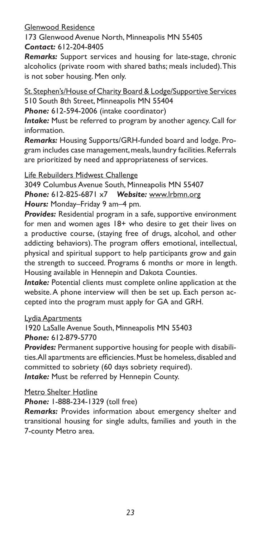Glenwood Residence

173 Glenwood Avenue North, Minneapolis MN 55405 *Contact:* 612-204-8405

*Remarks:* Support services and housing for late-stage, chronic alcoholics (private room with shared baths; meals included). This is not sober housing. Men only.

St. Stephen's/House of Charity Board & Lodge/Supportive Services 510 South 8th Street, Minneapolis MN 55404

*Phone:* 612-594-2006 (intake coordinator)

*Intake:* Must be referred to program by another agency. Call for information.

*Remarks:* Housing Supports/GRH-funded board and lodge. Program includes case management, meals, laundry facilities. Referrals are prioritized by need and appropriateness of services.

Life Rebuilders Midwest Challenge

3049 Columbus Avenue South, Minneapolis MN 55407 *Phone:* 612-825-6871 x7 *Website:* www.lrbmn.org *Hours:* Monday–Friday 9 am–4 pm.

**Provides:** Residential program in a safe, supportive environment for men and women ages 18+ who desire to get their lives on a productive course, (staying free of drugs, alcohol, and other addicting behaviors). The program offers emotional, intellectual, physical and spiritual support to help participants grow and gain the strength to succeed. Programs 6 months or more in length. Housing available in Hennepin and Dakota Counties.

*Intake:* Potential clients must complete online application at the website. A phone interview will then be set up. Each person accepted into the program must apply for GA and GRH.

Lydia Apartments

1920 LaSalle Avenue South, Minneapolis MN 55403 *Phone:* 612*-*879-5770

*Provides:* Permanent supportive housing for people with disabilities. All apartments are efficiencies. Must be homeless, disabled and committed to sobriety (60 days sobriety required). *Intake:* Must be referred by Hennepin County.

Metro Shelter Hotline

*Phone:* 1-888-234-1329 (toll free)

*Remarks:* Provides information about emergency shelter and transitional housing for single adults, families and youth in the 7-county Metro area.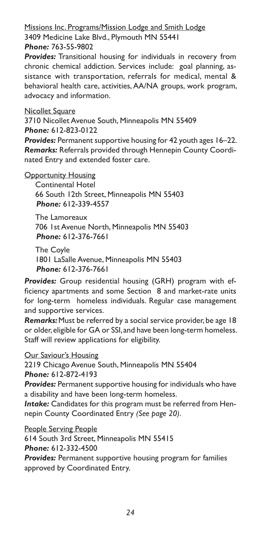#### Missions Inc. Programs/Mission Lodge and Smith Lodge 3409 Medicine Lake Blvd., Plymouth MN 55441 *Phone:* 763-55-9802

*Provides:* Transitional housing for individuals in recovery from chronic chemical addiction. Services include: goal planning, assistance with transportation, referrals for medical, mental & behavioral health care, activities, AA/NA groups, work program, advocacy and information.

#### Nicollet Square

3710 Nicollet Avenue South, Minneapolis MN 55409 *Phone:* 612-823-0122

*Provides:* Permanent supportive housing for 42 youth ages 16–22. *Remarks:* Referrals provided through Hennepin County Coordinated Entry and extended foster care.

#### **Opportunity Housing**

Continental Hotel 66 South 12th Street, Minneapolis MN 55403 *Phone:* 612-339-4557

The Lamoreaux 706 1st Avenue North, Minneapolis MN 55403 *Phone:* 612-376-7661

The Coyle 1801 LaSalle Avenue, Minneapolis MN 55403 *Phone:* 612-376-7661

*Provides:* Group residential housing (GRH) program with efficiency apartments and some Section 8 and market-rate units for long-term homeless individuals. Regular case management and supportive services.

*Remarks:* Must be referred by a social service provider, be age 18 or older, eligible for GA or SSI, and have been long-term homeless. Staff will review applications for eligibility.

Our Saviour's Housing 2219 Chicago Avenue South, Minneapolis MN 55404 *Phone:* 612-872-4193

*Provides:* Permanent supportive housing for individuals who have a disability and have been long-term homeless.

*Intake:* Candidates for this program must be referred from Hennepin County Coordinated Entry *(See page 20)*.

People Serving People 614 South 3rd Street, Minneapolis MN 55415 *Phone:* 612-332-4500 *Provides:* Permanent supportive housing program for families approved by Coordinated Entry.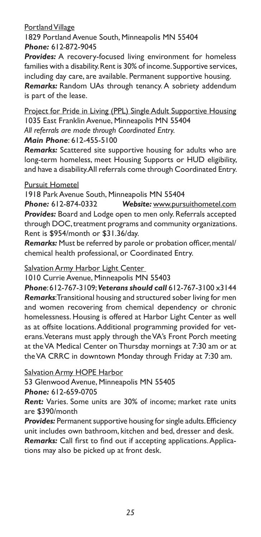#### Portland Village

1829 Portland Avenue South, Minneapolis MN 55404 *Phone:* 612*-*872-9045

*Provides:* A recovery-focused living environment for homeless families with a disability. Rent is 30% of income. Supportive services, including day care, are available. Permanent supportive housing.

*Remarks:* Random UAs through tenancy. A sobriety addendum is part of the lease.

Project for Pride in Living (PPL) Single Adult Supportive Housing 1035 East Franklin Avenue, Minneapolis MN 55404 *All referrals are made through Coordinated Entry.*

#### *Main Phone*: 612-455-5100

*Remarks:* Scattered site supportive housing for adults who are long-term homeless, meet Housing Supports or HUD eligibility, and have a disability. All referrals come through Coordinated Entry.

#### Pursuit Hometel

1918 Park Avenue South, Minneapolis MN 55404

*Phone:* 612-874-0332 *Website:* www.pursuithometel.com *Provides:* Board and Lodge open to men only. Referrals accepted through DOC, treatment programs and community organizations. Rent is \$954/month or \$31.36/day.

*Remarks:* Must be referred by parole or probation officer, mental/ chemical health professional, or Coordinated Entry.

Salvation Army Harbor Light Center

1010 Currie Avenue, Minneapolis MN 55403

*Phone*: 612-767-3109; *Veterans should call* 612-767-3100 x3144 *Remarks*: Transitional housing and structured sober living for men and women recovering from chemical dependency or chronic homelessness. Housing is offered at Harbor Light Center as well as at offsite locations. Additional programming provided for veterans. Veterans must apply through the VA's Front Porch meeting at the VA Medical Center on Thursday mornings at 7:30 am or at the VA CRRC in downtown Monday through Friday at 7:30 am.

**Salvation Army HOPE Harbor** 

53 Glenwood Avenue, Minneapolis MN 55405

*Phone:* 612-659-0705

*Rent:* Varies. Some units are 30% of income; market rate units are \$390/month

**Provides:** Permanent supportive housing for single adults. Efficiency unit includes own bathroom, kitchen and bed, dresser and desk.

*Remarks:* Call first to find out if accepting applications. Applications may also be picked up at front desk.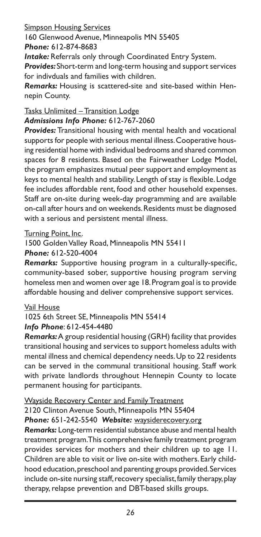Simpson Housing Services

160 Glenwood Avenue, Minneapolis MN 55405

*Phone:* 612-874-8683

*Intake:* Referrals only through Coordinated Entry System.

*Provides:* Short-term and long-term housing and support services for indivduals and families with children.

*Remarks:* Housing is scattered-site and site-based within Hennepin County.

#### Tasks Unlimited – Transition Lodge *Admissions Info Phone:* 612-767-2060

*Provides:* Transitional housing with mental health and vocational supports for people with serious mental illness. Cooperative housing residential home with individual bedrooms and shared common spaces for 8 residents. Based on the Fairweather Lodge Model, the program emphasizes mutual peer support and employment as keys to mental health and stability. Length of stay is flexible. Lodge fee includes affordable rent, food and other household expenses. Staff are on-site during week-day programming and are available on-call after hours and on weekends. Residents must be diagnosed with a serious and persistent mental illness.

#### Turning Point, Inc.

1500 Golden Valley Road, Minneapolis MN 55411

*Phone:* 612-520-4004

*Remarks:* Supportive housing program in a culturally-specific, community-based sober, supportive housing program serving homeless men and women over age 18. Program goal is to provide affordable housing and deliver comprehensive support services.

#### Vail House

#### 1025 6th Street SE, Minneapolis MN 55414 *Info Phone*: 612-454-4480

*Remarks:* A group residential housing (GRH) facility that provides transitional housing and services to support homeless adults with mental illness and chemical dependency needs. Up to 22 residents can be served in the communal transitional housing. Staff work with private landlords throughout Hennepin County to locate permanent housing for participants.

### Wayside Recovery Center and Family Treatment

2120 Clinton Avenue South, Minneapolis MN 55404 *Phone:* 651-242-5540 *Website:* waysiderecovery.org

*Remarks:* Long-term residential substance abuse and mental health treatment program. This comprehensive family treatment program provides services for mothers and their children up to age 11. Children are able to visit or live on-site with mothers. Early childhood education, preschool and parenting groups provided. Services include on-site nursing staff, recovery specialist, family therapy, play therapy, relapse prevention and DBT-based skills groups.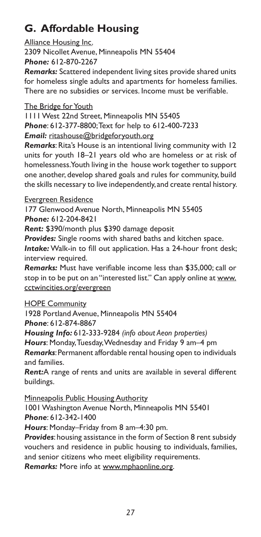## **G. Affordable Housing**

Alliance Housing Inc. 2309 Nicollet Avenue, Minneapolis MN 55404 *Phone:* 612-870-2267

*Remarks:* Scattered independent living sites provide shared units for homeless single adults and apartments for homeless families. There are no subsidies or services. Income must be verifiable.

#### The Bridge for Youth

1111 West 22nd Street, Minneapolis MN 55405 *Phone*: 612-377-8800; Text for help to 612-400-7233

*Email:* ritashouse@bridgeforyouth.org

*Remarks*: Rita's House is an intentional living community with 12 units for youth 18–21 years old who are homeless or at risk of homelessness. Youth living in the house work together to support one another, develop shared goals and rules for community, build the skills necessary to live independently, and create rental history.

#### Evergreen Residence

177 Glenwood Avenue North, Minneapolis MN 55405 *Phone:* 612-204-8421

*Rent:* \$390/month plus \$390 damage deposit

*Provides:* Single rooms with shared baths and kitchen space.

*Intake:* Walk-in to fill out application. Has a 24-hour front desk; interview required.

*Remarks:* Must have verifiable income less than \$35,000; call or stop in to be put on an "interested list." Can apply online at www. cctwincities.org/evergreen

**HOPE Community** 

1928 Portland Avenue, Minneapolis MN 55404

*Phone*: 612-874-8867

*Housing Info:* 612-333-9284 *(info about Aeon properties)*

*Hours*: Monday, Tuesday, Wednesday and Friday 9 am–4 pm

*Remarks*: Permanent affordable rental housing open to individuals and families.

*Rent:*A range of rents and units are available in several different buildings.

Minneapolis Public Housing Authority

1001 Washington Avenue North, Minneapolis MN 55401 *Phone*: 612-342-1400

*Hours*: Monday–Friday from 8 am–4:30 pm.

*Provides*: housing assistance in the form of Section 8 rent subsidy vouchers and residence in public housing to individuals, families, and senior citizens who meet eligibility requirements.

*Remarks:* More info at www.mphaonline.org.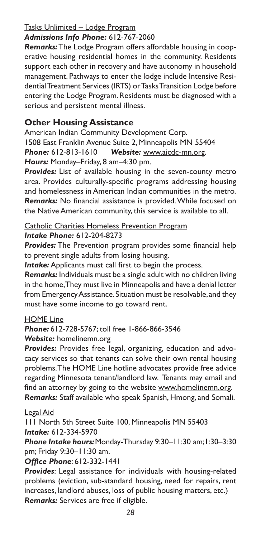#### Tasks Unlimited – Lodge Program

#### *Admissions Info Phone:* 612-767-2060

*Remarks:* The Lodge Program offers affordable housing in cooperative housing residential homes in the community. Residents support each other in recovery and have autonomy in household management. Pathways to enter the lodge include Intensive Residential Treatment Services (IRTS) or Tasks Transition Lodge before entering the Lodge Program. Residents must be diagnosed with a serious and persistent mental illness.

#### **Other Housing Assistance**

American Indian Community Development Corp. 1508 East Franklin Avenue Suite 2, Minneapolis MN 55404 *Phone:* 612-813-1610 *Website:* www.aicdc-mn.org. *Hours:* Monday–Friday, 8 am–4:30 pm.

**Provides:** List of available housing in the seven-county metro area. Provides culturally-specific programs addressing housing and homelessness in American Indian communities in the metro. *Remarks:* No financial assistance is provided. While focused on the Native American community, this service is available to all.

#### Catholic Charities Homeless Prevention Program *Intake Phone:* 612-204-8273

**Provides:** The Prevention program provides some financial help to prevent single adults from losing housing.

*Intake:* Applicants must call first to begin the process.

*Remarks:* Individuals must be a single adult with no children living in the home, They must live in Minneapolis and have a denial letter from Emergency Assistance. Situation must be resolvable, and they must have some income to go toward rent.

#### HOME Line

#### *Phone:* 612-728-5767; toll free 1-866-866-3546 *Website:* homelinemn.org

*Provides:* Provides free legal, organizing, education and advocacy services so that tenants can solve their own rental housing problems. The HOME Line hotline advocates provide free advice regarding Minnesota tenant/landlord law. Tenants may email and find an attorney by going to the website www.homelinemn.org. *Remarks:* Staff available who speak Spanish, Hmong, and Somali.

#### Legal Aid

111 North 5th Street Suite 100, Minneapolis MN 55403 *Intake:* 612-334-5970

*Phone Intake hours:* Monday-Thursday 9:30–11:30 am;1:30–3:30 pm; Friday 9:30–11:30 am.

*Office Phone*: 612-332-1441

*Provides*: Legal assistance for individuals with housing-related problems (eviction, sub-standard housing, need for repairs, rent increases, landlord abuses, loss of public housing matters, etc.) *Remarks:* Services are free if eligible.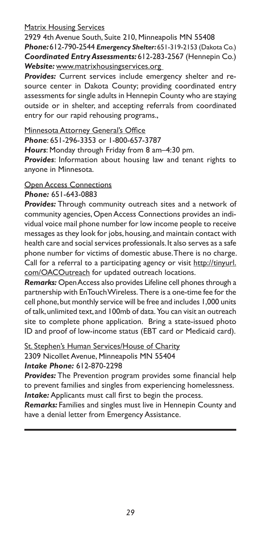#### Matrix Housing Services

2929 4th Avenue South, Suite 210, Minneapolis MN 55408 *Phone:* 612-790-2544 *Emergency Shelter:* 651-319-2153 (Dakota Co.) *Coordinated Entry Assessments:* 612-283-2567 (Hennepin Co.) *Website:* www.matrixhousingservices.org

*Provides:* Current services include emergency shelter and resource center in Dakota County; providing coordinated entry assessments for single adults in Hennepin County who are staying outside or in shelter, and accepting referrals from coordinated entry for our rapid rehousing programs.,

Minnesota Attorney General's Office

*Phone*: 651-296-3353 or 1-800-657-3787

*Hours*: Monday through Friday from 8 am–4:30 pm.

*Provides*: Information about housing law and tenant rights to anyone in Minnesota.

#### Open Access Connections

*Phone:* 651-643-0883

*Provides:* Through community outreach sites and a network of community agencies, Open Access Connections provides an individual voice mail phone number for low income people to receive messages as they look for jobs, housing, and maintain contact with health care and social services professionals. It also serves as a safe phone number for victims of domestic abuse. There is no charge. Call for a referral to a participating agency or visit http://tinyurl. com/OACOutreach for updated outreach locations.

*Remarks:* Open Access also provides Lifeline cell phones through a partnership with EnTouch Wireless. There is a one-time fee for the cell phone, but monthly service will be free and includes 1,000 units of talk, unlimited text, and 100mb of data. You can visit an outreach site to complete phone application. Bring a state-issued photo ID and proof of low-income status (EBT card or Medicaid card).

St. Stephen's Human Services/House of Charity 2309 Nicollet Avenue, Minneapolis MN 55404 *Intake Phone:* 612-870-2298

*Provides:* The Prevention program provides some financial help to prevent families and singles from experiencing homelessness.

*Intake:* Applicants must call first to begin the process.

*Remarks:* Families and singles must live in Hennepin County and have a denial letter from Emergency Assistance.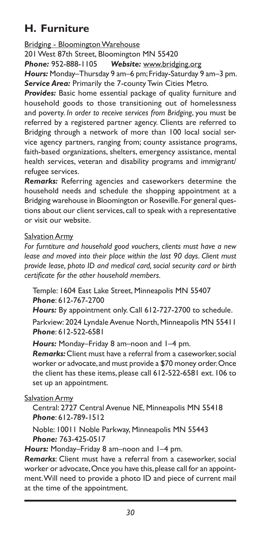## **H. Furniture**

Bridging - Bloomington Warehouse

201 West 87th Street, Bloomington MN 55420

*Phone:* 952-888-1105 *Website:* www.bridging.org

*Hours:* Monday–Thursday 9 am–6 pm; Friday-Saturday 9 am–3 pm. *Service Area:* Primarily the 7-county Twin Cities Metro.

*Provides:* Basic home essential package of quality furniture and household goods to those transitioning out of homelessness and poverty. *In order to receive services from Bridging*, you must be referred by a registered partner agency. Clients are referred to Bridging through a network of more than 100 local social service agency partners, ranging from; county assistance programs, faith-based organizations, shelters, emergency assistance, mental health services, veteran and disability programs and immigrant/ refugee services.

*Remarks:* Referring agencies and caseworkers determine the household needs and schedule the shopping appointment at a Bridging warehouse in Bloomington or Roseville. For general questions about our client services, call to speak with a representative or visit our website.

#### Salvation Army

*For furntiture and household good vouchers, clients must have a new lease and moved into their place within the last 90 days. Client must provide lease, photo ID and medical card, social security card or birth certificate for the other household members.*

Temple: 1604 East Lake Street, Minneapolis MN 55407 *Phone*: 612-767-2700

*Hours:* By appointment only. Call 612-727-2700 to schedule.

Parkview: 2024 Lyndale Avenue North, Minneapolis MN 55411 *Phone*: 612-522-6581

*Hours:* Monday–Friday 8 am–noon and 1–4 pm.

*Remarks:* Client must have a referral from a caseworker, social worker or advocate, and must provide a \$70 money order. Once the client has these items, please call 612-522-6581 ext. 106 to set up an appointment.

Salvation Army

Central: 2727 Central Avenue NE, Minneapolis MN 55418 *Phone*: 612-789-1512

Noble: 10011 Noble Parkway, Minneapolis MN 55443 *Phone:* 763-425-0517

*Hours:* Monday–Friday 8 am–noon and 1–4 pm.

*Remarks*: Client must have a referral from a caseworker, social worker or advocate, Once you have this, please call for an appointment. Will need to provide a photo ID and piece of current mail at the time of the appointment.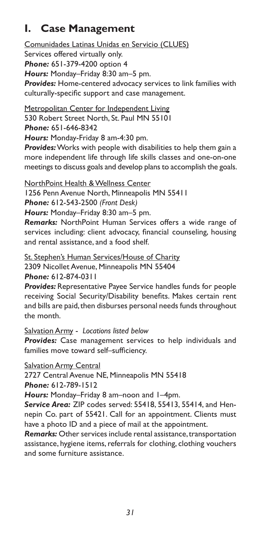## **I. Case Management**

Comunidades Latinas Unidas en Servicio (CLUES) Services offered virtually only. *Phone:* 651-379-4200 option 4 *Hours:* Monday–Friday 8:30 am–5 pm. *Provides:* Home-centered advocacy services to link families with culturally-specific support and case management.

Metropolitan Center for Independent Living

530 Robert Street North, St. Paul MN 55101

*Phone:* 651-646-8342

*Hours:* Monday-Friday 8 am-4:30 pm.

*Provides:* Works with people with disabilities to help them gain a more independent life through life skills classes and one-on-one meetings to discuss goals and develop plans to accomplish the goals.

NorthPoint Health & Wellness Center

1256 Penn Avenue North, Minneapolis MN 55411 *Phone:* 612-543-2500 *(Front Desk)*

*Hours:* Monday–Friday 8:30 am–5 pm.

*Remarks:* NorthPoint Human Services offers a wide range of services including: client advocacy, financial counseling, housing and rental assistance, and a food shelf.

St. Stephen's Human Services/House of Charity 2309 Nicollet Avenue, Minneapolis MN 55404 *Phone:* 612-874-0311

*Provides:* Representative Payee Service handles funds for people receiving Social Security/Disability benefits. Makes certain rent and bills are paid, then disburses personal needs funds throughout the month.

Salvation Army - *Locations listed below*

*Provides:* Case management services to help individuals and families move toward self–sufficiency.

Salvation Army Central

2727 Central Avenue NE, Minneapolis MN 55418

*Phone:* 612-789-1512

*Hours:* Monday–Friday 8 am–noon and 1–4pm.

*Service Area:* ZIP codes served: 55418, 55413, 55414, and Hennepin Co. part of 55421. Call for an appointment. Clients must have a photo ID and a piece of mail at the appointment.

*Remarks:* Other services include rental assistance, transportation assistance, hygiene items, referrals for clothing, clothing vouchers and some furniture assistance.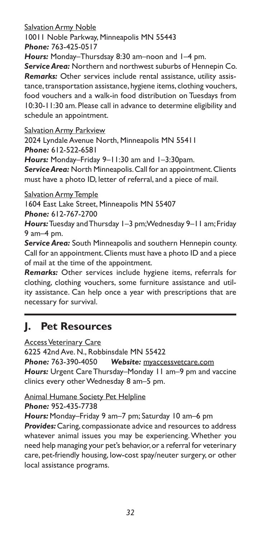Salvation Army Noble 10011 Noble Parkway, Minneapolis MN 55443 *Phone:* 763-425-0517

*Hours:* Monday–Thursdsay 8:30 am–noon and 1–4 pm.

*Service Area:* Northern and northwest suburbs of Hennepin Co. *Remarks:* Other services include rental assistance, utility assistance, transportation assistance, hygiene items, clothing vouchers, food vouchers and a walk-in food distribution on Tuesdays from 10:30-11:30 am. Please call in advance to determine eligibility and schedule an appointment.

**Salvation Army Parkview** 

2024 Lyndale Avenue North, Minneapolis MN 55411 *Phone:* 612-522-6581

*Hours:* Monday–Friday 9–11:30 am and 1–3:30pam.

*Service Area:* North Minneapolis. Call for an appointment. Clients must have a photo ID, letter of referral, and a piece of mail.

**Salvation Army Temple** 

1604 East Lake Street, Minneapolis MN 55407 *Phone:* 612-767-2700

*Hours:* Tuesday and Thursday 1–3 pm; Wednesday 9–11 am; Friday 9 am–4 pm.

*Service Area:* South Minneapolis and southern Hennepin county. Call for an appointment. Clients must have a photo ID and a piece of mail at the time of the appointment.

*Remarks:* Other services include hygiene items, referrals for clothing, clothing vouchers, some furniture assistance and utility assistance. Can help once a year with prescriptions that are necessary for survival.

### **J. Pet Resources**

Access Veterinary Care

6225 42nd Ave. N., Robbinsdale MN 55422 *Phone:* 763-390-4050 *Website:* myaccessvetcare.com *Hours:* Urgent Care Thursday–Monday 11 am–9 pm and vaccine clinics every other Wednesday 8 am–5 pm.

Animal Humane Society Pet Helpline

*Phone:* 952-435-7738

*Hours:* Monday–Friday 9 am–7 pm; Saturday 10 am–6 pm **Provides:** Caring, compassionate advice and resources to address whatever animal issues you may be experiencing. Whether you need help managing your pet's behavior, or a referral for veterinary care, pet-friendly housing, low-cost spay/neuter surgery, or other local assistance programs.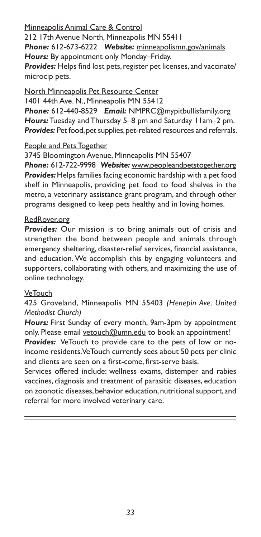#### Minneapolis Animal Care & Control

212 17th Avenue North, Minneapolis MN 55411 *Phone:* 612-673-6222 *Website:* minneapolismn.gov/animals *Hours:* By appointment only Monday–Friday. *Provides:* Helps find lost pets, register pet licenses, and vaccinate/ microcip pets.

North Minneapolis Pet Resource Center 1401 44th Ave. N., Minneapolis MN 55412 *Phone:* 612-440-8529 *Email:* NMPRC@mypitbullisfamily.org *Hours:* Tuesday and Thursday 5–8 pm and Saturday 11am–2 pm. *Provides:* Pet food, pet supplies, pet-related resources and referrals.

#### People and Pets Together

3745 Bloomington Avenue, Minneapolis MN 55407

*Phone:* 612-722-9998 *Website:* www.peopleandpetstogether.org *Provides:* Helps families facing economic hardship with a pet food shelf in Minneapolis, providing pet food to food shelves in the metro, a veterinary assistance grant program, and through other programs designed to keep pets healthy and in loving homes.

#### RedRover.org

*Provides:* Our mission is to bring animals out of crisis and strengthen the bond between people and animals through emergency sheltering, disaster-relief services, financial assistance, and education. We accomplish this by engaging volunteers and supporters, collaborating with others, and maximizing the use of online technology.

#### **VeTouch**

425 Groveland, Minneapolis MN 55403 *(Henepin Ave. United Methodist Church)*

*Hours:* First Sunday of every month, 9am-3pm by appointment only. Please email vetouch@umn.edu to book an appointment!

*Provides:* VeTouch to provide care to the pets of low or noincome residents. VeTouch currently sees about 50 pets per clinic and clients are seen on a first-come, first-serve basis.

Services offered include: wellness exams, distemper and rabies vaccines, diagnosis and treatment of parasitic diseases, education on zoonotic diseases, behavior education, nutritional support, and referral for more involved veterinary care.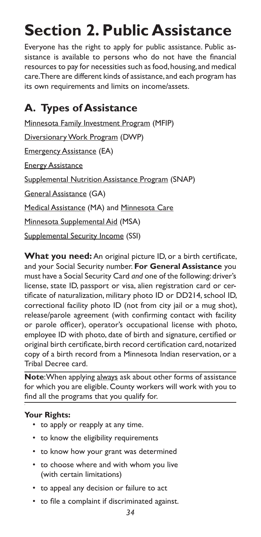## **Section 2. Public Assistance**

Everyone has the right to apply for public assistance. Public assistance is available to persons who do not have the financial resources to pay for necessities such as food, housing, and medical care. There are different kinds of assistance, and each program has its own requirements and limits on income/assets.

## **A. Types of Assistance**

Minnesota Family Investment Program (MFIP) Diversionary Work Program (DWP) Emergency Assistance (EA) Energy Assistance Supplemental Nutrition Assistance Program (SNAP) General Assistance (GA) Medical Assistance (MA) and Minnesota Care Minnesota Supplemental Aid (MSA) Supplemental Security Income (SSI)

**What you need:** An original picture ID, or a birth certificate, and your Social Security number. **For General Assistance** you must have a Social Security Card *and* one of the following: driver's license, state ID, passport or visa, alien registration card or certificate of naturalization, military photo ID or DD214, school ID, correctional facility photo ID (not from city jail or a mug shot), release/parole agreement (with confirming contact with facility or parole officer), operator's occupational license with photo, employee ID with photo, date of birth and signature, certified or original birth certificate, birth record certification card, notarized copy of a birth record from a Minnesota Indian reservation, or a Tribal Decree card.

**Note**: When applying always ask about other forms of assistance for which you are eligible. County workers will work with you to find all the programs that you qualify for.

#### **Your Rights:**

- to apply or reapply at any time.
- to know the eligibility requirements
- to know how your grant was determined
- to choose where and with whom you live (with certain limitations)
- to appeal any decision or failure to act
- to file a complaint if discriminated against.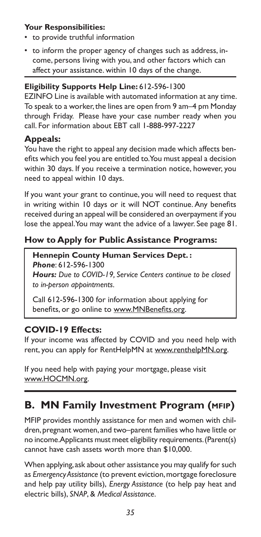#### **Your Responsibilities:**

- to provide truthful information
- to inform the proper agency of changes such as address, income, persons living with you, and other factors which can affect your assistance. within 10 days of the change.

#### **Eligibility Supports Help Line:** 612-596-1300

EZINFO Line is available with automated information at any time. To speak to a worker, the lines are open from 9 am–4 pm Monday through Friday. Please have your case number ready when you call. For information about EBT call 1-888-997-2227

#### **Appeals:**

You have the right to appeal any decision made which affects benefits which you feel you are entitled to. You must appeal a decision within 30 days. If you receive a termination notice, however, you need to appeal within 10 days.

If you want your grant to continue, you will need to request that in writing within 10 days or it will NOT continue. Any benefits received during an appeal will be considered an overpayment if you lose the appeal. You may want the advice of a lawyer. See page 81.

#### **How to Apply for Public Assistance Programs:**

**Hennepin County Human Services Dept. :** *Phone*: 612-596-1300

*Hours: Due to COVID-19, Service Centers continue to be closed to in-person appointments.*

Call 612-596-1300 for information about applying for benefits, or go online to www.MNBenefits.org.

### **COVID-19 Effects:**

If your income was affected by COVID and you need help with rent, you can apply for RentHelpMN at www.renthelpMN.org.

If you need help with paying your mortgage, please visit www.HOCMN.org.

## **B. MN Family Investment Program (mfip)**

MFIP provides monthly assistance for men and women with children, pregnant women, and two–parent families who have little or no income. Applicants must meet eligibility requirements. (Parent(s) cannot have cash assets worth more than \$10,000.

When applying, ask about other assistance you may qualify for such as *Emergency Assistance* (to prevent eviction, mortgage foreclosure and help pay utility bills), *Energy Assistance* (to help pay heat and electric bills), *SNAP*, & *Medical Assistance*.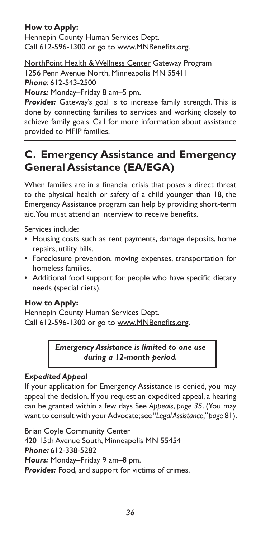#### **How to Apply:**

Hennepin County Human Services Dept. Call 612-596-1300 or go to www.MNBenefits.org.

**NorthPoint Health & Wellness Center Gateway Program** 1256 Penn Avenue North, Minneapolis MN 55411 *Phone*: 612-543-2500

*Hours:* Monday–Friday 8 am–5 pm.

*Provides:* Gateway's goal is to increase family strength. This is done by connecting families to services and working closely to achieve family goals. Call for more information about assistance provided to MFIP families.

## **C. Emergency Assistance and Emergency General Assistance (EA/EGA)**

When families are in a financial crisis that poses a direct threat to the physical health or safety of a child younger than 18, the Emergency Assistance program can help by providing short-term aid. You must attend an interview to receive benefits.

Services include:

- Housing costs such as rent payments, damage deposits, home repairs, utility bills.
- Foreclosure prevention, moving expenses, transportation for homeless families.
- Additional food support for people who have specific dietary needs (special diets).

#### **How to Apply:**

Hennepin County Human Services Dept. Call 612-596-1300 or go to www.MNBenefits.org.

> *Emergency Assistance is limited to one use during a 12-month period.*

#### *Expedited Appeal*

If your application for Emergency Assistance is denied, you may appeal the decision. If you request an expedited appeal, a hearing can be granted within a few days See *Appeals*, *page 35*. (You may want to consult with your Advocate; see "*Legal Assistance," page* 81).

Brian Coyle Community Center

420 15th Avenue South, Minneapolis MN 55454 *Phone:* 612-338-5282 *Hours:* Monday–Friday 9 am–8 pm. *Provides:* Food, and support for victims of crimes.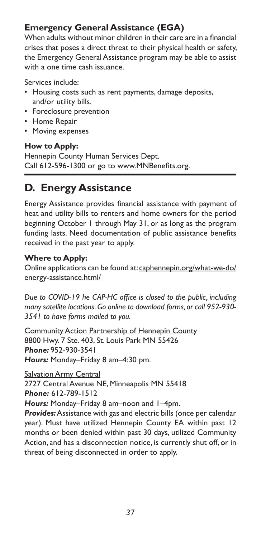# **Emergency General Assistance (EGA)**

When adults without minor children in their care are in a financial crises that poses a direct threat to their physical health or safety, the Emergency General Assistance program may be able to assist with a one time cash issuance.

Services include:

- Housing costs such as rent payments, damage deposits, and/or utility bills.
- Foreclosure prevention
- Home Repair
- Moving expenses

**How to Apply:**

**Hennepin County Human Services Dept.** Call 612-596-1300 or go to www.MNBenefits.org.

# **D. Energy Assistance**

Energy Assistance provides financial assistance with payment of heat and utility bills to renters and home owners for the period beginning October 1 through May 31, or as long as the program funding lasts. Need documentation of public assistance benefits received in the past year to apply.

### **Where to Apply:**

Online applications can be found at: caphennepin.org/what-we-do/ energy-assistance.html/

*Due to COVID-19 he CAP-HC office is closed to the public, including many satellite locations. Go online to download forms, or call 952-930- 3541 to have forms mailed to you.*

Community Action Partnership of Hennepin County 8800 Hwy. 7 Ste. 403, St. Louis Park MN 55426 *Phone:* 952-930-3541 *Hours:* Monday–Friday 8 am–4:30 pm.

**Salvation Army Central** 2727 Central Avenue NE, Minneapolis MN 55418 *Phone:* 612-789-1512

*Hours:* Monday–Friday 8 am–noon and 1–4pm.

*Provides:* Assistance with gas and electric bills (once per calendar year). Must have utilized Hennepin County EA within past 12 months or been denied within past 30 days, utilized Community Action, and has a disconnection notice, is currently shut off, or in threat of being disconnected in order to apply.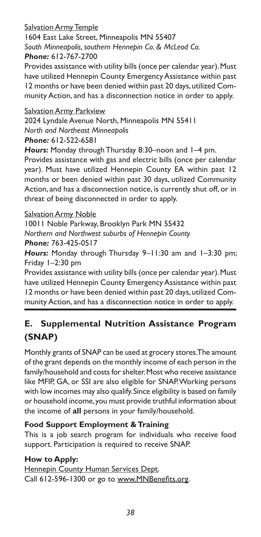### Salvation Army Temple

1604 East Lake Street, Minneapolis MN 55407 *South Minneapolis, southern Hennepin Co. & McLeod Co. Phone:* 612-767-2700

Provides assistance with utility bills (once per calendar year). Must have utilized Hennepin County Emergency Assistance within past 12 months or have been denied within past 20 days, utilized Community Action, and has a disconnection notice in order to apply.

### Salvation Army Parkview

2024 Lyndale Avenue North, Minneapolis MN 55411 *North and Northeast Minneapolis*

*Phone:* 612-522-6581

*Hours:* Monday through Thursday 8:30–noon and 1–4 pm.

Provides assistance with gas and electric bills (once per calendar year). Must have utilized Hennepin County EA within past 12 months or been denied within past 30 days, utilized Community Action, and has a disconnection notice, is currently shut off, or in threat of being disconnected in order to apply.

Salvation Army Noble

10011 Noble Parkway, Brooklyn Park MN 55432 *Northern and Northwest suburbs of Hennepin County*

*Phone:* 763-425-0517

*Hours:* Monday through Thursday 9–11:30 am and 1–3:30 pm; Friday 1–2:30 pm

Provides assistance with utility bills (once per calendar year). Must have utilized Hennepin County Emergency Assistance within past 12 months or have been denied within past 20 days, utilized Community Action, and has a disconnection notice in order to apply.

# **E. Supplemental Nutrition Assistance Program (SNAP)**

Monthly grants of SNAP can be used at grocery stores. The amount of the grant depends on the monthly income of each person in the family/household and costs for shelter. Most who receive assistance like MFIP, GA, or SSI are also eligible for SNAP. Working persons with low incomes may also qualify. Since eligibility is based on family or household income, you must provide truthful information about the income of **all** persons in your family/household.

### **Food Support Employment & Training**

This is a job search program for individuals who receive food support. Participation is required to receive SNAP.

### **How to Apply:**

Hennepin County Human Services Dept. Call 612-596-1300 or go to www.MNBenefits.org.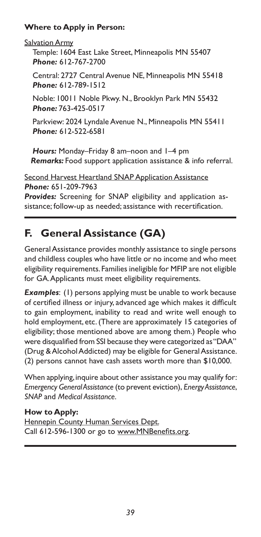### **Where to Apply in Person:**

**Salvation Army** 

Temple: 1604 East Lake Street, Minneapolis MN 55407 *Phone:* 612-767-2700

Central: 2727 Central Avenue NE, Minneapolis MN 55418 *Phone:* 612-789-1512

Noble: 10011 Noble Pkwy. N., Brooklyn Park MN 55432 *Phone:* 763-425-0517

Parkview: 2024 Lyndale Avenue N., Minneapolis MN 55411 *Phone:* 612-522-6581

*Hours:* Monday–Friday 8 am–noon and 1–4 pm *Remarks:* Food support application assistance & info referral.

**Second Harvest Heartland SNAP Application Assistance** *Phone:* 651-209-7963

*Provides:* Screening for SNAP eligibility and application assistance; follow-up as needed; assistance with recertification.

# **F. General Assistance (GA)**

General Assistance provides monthly assistance to single persons and childless couples who have little or no income and who meet eligibility requirements. Families ineligible for MFIP are not eligible for GA. Applicants must meet eligibility requirements.

**Examples:** (1) persons applying must be unable to work because of certified illness or injury, advanced age which makes it difficult to gain employment, inability to read and write well enough to hold employment, etc. (There are approximately 15 categories of eligibility; those mentioned above are among them.) People who were disqualified from SSI because they were categorized as "DAA" (Drug & Alcohol Addicted) may be eligible for General Assistance. (2) persons cannot have cash assets worth more than \$10,000.

When applying, inquire about other assistance you may qualify for: *Emergency General Assistance* (to prevent eviction), *Energy Assistance*, *SNAP* and *Medical Assistance.*

## **How to Apply:**

Hennepin County Human Services Dept. Call 612-596-1300 or go to www.MNBenefits.org.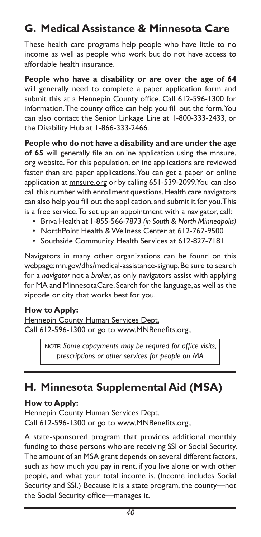# **G. Medical Assistance & Minnesota Care**

These health care programs help people who have little to no income as well as people who work but do not have access to affordable health insurance.

**People who have a disability or are over the age of 64** will generally need to complete a paper application form and submit this at a Hennepin County office. Call 612-596-1300 for information. The county office can help you fill out the form. You can also contact the Senior Linkage Line at 1-800-333-2433, or the Disability Hub at 1-866-333-2466.

**People who do not have a disability and are under the age of 65** will generally file an online application using the mnsure. org website. For this population, online applications are reviewed faster than are paper applications. You can get a paper or online application at mnsure.org or by calling 651-539-2099. You can also call this number with enrollment questions. Health care navigators can also help you fill out the application, and submit it for you. This is a free service. To set up an appointment with a navigator, call:

- Briva Health at 1-855-566-7873 *(in South & North Minneapolis)*
- NorthPoint Health & Wellness Center at 612-767-9500
- Southside Community Health Services at 612-827-7181

Navigators in many other organizations can be found on this webpage: mn.gov/dhs/medical-assistance-signup. Be sure to search for a *navigator* not a *broker*, as only navigators assist with applying for MA and MinnesotaCare. Search for the language, as well as the zipcode or city that works best for you.

#### **How to Apply:**

Hennepin County Human Services Dept. Call 612-596-1300 or go to www.MNBenefits.org.*.*

> NOTE: Some copayments may be requred for office visits, *prescriptions or other services for people on MA.*

# **H. Minnesota Supplemental Aid (MSA)**

#### **How to Apply:**

Hennepin County Human Services Dept. Call 612-596-1300 or go to www.MNBenefits.org.*.*

A state-sponsored program that provides additional monthly funding to those persons who are receiving SSI or Social Security. The amount of an MSA grant depends on several different factors, such as how much you pay in rent, if you live alone or with other people, and what your total income is. (Income includes Social Security and SSI.) Because it is a state program, the county—not the Social Security office—manages it.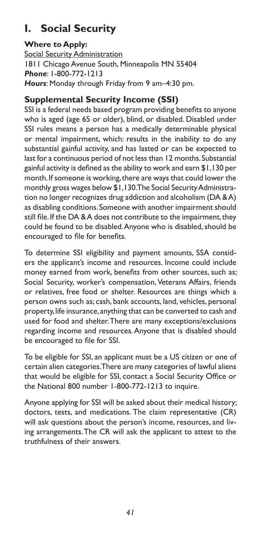# **I. Social Security**

### **Where to Apply:**

Social Security Administration 1811 Chicago Avenue South, Minneapolis MN 55404 *Phone*: 1-800-772-1213 *Hours*: Monday through Friday from 9 am–4:30 pm.

### **Supplemental Security Income (SSI)**

SSI is a federal needs based program providing benefits to anyone who is aged (age 65 or older), blind, or disabled. Disabled under SSI rules means a person has a medically determinable physical or mental impairment, which: results in the inability to do any substantial gainful activity, and has lasted or can be expected to last for a continuous period of not less than 12 months. Substantial gainful activity is defined as the ability to work and earn \$1,130 per month. If someone is working, there are ways that could lower the monthly gross wages below \$1,130. The Social Security Administration no longer recognizes drug addiction and alcoholism (DA & A) as disabling conditions. Someone with another impairment should still file. If the DA & A does not contribute to the impairment, they could be found to be disabled. Anyone who is disabled, should be encouraged to file for benefits.

To determine SSI eligibility and payment amounts, SSA considers the applicant's income and resources. Income could include money earned from work, benefits from other sources, such as; Social Security, worker's compensation, Veterans Affairs, friends or relatives, free food or shelter. Resources are things which a person owns such as; cash, bank accounts, land, vehicles, personal property, life insurance, anything that can be converted to cash and used for food and shelter. There are many exceptions/exclusions regarding income and resources. Anyone that is disabled should be encouraged to file for SSI.

To be eligible for SSI, an applicant must be a US citizen or one of certain alien categories. There are many categories of lawful aliens that would be eligible for SSI, contact a Social Security Office or the National 800 number 1-800-772-1213 to inquire.

Anyone applying for SSI will be asked about their medical history; doctors, tests, and medications. The claim representative (CR) will ask questions about the person's income, resources, and living arrangements. The CR will ask the applicant to attest to the truthfulness of their answers.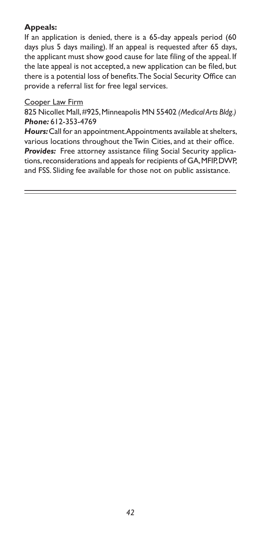### **Appeals:**

If an application is denied, there is a 65-day appeals period (60 days plus 5 days mailing). If an appeal is requested after 65 days, the applicant must show good cause for late filing of the appeal. If the late appeal is not accepted, a new application can be filed, but there is a potential loss of benefits. The Social Security Office can provide a referral list for free legal services.

#### Cooper Law Firm

825 Nicollet Mall, #925, Minneapolis MN 55402 *(Medical Arts Bldg.) Phone:* 612-353-4769

*Hours:* Call for an appointment. Appointments available at shelters, various locations throughout the Twin Cities, and at their office. *Provides:* Free attorney assistance filing Social Security applications, reconsiderations and appeals for recipients of GA, MFIP, DWP, and FSS. Sliding fee available for those not on public assistance.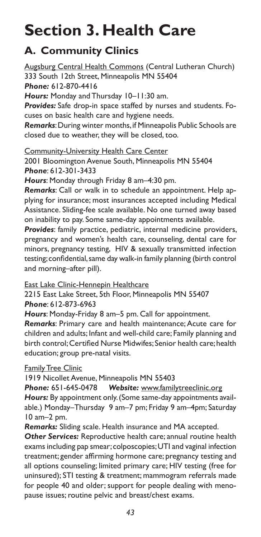# **Section 3. Health Care**

# **A. Community Clinics**

Augsburg Central Health Commons (Central Lutheran Church) 333 South 12th Street, Minneapolis MN 55404 *Phone:* 612-870-4416

*Hours:* Monday and Thursday 10–11:30 am.

*Provides:* Safe drop-in space staffed by nurses and students. Focuses on basic health care and hygiene needs.

*Remarks*: During winter months, if Minneapolis Public Schools are closed due to weather, they will be closed, too.

Community-University Health Care Center

2001 Bloomington Avenue South, Minneapolis MN 55404 *Phone*: 612-301-3433

*Hours*: Monday through Friday 8 am–4:30 pm.

*Remarks*: Call or walk in to schedule an appointment. Help applying for insurance; most insurances accepted including Medical Assistance. Sliding-fee scale available. No one turned away based on inability to pay. Some same-day appointments available.

*Provides*: family practice, pediatric, internal medicine providers, pregnancy and women's health care, counseling, dental care for minors, pregnancy testing, HIV & sexually transmitted infection testing; confidential, same day walk-in family planning (birth control and morning–after pill).

East Lake Clinic-Hennepin Healthcare

2215 East Lake Street, 5th Floor, Minneapolis MN 55407 *Phone*: 612-873-6963

*Hours*: Monday-Friday 8 am–5 pm. Call for appointment.

*Remarks*: Primary care and health maintenance; Acute care for children and adults; Infant and well-child care; Family planning and birth control; Certified Nurse Midwifes; Senior health care; health education; group pre-natal visits.

### **Family Tree Clinic**

1919 Nicollet Avenue, Minneapolis MN 55403

*Phone:* 651-645-0478 *Website:* www.familytreeclinic.org *Hours:* By appointment only. (Some same-day appointments available.) Monday–Thursday 9 am–7 pm; Friday 9 am–4pm; Saturday 10 am–2 pm.

*Remarks:* Sliding scale. Health insurance and MA accepted.

*Other Services:* Reproductive health care; annual routine health exams including pap smear; colposcopies; UTI and vaginal infection treatment; gender affirming hormone care; pregnancy testing and all options counseling; limited primary care; HIV testing (free for uninsured); STI testing & treatment; mammogram referrals made for people 40 and older; support for people dealing with menopause issues; routine pelvic and breast/chest exams.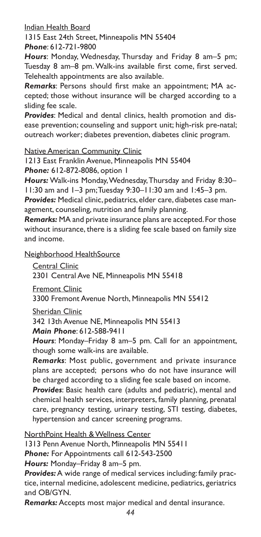Indian Health Board

1315 East 24th Street, Minneapolis MN 55404 *Phone*: 612-721-9800

*Hours*: Monday, Wednesday, Thursday and Friday 8 am–5 pm; Tuesday 8 am–8 pm. Walk-ins available first come, first served. Telehealth appointments are also available.

*Remarks*: Persons should first make an appointment; MA accepted; those without insurance will be charged according to a sliding fee scale.

*Provides*: Medical and dental clinics, health promotion and disease prevention; counseling and support unit; high-risk pre-natal; outreach worker; diabetes prevention, diabetes clinic program.

Native American Community Clinic

1213 East Franklin Avenue, Minneapolis MN 55404 *Phone:* 612-872-8086, option 1

*Hours:* Walk-ins Monday, Wednesday, Thursday and Friday 8:30– 11:30 am and 1–3 pm; Tuesday 9:30–11:30 am and 1:45–3 pm.

*Provides:* Medical clinic, pediatrics, elder care, diabetes case management, counseling, nutrition and family planning.

*Remarks:* MA and private insurance plans are accepted. For those without insurance, there is a sliding fee scale based on family size and income.

Neighborhood HealthSource

Central Clinic 2301 Central Ave NE, Minneapolis MN 55418

Fremont Clinic

3300 Fremont Avenue North, Minneapolis MN 55412

Sheridan Clinic

342 13th Avenue NE, Minneapolis MN 55413 *Main Phone*: 612-588-9411

*Hours*: Monday–Friday 8 am–5 pm. Call for an appointment, though some walk-ins are available.

*Remarks*: Most public, government and private insurance plans are accepted; persons who do not have insurance will be charged according to a sliding fee scale based on income.

*Provides*: Basic health care (adults and pediatric), mental and chemical health services, interpreters, family planning, prenatal care, pregnancy testing, urinary testing, STI testing, diabetes, hypertension and cancer screening programs.

NorthPoint Health & Wellness Center

1313 Penn Avenue North, Minneapolis MN 55411

*Phone:* For Appointments call 612-543-2500

*Hours:* Monday–Friday 8 am–5 pm.

*Provides:* A wide range of medical services including: family practice, internal medicine, adolescent medicine, pediatrics, geriatrics and OB/GYN.

*Remarks:* Accepts most major medical and dental insurance.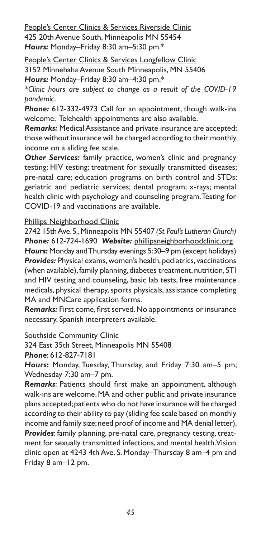People's Center Clinics & Services Riverside Clinic 425 20th Avenue South, Minneapolis MN 55454 *Hours:* Monday–Friday 8:30 am–5:30 pm.\*

People's Center Clinics & Services Longfellow Clinic

3152 Minnehaha Avenue South Minneapolis, MN 55406

*Hours:* Monday–Friday 8:30 am–4:30 pm.\*

*\*Clinic hours are subject to change as a result of the COVID-19 pandemic.*

*Phone:* 612-332-4973 Call for an appointment, though walk-ins welcome. Telehealth appointments are also available.

*Remarks:* Medical Assistance and private insurance are accepted; those without insurance will be charged according to their monthly income on a sliding fee scale.

*Other Services:* family practice, women's clinic and pregnancy testing; HIV testing; treatment for sexually transmitted diseases; pre-natal care; education programs on birth control and STDs; geriatric and pediatric services; dental program; x-rays; mental health clinic with psychology and counseling program. Testing for COVID-19 and vaccinations are available.

#### Phillips Neighborhood Clinic

2742 15th Ave. S., Minneapolis MN 55407 *(St. Paul's Lutheran Church) Phone:* 612-724-1690 *Website:* phillipsneighborhoodclinic.org *Hours:* Monday and Thursday evenings 5:30–9 pm (except holidays) *Provides:* Physical exams, women's health, pediatrics, vaccinations (when available), family planning, diabetes treatment, nutrition, STI and HIV testing and counseling, basic lab tests, free maintenance medicals, physical therapy, sports physicals, assistance completing MA and MNCare application forms.

*Remarks:* First come, first served. No appointments or insurance necessary. Spanish interpreters available.

#### Southside Community Clinic

324 East 35th Street, Minneapolis MN 55408 *Phone*: 612-827-7181

*Hours***:** Monday, Tuesday, Thursday, and Friday 7:30 am–5 pm; Wednesday 7:30 am–7 pm.

*Remarks*: Patients should first make an appointment, although walk-ins are welcome. MA and other public and private insurance plans accepted; patients who do not have insurance will be charged according to their ability to pay (sliding fee scale based on monthly income and family size; need proof of income and MA denial letter). *Provides*: family planning, pre-natal care, pregnancy testing, treatment for sexually transmitted infections, and mental health. Vision clinic open at 4243 4th Ave. S. Monday–Thursday 8 am–4 pm and Friday 8 am–12 pm.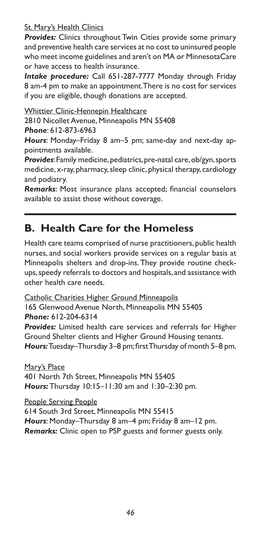#### **St. Mary's Health Clinics**

*Provides:* Clinics throughout Twin Cities provide some primary and preventive health care services at no cost to uninsured people who meet income guidelines and aren't on MA or MinnesotaCare or have access to health insurance.

*Intake procedure:* Call 651-287-7777 Monday through Friday 8 am-4 pm to make an appointment. There is no cost for services if you are eligible, though donations are accepted.

Whittier Clinic-Hennepin Healthcare

2810 Nicollet Avenue, Minneapolis MN 55408 *Phone*: 612-873-6963

*Hours*: Monday–Friday 8 am–5 pm; same-day and next-day appointments available.

*Provides*: Family medicine, pediatrics, pre-natal care, ob/gyn, sports medicine, x-ray, pharmacy, sleep clinic, physical therapy, cardiology and podiatry.

*Remarks*: Most insurance plans accepted; financial counselors available to assist those without coverage.

# **B. Health Care for the Homeless**

Health care teams comprised of nurse practitioners, public health nurses, and social workers provide services on a regular basis at Minneapolis shelters and drop-ins. They provide routine checkups, speedy referrals to doctors and hospitals, and assistance with other health care needs.

Catholic Charities Higher Ground Minneapolis 165 Glenwood Avenue North, Minneapolis MN 55405 *Phone:* 612-204-6314 *Provides:* Limited health care services and referrals for Higher Ground Shelter clients and Higher Ground Housing tenants. *Hours:* Tuesday–Thursday 3–8 pm; first Thursday of month 5–8 pm.

Mary's Place 401 North 7th Street, Minneapolis MN 55405 *Hours:* Thursday 10:15–11:30 am and 1:30–2:30 pm.

People Serving People 614 South 3rd Street, Minneapolis MN 55415 *Hours*: Monday–Thursday 8 am–4 pm; Friday 8 am–12 pm. *Remarks:* Clinic open to PSP guests and former guests only.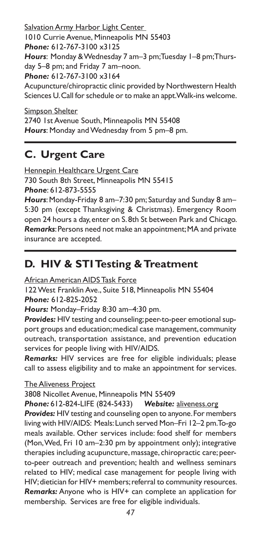Salvation Army Harbor Light Center 1010 Currie Avenue, Minneapolis MN 55403 *Phone:* 612-767-3100 x3125 *Hours*: Monday & Wednesday 7 am–3 pm; Tuesday 1–8 pm; Thursday 5–8 pm; and Friday 7 am–noon. *Phone:* 612-767-3100 x3164 Acupuncture/chiropractic clinic provided by Northwestern Health Sciences U. Call for schedule or to make an appt. Walk-ins welcome.

Simpson Shelter 2740 1st Avenue South, Minneapolis MN 55408 *Hours*: Monday and Wednesday from 5 pm–8 pm.

# **C. Urgent Care**

Hennepin Healthcare Urgent Care 730 South 8th Street, Minneapolis MN 55415 *Phone*: 612-873-5555

*Hours*: Monday-Friday 8 am–7:30 pm; Saturday and Sunday 8 am– 5:30 pm (except Thanksgiving & Christmas). Emergency Room open 24 hours a day, enter on S. 8th St between Park and Chicago. *Remarks*: Persons need not make an appointment; MA and private insurance are accepted.

# **D. HIV & STI Testing & Treatment**

African American AIDS Task Force

122 West Franklin Ave., Suite 518, Minneapolis MN 55404 *Phone:* 612-825-2052

*Hours:* Monday–Friday 8:30 am–4:30 pm.

*Provides:* HIV testing and counseling; peer-to-peer emotional support groups and education; medical case management, community outreach, transportation assistance, and prevention education services for people living with HIV/AIDS.

*Remarks:* HIV services are free for eligible individuals; please call to assess eligibility and to make an appointment for services.

The Aliveness Project

3808 Nicollet Avenue, Minneapolis MN 55409

*Phone:* 612-824-LIFE (824-5433) *Website:* aliveness.org

*Provides:* HIV testing and counseling open to anyone. For members living with HIV/AIDS: Meals: Lunch served Mon–Fri 12–2 pm. To-go meals available. Other services include: food shelf for members (Mon, Wed, Fri 10 am–2:30 pm by appointment only); integrative therapies including acupuncture, massage, chiropractic care; peerto-peer outreach and prevention; health and wellness seminars related to HIV; medical case management for people living with HIV; dietician for HIV+ members; referral to community resources. *Remarks:* Anyone who is HIV+ can complete an application for membership. Services are free for eligible individuals.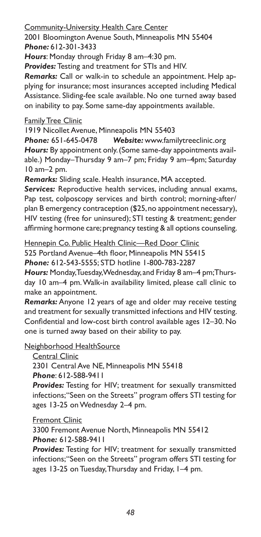Community-University Health Care Center

2001 Bloomington Avenue South, Minneapolis MN 55404 *Phone:* 612-301-3433

*Hours*: Monday through Friday 8 am–4:30 pm.

*Provides:* Testing and treatment for STIs and HIV.

*Remarks:* Call or walk-in to schedule an appointment. Help applying for insurance; most insurances accepted including Medical Assistance. Sliding-fee scale available. No one turned away based on inability to pay. Some same-day appointments available.

#### **Family Tree Clinic**

1919 Nicollet Avenue, Minneapolis MN 55403

*Phone:* 651-645-0478 *Website:* www.familytreeclinic.org *Hours:* By appointment only. (Some same-day appointments available.) Monday–Thursday 9 am–7 pm; Friday 9 am–4pm; Saturday 10 am–2 pm.

*Remarks:* Sliding scale. Health insurance, MA accepted.

*Services:* Reproductive health services, including annual exams, Pap test, colposcopy services and birth control; morning-after/ plan B emergency contraception (\$25, no appointment necessary), HIV testing (free for uninsured); STI testing & treatment; gender affirming hormone care; pregnancy testing & all options counseling.

Hennepin Co. Public Health Clinic—Red Door Clinic

525 Portland Avenue–4th floor, Minneapolis MN 55415

*Phone:* 612-543-5555; STD hotline 1-800-783-2287

*Hours:* Monday, Tuesday, Wednesday, and Friday 8 am–4 pm; Thursday 10 am–4 pm. Walk-in availability limited, please call clinic to make an appointment.

*Remarks:* Anyone 12 years of age and older may receive testing and treatment for sexually transmitted infections and HIV testing. Confidential and low-cost birth control available ages 12–30. No one is turned away based on their ability to pay.

Neighborhood HealthSource

Central Clinic

2301 Central Ave NE, Minneapolis MN 55418

*Phone*: 612-588-9411

*Provides:* Testing for HIV; treatment for sexually transmitted infections; "Seen on the Streets" program offers STI testing for ages 13-25 on Wednesday 2–4 pm.

Fremont Clinic

3300 Fremont Avenue North, Minneapolis MN 55412 *Phone:* 612-588-9411

*Provides:* Testing for HIV; treatment for sexually transmitted infections; "Seen on the Streets" program offers STI testing for ages 13-25 on Tuesday, Thursday and Friday, 1–4 pm.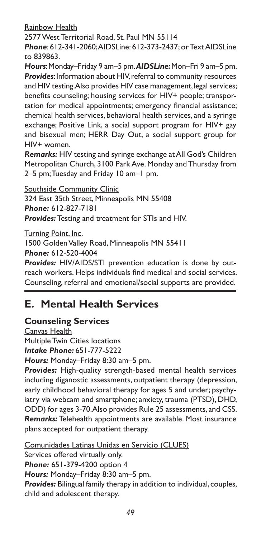Rainbow Health

2577 West Territorial Road, St. Paul MN 55114

*Phone*: 612-341-2060; AIDSLine: 612-373-2437; or Text AIDSLine to 839863.

*Hours*: Monday–Friday 9 am–5 pm. *AIDSLine:* Mon–Fri 9 am–5 pm. *Provides*: Information about HIV, referral to community resources and HIV testing. Also provides HIV case management, legal services; benefits counseling; housing services for HIV+ people; transportation for medical appointments; emergency financial assistance; chemical health services, behavioral health services, and a syringe exchange; Positive Link, a social support program for HIV+ gay and bisexual men; HERR Day Out, a social support group for HIV+ women.

*Remarks:* HIV testing and syringe exchange at All God's Children Metropolitan Church, 3100 Park Ave. Monday and Thursday from 2–5 pm; Tuesday and Friday 10 am–1 pm.

Southside Community Clinic 324 East 35th Street, Minneapolis MN 55408 *Phone:* 612-827-7181 *Provides:* Testing and treatment for STIs and HIV.

Turning Point, Inc. 1500 Golden Valley Road, Minneapolis MN 55411 *Phone:* 612-520-4004

*Provides:* HIV/AIDS/STI prevention education is done by outreach workers. Helps individuals find medical and social services. Counseling, referral and emotional/social supports are provided.

# **E. Mental Health Services**

## **Counseling Services**

Canvas Health Multiple Twin Cities locations *Intake Phone:* 651-777-5222

*Hours:* Monday–Friday 8:30 am–5 pm.

*Provides:* High-quality strength-based mental health services including diganostic assessments, outpatient therapy (depression, early childhood behavioral therapy for ages 5 and under; psychyiatry via webcam and smartphone; anxiety, trauma (PTSD), DHD, ODD) for ages 3-70. Also provides Rule 25 assessments, and CSS. *Remarks:* Telehealth appointments are available. Most insurance plans accepted for outpatient therapy.

Comunidades Latinas Unidas en Servicio (CLUES) Services offered virtually only. *Phone:* 651-379-4200 option 4 *Hours:* Monday–Friday 8:30 am–5 pm. *Provides:* Bilingual family therapy in addition to individual, couples, child and adolescent therapy.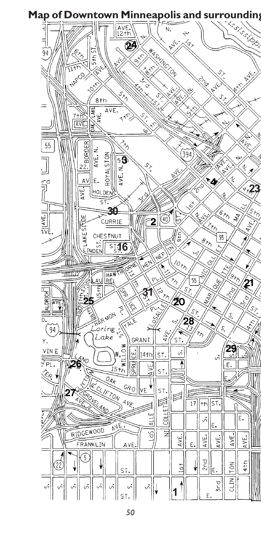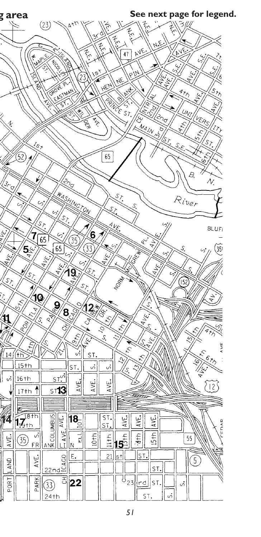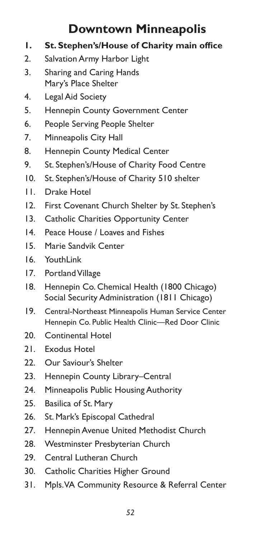# **Downtown Minneapolis**

- **1. St. Stephen's/House of Charity main office**
- 2. Salvation Army Harbor Light
- 3. Sharing and Caring Hands Mary's Place Shelter
- 4. Legal Aid Society
- 5. Hennepin County Government Center
- 6. People Serving People Shelter
- 7. Minneapolis City Hall
- 8. Hennepin County Medical Center
- 9. St. Stephen's/House of Charity Food Centre
- 10. St. Stephen's/House of Charity 510 shelter
- 11. Drake Hotel
- 12. First Covenant Church Shelter by St. Stephen's
- 13. Catholic Charities Opportunity Center
- 14. Peace House / Loaves and Fishes
- 15. Marie Sandvik Center
- 16 YouthLink
- 17. Portland Village
- 18. Hennepin Co. Chemical Health (1800 Chicago) Social Security Administration (1811 Chicago)
- 19. Central-Northeast Minneapolis Human Service Center Hennepin Co. Public Health Clinic—Red Door Clinic
- 20. Continental Hotel
- 21. Exodus Hotel
- 22. Our Saviour's Shelter
- 23. Hennepin County Library–Central
- 24. Minneapolis Public Housing Authority
- 25. Basilica of St. Mary
- 26. St. Mark's Episcopal Cathedral
- 27. Hennepin Avenue United Methodist Church
- 28. Westminster Presbyterian Church
- 29. Central Lutheran Church
- 30. Catholic Charities Higher Ground
- 31. Mpls. VA Community Resource & Referral Center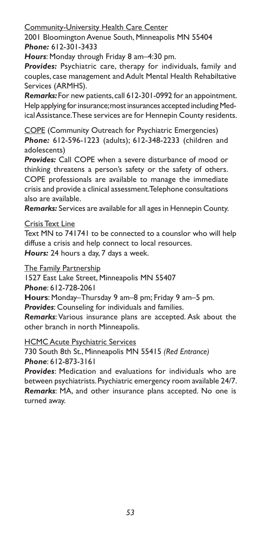Community-University Health Care Center

2001 Bloomington Avenue South, Minneapolis MN 55404 *Phone:* 612-301-3433

*Hours*: Monday through Friday 8 am–4:30 pm.

*Provides:* Psychiatric care, therapy for individuals, family and couples, case management and Adult Mental Health Rehabiltative Services (ARMHS).

*Remarks:* For new patients, call 612-301-0992 for an appointment. Help applying for insurance; most insurances accepted including Medical Assistance. These services are for Hennepin County residents.

COPE (Community Outreach for Psychiatric Emergencies) *Phone:* 612-596-1223 (adults); 612-348-2233 (children and adolescents)

*Provides:* Call COPE when a severe disturbance of mood or thinking threatens a person's safety or the safety of others. COPE professionals are available to manage the immediate crisis and provide a clinical assessment. Telephone consultations also are available.

*Remarks:* Services are available for all ages in Hennepin County.

#### Crisis Text Line

Text MN to 741741 to be connected to a counslor who will help diffuse a crisis and help connect to local resources. *Hours:* 24 hours a day, 7 days a week.

The Family Partnership

1527 East Lake Street, Minneapolis MN 55407

*Phone*: 612-728-2061

**Hours**: Monday–Thursday 9 am–8 pm; Friday 9 am–5 pm.

*Provides*: Counseling for individuals and families.

*Remarks*: Various insurance plans are accepted. Ask about the other branch in north Minneapolis.

**HCMC Acute Psychiatric Services** 

730 South 8th St., Minneapolis MN 55415 *(Red Entrance) Phone*: 612-873-3161

*Provides*: Medication and evaluations for individuals who are between psychiatrists. Psychiatric emergency room available 24/7. *Remarks*: MA, and other insurance plans accepted. No one is turned away.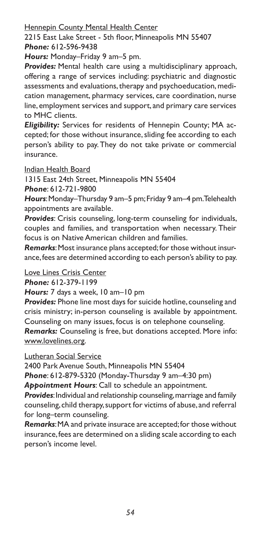**Hennepin County Mental Health Center** 

2215 East Lake Street - 5th floor, Minneapolis MN 55407 *Phone:* 612-596-9438

*Hours:* Monday–Friday 9 am–5 pm.

*Provides:* Mental health care using a multidisciplinary approach, offering a range of services including: psychiatric and diagnostic assessments and evaluations, therapy and psychoeducation, medication management, pharmacy services, care coordination, nurse line, employment services and support, and primary care services to MHC clients.

*Eligibility:* Services for residents of Hennepin County; MA accepted; for those without insurance, sliding fee according to each person's ability to pay. They do not take private or commercial insurance.

#### Indian Health Board

1315 East 24th Street, Minneapolis MN 55404

*Phone*: 612-721-9800

*Hours*: Monday–Thursday 9 am–5 pm; Friday 9 am–4 pm. Telehealth appointments are available.

*Provides*: Crisis counseling, long-term counseling for individuals, couples and families, and transportation when necessary. Their focus is on Native American children and families.

*Remarks*: Most insurance plans accepted; for those without insurance, fees are determined according to each person's ability to pay.

Love Lines Crisis Center

*Phone:* 612-379-1199

#### *Hours:* 7 days a week, 10 am–10 pm

*Provides:* Phone line most days for suicide hotline, counseling and crisis ministry; in-person counseling is available by appointment. Counseling on many issues, focus is on telephone counseling. *Remarks:* Counseling is free, but donations accepted. More info:

www.lovelines.org.

#### Lutheran Social Service

2400 Park Avenue South, Minneapolis MN 55404

*Phone*: 612-879-5320 (Monday-Thursday 9 am–4:30 pm)

*Appointment Hours*: Call to schedule an appointment.

*Provides*: Individual and relationship counseling, marriage and family counseling, child therapy, support for victims of abuse, and referral for long–term counseling.

*Remarks*: MA and private insurace are accepted; for those without insurance, fees are determined on a sliding scale according to each person's income level.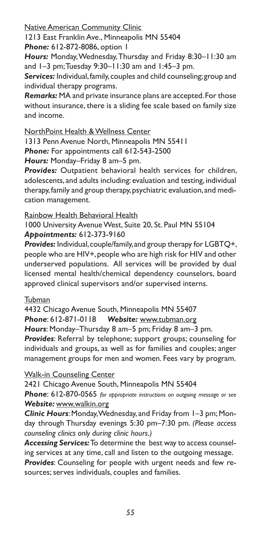Native American Community Clinic

1213 East Franklin Ave., Minneapolis MN 55404

*Phone:* 612-872-8086, option 1

*Hours:* Monday, Wednesday, Thursday and Friday 8:30–11:30 am and 1–3 pm; Tuesday 9:30–11:30 am and 1:45–3 pm.

*Services:* Individual, family, couples and child counseling; group and individual therapy programs.

*Remarks:* MA and private insurance plans are accepted. For those without insurance, there is a sliding fee scale based on family size and income.

NorthPoint Health & Wellness Center

1313 Penn Avenue North, Minneapolis MN 55411

*Phone:* For appointments call 612-543-2500

*Hours:* Monday–Friday 8 am–5 pm.

*Provides:* Outpatient behavioral health services for children, adolescents, and adults including: evaluation and testing, individual therapy, family and group therapy, psychiatric evaluation, and medication management.

Rainbow Health Behavioral Health

1000 University Avenue West, Suite 20, St. Paul MN 55104 *Appointments:* 612-373-9160

*Provides:* Individual, couple/family, and group therapy for LGBTQ+, people who are HIV+, people who are high risk for HIV and other underserved populations. All services will be provided by dual licensed mental health/chemical dependency counselors, board approved clinical supervisors and/or supervised interns.

### Tubman

4432 Chicago Avenue South, Minneapolis MN 55407 *Phone*: 612-871-0118 *Website:* www.tubman.org *Hours*: Monday–Thursday 8 am–5 pm; Friday 8 am–3 pm.

*Provides*: Referral by telephone; support groups; counseling for individuals and groups, as well as for families and couples; anger management groups for men and women. Fees vary by program.

Walk-in Counseling Center

2421 Chicago Avenue South, Minneapolis MN 55404 *Phone*: 612-870-0565 *for appropriate instructions on outgoing message or see Website:* www.walkin.org

*Clinic Hours*: Monday, Wednesday, and Friday from 1–3 pm; Monday through Thursday evenings 5:30 pm–7:30 pm. *(Please access counseling clinics only during clinic hours.)*

*Accessing Services:* To determine the best way to access counseling services at any time, call and listen to the outgoing message.

*Provides*: Counseling for people with urgent needs and few resources; serves individuals, couples and families.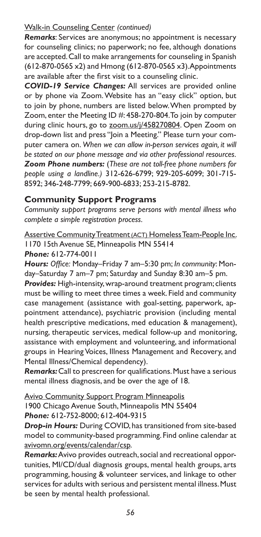### Walk-in Counseling Center *(continued)*

*Remarks*: Services are anonymous; no appointment is necessary for counseling clinics; no paperwork; no fee, although donations are accepted. Call to make arrangements for counseling in Spanish (612-870-0565 x2) and Hmong (612-870-0565 x3). Appointments are available after the first visit to a counseling clinic.

*COVID-19 Service Changes:* All services are provided online or by phone via Zoom. Website has an "easy click" option, but to join by phone, numbers are listed below. When prompted by Zoom, enter the Meeting ID #: 458-270-804. To join by computer during clinic hours, go to zoom.us/j/458270804. Open Zoom on drop-down list and press "Join a Meeting." Please turn your computer camera on. *When we can allow in-person services again, it will be stated on our phone message and via other professional resources. Zoom Phone numbers:* (*These are not toll-free phone numbers for people using a landline.)* 312-626-6799; 929-205-6099; 301-715- 8592; 346-248-7799; 669-900-6833; 253-215-8782.

### **Community Support Programs**

*Community support programs serve persons with mental illness who complete a simple registration process.*

Assertive Community Treatment (ACT) Homeless Team-People Inc. 1170 15th Avenue SE, Minneapolis MN 55414

*Phone:* 612-774-0011

*Hours: Office:* Monday–Friday 7 am–5:30 pm; *In community*: Monday–Saturday 7 am–7 pm; Saturday and Sunday 8:30 am–5 pm.

*Provides:* High-intensity, wrap-around treatment program; clients must be willing to meet three times a week. Field and community case management (assistance with goal-setting, paperwork, appointment attendance), psychiatric provision (including mental health prescriptive medications, med education & management), nursing, therapeutic services, medical follow-up and monitoring, assistance with employment and volunteering, and informational groups in Hearing Voices, Illness Management and Recovery, and Mental Illness/Chemical dependency).

*Remarks:* Call to prescreen for qualifications. Must have a serious mental illness diagnosis, and be over the age of 18.

Avivo Community Support Program Minneapolis 1900 Chicago Avenue South, Minneapolis MN 55404 *Phone:* 612-752-8000; 612-404-9315

*Drop-in Hours:* During COVID, has transitioned from site-based model to community-based programming. Find online calendar at avivomn.org/events/calendar/csp.

*Remarks:* Avivo provides outreach, social and recreational opportunities, MI/CD/dual diagnosis groups, mental health groups, arts programming, housing & volunteer services, and linkage to other services for adults with serious and persistent mental illness. Must be seen by mental health professional.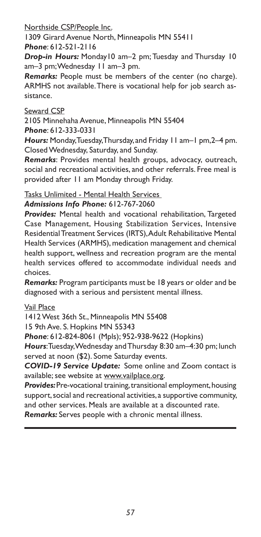Northside CSP/People Inc.

1309 Girard Avenue North, Minneapolis MN 55411 *Phone*: 612-521-2116

*Drop-in Hours:* Monday10 am–2 pm; Tuesday and Thursday 10 am–3 pm; Wednesday 11 am–3 pm.

*Remarks:* People must be members of the center (no charge). ARMHS not available. There is vocational help for job search assistance.

### Seward CSP

2105 Minnehaha Avenue, Minneapolis MN 55404 *Phone*: 612-333-0331

*Hours:* Monday, Tuesday, Thursday, and Friday 11 am–1 pm,2–4 pm. Closed Wednesday, Saturday, and Sunday.

*Remarks*: Provides mental health groups, advocacy, outreach, social and recreational activities, and other referrals. Free meal is provided after 11 am Monday through Friday.

Tasks Unlimited - Mental Health Services

*Admissions Info Phone:* 612-767-2060

*Provides:* Mental health and vocational rehabilitation, Targeted Case Management, Housing Stabilization Services, Intensive Residential Treatment Services (IRTS), Adult Rehabilitative Mental Health Services (ARMHS), medication management and chemical health support, wellness and recreation program are the mental health services offered to accommodate individual needs and choices.

*Remarks:* Program participants must be 18 years or older and be diagnosed with a serious and persistent mental illness.

### Vail Place

1412 West 36th St., Minneapolis MN 55408

15 9th Ave. S. Hopkins MN 55343

*Phone*: 612-824-8061 (Mpls); 952-938-9622 (Hopkins)

*Hours*: Tuesday, Wednesday and Thursday 8:30 am–4:30 pm; lunch served at noon (\$2). Some Saturday events.

*COVID-19 Service Update:* Some online and Zoom contact is available; see website at www.vailplace.org.

*Provides:* Pre-vocational training, transitional employment, housing support, social and recreational activities, a supportive community, and other services. Meals are available at a discounted rate.

*Remarks:* Serves people with a chronic mental illness.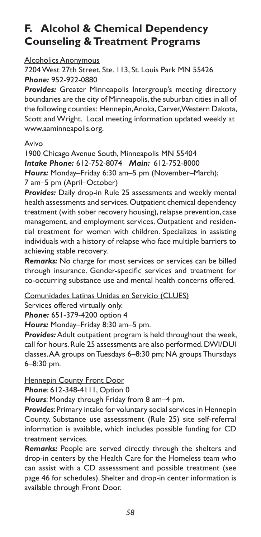# **F. Alcohol & Chemical Dependency Counseling & Treatment Programs**

#### Alcoholics Anonymous

7204 West 27th Street, Ste. 113, St. Louis Park MN 55426 *Phone:* 952-922-0880

**Provides:** Greater Minneapolis Intergroup's meeting directory boundaries are the city of Minneapolis, the suburban cities in all of the following counties: Hennepin, Anoka, Carver, Western Dakota, Scott and Wright. Local meeting information updated weekly at www.aaminneapolis.org.

#### **Avivo**

1900 Chicago Avenue South, Minneapolis MN 55404 *Intake Phone:* 612-752-8074 *Main:* 612-752-8000 *Hours:* Monday–Friday 6:30 am–5 pm (November–March); 7 am–5 pm (April–October)

*Provides:* Daily drop-in Rule 25 assessments and weekly mental health assessments and services. Outpatient chemical dependency treatment (with sober recovery housing), relapse prevention, case management, and employment services. Outpatient and residential treatment for women with children. Specializes in assisting individuals with a history of relapse who face multiple barriers to achieving stable recovery.

*Remarks:* No charge for most services or services can be billed through insurance. Gender-specific services and treatment for co-occurring substance use and mental health concerns offered.

Comunidades Latinas Unidas en Servicio (CLUES)

Services offered virtually only.

*Phone:* 651-379-4200 option 4

*Hours:* Monday–Friday 8:30 am–5 pm.

*Provides:* Adult outpatient program is held throughout the week, call for hours. Rule 25 assessments are also performed. DWI/DUI classes. AA groups on Tuesdays 6–8:30 pm; NA groups Thursdays 6–8:30 pm.

**Hennepin County Front Door** 

*Phone*: 612-348-4111, Option 0

*Hours*: Monday through Friday from 8 am–4 pm.

*Provides*: Primary intake for voluntary social services in Hennepin County. Substance use assesssment (Rule 25) site self-referral information is available, which includes possible funding for CD treatment services.

*Remarks:* People are served directly through the shelters and drop-in centers by the Health Care for the Homeless team who can assist with a CD assesssment and possible treatment (see page 46 for schedules). Shelter and drop-in center information is available through Front Door.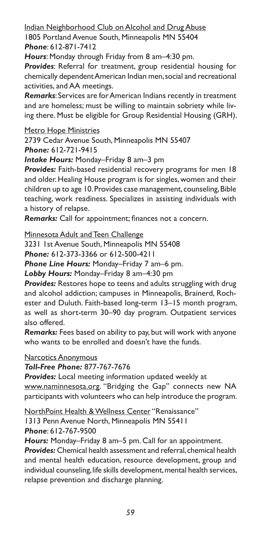Indian Neighborhood Club on Alcohol and Drug Abuse

1805 Portland Avenue South, Minneapolis MN 55404 *Phone*: 612-871-7412

*Hours*: Monday through Friday from 8 am–4:30 pm.

*Provides*: Referral for treatment, group residential housing for chemically dependent American Indian men, social and recreational activities, and AA meetings.

*Remarks*: Services are for American Indians recently in treatment and are homeless; must be willing to maintain sobriety while living there. Must be eligible for Group Residential Housing (GRH).

Metro Hope Ministries

2739 Cedar Avenue South, Minneapolis MN 55407 *Phone:* 612-721-9415

*Intake Hours:* Monday–Friday 8 am–3 pm

*Provides:* Faith-based residential recovery programs for men 18 and older. Healing House program is for singles, women and their children up to age 10. Provides case management, counseling, Bible teaching, work readiness. Specializes in assisting individuals with a history of relapse.

*Remarks:* Call for appointment; finances not a concern.

Minnesota Adult and Teen Challenge

3231 1st Avenue South, Minneapolis MN 55408

*Phone:* 612-373-3366 or 612-500-4211

*Phone Line Hours:* Monday–Friday 7 am–6 pm.

*Lobby Hours:* Monday–Friday 8 am–4:30 pm

*Provides:* Restores hope to teens and adults struggling with drug and alcohol addiction; campuses in Minneapolis, Brainerd, Rochester and Duluth. Faith-based long-term 13–15 month program, as well as short-term 30–90 day program. Outpatient services also offered.

*Remarks:* Fees based on ability to pay, but will work with anyone who wants to be enrolled and doesn't have the funds.

Narcotics Anonymous

*Toll-Free Phone:* 877-767-7676

*Provides:* Local meeting information updated weekly at www.naminnesota.org. "Bridging the Gap" connects new NA participants with volunteers who can help introduce the program.

NorthPoint Health & Wellness Center "Renaissance"

1313 Penn Avenue North, Minneapolis MN 55411 *Phone*: 612-767-9500

*Hours:* Monday–Friday 8 am–5 pm. Call for an appointment.

*Provides:* Chemical health assessment and referral, chemical health and mental health education, resource development, group and individual counseling, life skills development, mental health services, relapse prevention and discharge planning.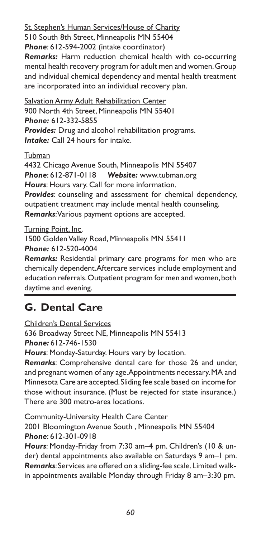St. Stephen's Human Services/House of Charity

510 South 8th Street, Minneapolis MN 55404

*Phone*: 612-594-2002 (intake coordinator)

*Remarks:* Harm reduction chemical health with co-occurring mental health recovery program for adult men and women. Group and individual chemical dependency and mental health treatment are incorporated into an individual recovery plan.

Salvation Army Adult Rehabilitation Center 900 North 4th Street, Minneapolis MN 55401 *Phone:* 612-332-5855 *Provides:* Drug and alcohol rehabilitation programs. *Intake:* Call 24 hours for intake.

Tubman

4432 Chicago Avenue South, Minneapolis MN 55407 *Phone*: 612-871-0118 *Website:* www.tubman.org *Hours*: Hours vary. Call for more information. *Provides*: counseling and assessment for chemical dependency, outpatient treatment may include mental health counseling. *Remarks*: Various payment options are accepted.

Turning Point, Inc.

1500 Golden Valley Road, Minneapolis MN 55411

*Phone:* 612-520-4004

*Remarks:* Residential primary care programs for men who are chemically dependent. Aftercare services include employment and education referrals. Outpatient program for men and women, both daytime and evening.

# **G. Dental Care**

Children's Dental Services

636 Broadway Street NE, Minneapolis MN 55413 *Phone:* 612-746-1530

*Hours*: Monday-Saturday. Hours vary by location.

*Remarks*: Comprehensive dental care for those 26 and under, and pregnant women of any age. Appointments necessary. MA and Minnesota Care are accepted. Sliding fee scale based on income for those without insurance. (Must be rejected for state insurance.) There are 300 metro-area locations.

Community-University Health Care Center

2001 Bloomington Avenue South , Minneapolis MN 55404 *Phone*: 612-301-0918

*Hours*: Monday-Friday from 7:30 am–4 pm. Children's (10 & under) dental appointments also available on Saturdays 9 am–1 pm. *Remarks*: Services are offered on a sliding-fee scale. Limited walkin appointments available Monday through Friday 8 am–3:30 pm.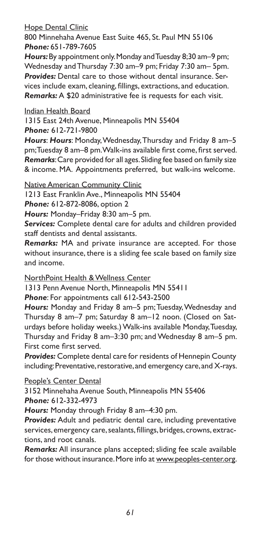#### Hope Dental Clinic

800 Minnehaha Avenue East Suite 465, St. Paul MN 55106 *Phone:* 651-789-7605

*Hours:* By appointment only. Monday and Tuesday 8;30 am–9 pm; Wednesday and Thursday 7:30 am–9 pm; Friday 7:30 am– 5pm. *Provides:* Dental care to those without dental insurance. Services include exam, cleaning, fillings, extractions, and education. *Remarks:* A \$20 administrative fee is requests for each visit.

#### Indian Health Board

1315 East 24th Avenue, Minneapolis MN 55404 *Phone:* 612-721-9800

*Hours*: *Hours*: Monday, Wednesday, Thursday and Friday 8 am–5 pm; Tuesday 8 am–8 pm. Walk-ins available first come, first served. *Remarks*: Care provided for all ages. Sliding fee based on family size & income. MA. Appointments preferred, but walk-ins welcome.

Native American Community Clinic

1213 East Franklin Ave., Minneapolis MN 55404

*Phone:* 612-872-8086, option 2

*Hours:* Monday–Friday 8:30 am–5 pm.

*Services:* Complete dental care for adults and children provided staff dentists and dental assistants.

*Remarks:* MA and private insurance are accepted. For those without insurance, there is a sliding fee scale based on family size and income.

NorthPoint Health & Wellness Center

1313 Penn Avenue North, Minneapolis MN 55411

*Phone*: For appointments call 612-543-2500

*Hours:* Monday and Friday 8 am–5 pm; Tuesday, Wednesday and Thursday 8 am–7 pm; Saturday 8 am–12 noon. (Closed on Saturdays before holiday weeks.) Walk-ins available Monday, Tuesday, Thursday and Friday 8 am–3:30 pm; and Wednesday 8 am–5 pm. First come first served.

*Provides:* Complete dental care for residents of Hennepin County including: Preventative, restorative, and emergency care, and X-rays.

People's Center Dental

3152 Minnehaha Avenue South, Minneapolis MN 55406 *Phone:* 612-332-4973

*Hours:* Monday through Friday 8 am–4:30 pm.

*Provides:* Adult and pediatric dental care, including preventative services, emergency care, sealants, fillings, bridges, crowns, extractions, and root canals.

*Remarks:* All insurance plans accepted; sliding fee scale available for those without insurance. More info at www.peoples-center.org.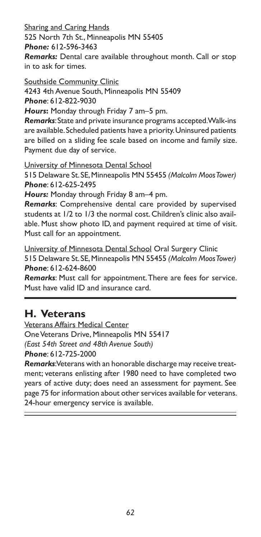Sharing and Caring Hands

525 North 7th St., Minneapolis MN 55405

*Phone:* 612-596-3463

*Remarks:* Dental care available throughout month. Call or stop in to ask for times.

Southside Community Clinic

4243 4th Avenue South, Minneapolis MN 55409 *Phone*: 612-822-9030

*Hours***:** Monday through Friday 7 am–5 pm.

*Remarks*: State and private insurance programs accepted. Walk-ins are available. Scheduled patients have a priority. Uninsured patients are billed on a sliding fee scale based on income and family size. Payment due day of service.

University of Minnesota Dental School

515 Delaware St. SE, Minneapolis MN 55455 *(Malcolm Moos Tower) Phone*: 612-625-2495

*Hours:* Monday through Friday 8 am–4 pm.

*Remarks*: Comprehensive dental care provided by supervised students at 1/2 to 1/3 the normal cost. Children's clinic also available. Must show photo ID, and payment required at time of visit. Must call for an appointment.

University of Minnesota Dental School Oral Surgery Clinic 515 Delaware St. SE, Minneapolis MN 55455 *(Malcolm Moos Tower) Phone*: 612-624-8600

*Remarks*: Must call for appointment. There are fees for service. Must have valid ID and insurance card.

# **H. Veterans**

Veterans Affairs Medical Center One Veterans Drive, Minneapolis MN 55417 *(East 54th Street and 48th Avenue South) Phone*: 612-725-2000

*Remarks*: Veterans with an honorable discharge may receive treatment; veterans enlisting after 1980 need to have completed two years of active duty; does need an assessment for payment. See page 75 for information about other services available for veterans. 24-hour emergency service is available.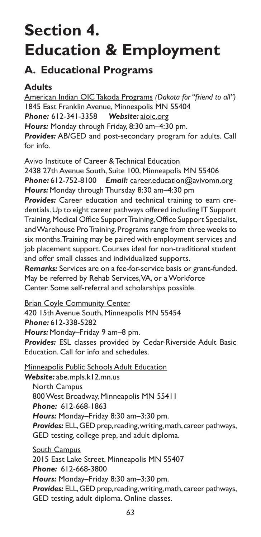# **Section 4. Education & Employment**

# **A. Educational Programs**

# **Adults**

American Indian OIC Takoda Programs *(Dakota for "friend to all")* 1845 East Franklin Avenue, Minneapolis MN 55404 *Phone:* 612-341-3358 *Website:* aioic.org *Hours:* Monday through Friday, 8:30 am–4:30 pm. *Provides:* AB/GED and post-secondary program for adults. Call for info.

Avivo Institute of Career & Technical Education

2438 27th Avenue South, Suite 100, Minneapolis MN 55406 *Phone:* 612-752-8100 *Email:* career.education@avivomn.org *Hours:* Monday through Thursday 8:30 am–4:30 pm *Provides:* Career education and technical training to earn credentials. Up to eight career pathways offered including IT Support Training, Medical Office Support Training, Office Support Specialist, and Warehouse Pro Training. Programs range from three weeks to six months. Training may be paired with employment services and job placement support. Courses ideal for non-traditional student and offer small classes and individualized supports.

*Remarks:* Services are on a fee-for-service basis or grant-funded. May be referred by Rehab Services, VA, or a Workforce Center. Some self-referral and scholarships possible.

Brian Coyle Community Center

420 15th Avenue South, Minneapolis MN 55454 *Phone:* 612-338-5282

*Hours:* Monday–Friday 9 am–8 pm.

*Provides:* ESL classes provided by Cedar-Riverside Adult Basic Education. Call for info and schedules.

Minneapolis Public Schools Adult Education

*Website:* abe.mpls.k12.mn.us North Campus 800 West Broadway, Minneapolis MN 55411 *Phone:* 612-668-1863 *Hours:* Monday–Friday 8:30 am–3:30 pm. *Provides:* ELL, GED prep, reading, writing, math, career pathways, GED testing, college prep, and adult diploma.

South Campus 2015 East Lake Street, Minneapolis MN 55407 *Phone:* 612-668-3800 *Hours:* Monday–Friday 8:30 am–3:30 pm. *Provides:* ELL, GED prep, reading, writing, math, career pathways, GED testing, adult diploma. Online classes.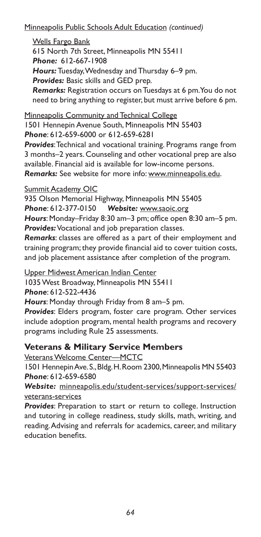Minneapolis Public Schools Adult Education *(continued)*

### Wells Fargo Bank

615 North 7th Street, Minneapolis MN 55411

*Phone:* 612-667-1908

*Hours:* Tuesday, Wednesday and Thursday 6–9 pm.

*Provides:* Basic skills and GED prep.

*Remarks:* Registration occurs on Tuesdays at 6 pm. You do not need to bring anything to register, but must arrive before 6 pm.

Minneapolis Community and Technical College

1501 Hennepin Avenue South, Minneapolis MN 55403 *Phone*: 612-659-6000 or 612-659-6281

*Provides*: Technical and vocational training. Programs range from 3 months–2 years. Counseling and other vocational prep are also available. Financial aid is available for low-income persons. *Remarks:* See website for more info: www.minneapolis.edu.

### Summit Academy OIC

935 Olson Memorial Highway, Minneapolis MN 55405 *Phone*: 612-377-0150 *Website:* www.saoic.org *Hours*: Monday–Friday 8:30 am–3 pm; office open 8:30 am–5 pm.

*Provides:* Vocational and job preparation classes. *Remarks*: classes are offered as a part of their employment and

training program; they provide financial aid to cover tuition costs, and job placement assistance after completion of the program.

Upper Midwest American Indian Center

1035 West Broadway, Minneapolis MN 55411

*Phone*: 612-522-4436

*Hours*: Monday through Friday from 8 am–5 pm.

*Provides*: Elders program, foster care program. Other services include adoption program, mental health programs and recovery programs including Rule 25 assessments.

## **Veterans & Military Service Members**

Veterans Welcome Center—MCTC

1501 Hennepin Ave. S., Bldg. H. Room 2300, Minneapolis MN 55403 *Phone*: 612-659-6580

*Website:* minneapolis.edu/student-services/support-services/ veterans-services

*Provides*: Preparation to start or return to college. Instruction and tutoring in college readiness, study skills, math, writing, and reading. Advising and referrals for academics, career, and military education benefits.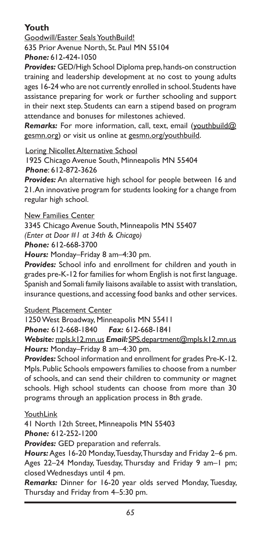## **Youth**

Goodwill/Easter Seals YouthBuild! 635 Prior Avenue North, St. Paul MN 55104

*Phone:* 612-424-1050

*Provides:* GED/High School Diploma prep, hands-on construction training and leadership development at no cost to young adults ages 16-24 who are not currently enrolled in school. Students have assistance preparing for work or further schooling and support in their next step. Students can earn a stipend based on program attendance and bonuses for milestones achieved.

*Remarks:* For more information, call, text, email (youthbuild@ gesmn.org) or visit us online at gesmn.org/youthbuild.

Loring Nicollet Alternative School

1925 Chicago Avenue South, Minneapolis MN 55404

*Phone*: 612-872-3626

*Provides:* An alternative high school for people between 16 and 21. An innovative program for students looking for a change from regular high school.

New Families Center

3345 Chicago Avenue South, Minneapolis MN 55407

*(Enter at Door #1 at 34th & Chicago)*

*Phone:* 612-668-3700

*Hours:* Monday–Friday 8 am–4:30 pm.

*Provides:* School info and enrollment for children and youth in grades pre-K-12 for families for whom English is not first language. Spanish and Somali family liaisons available to assist with translation, insurance questions, and accessing food banks and other services.

Student Placement Center

1250 West Broadway, Minneapolis MN 55411

*Phone:* 612-668-1840 *Fax:* 612-668-1841

*Website:* mpls.k12.mn.us *Email:* SPS.department@mpls.k12.mn.us *Hours:* Monday–Friday 8 am–4:30 pm.

*Provides:* School information and enrollment for grades Pre-K-12. Mpls. Public Schools empowers families to choose from a number of schools, and can send their children to community or magnet schools. High school students can choose from more than 30 programs through an application process in 8th grade.

**YouthLink** 

41 North 12th Street, Minneapolis MN 55403

*Phone:* 612-252-1200

*Provides:* GED preparation and referrals.

*Hours:* Ages 16-20 Monday, Tuesday, Thursday and Friday 2–6 pm. Ages 22–24 Monday, Tuesday, Thursday and Friday 9 am–1 pm; closed Wednesdays until 4 pm.

*Remarks:* Dinner for 16-20 year olds served Monday, Tuesday, Thursday and Friday from 4–5:30 pm.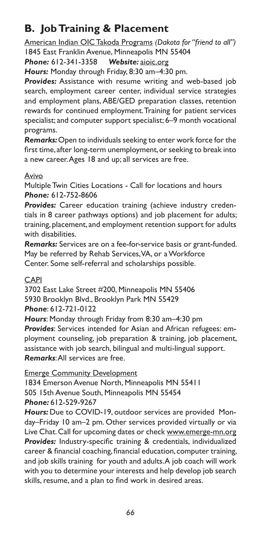# **B. Job Training & Placement**

American Indian OIC Takoda Programs *(Dakota for "friend to all")* 1845 East Franklin Avenue, Minneapolis MN 55404

*Phone:* 612-341-3358 *Website:* aioic.org

*Hours:* Monday through Friday, 8:30 am–4:30 pm.

*Provides:* Assistance with resume writing and web-based job search, employment career center, individual service strategies and employment plans, ABE/GED preparation classes, retention rewards for continued employment. Training for patient services specialist; and computer support specialist; 6–9 month vocational programs.

*Remarks:* Open to individuals seeking to enter work force for the first time, after long-term unemployment, or seeking to break into a new career. Ages 18 and up; all services are free.

### Avivo

Multiple Twin Cities Locations - Call for locations and hours *Phone:* 612-752-8606

*Provides:* Career education training (achieve industry credentials in 8 career pathways options) and job placement for adults; training, placement, and employment retention support for adults with disabilities.

*Remarks:* Services are on a fee-for-service basis or grant-funded. May be referred by Rehab Services, VA, or a Workforce Center. Some self-referral and scholarships possible.

### CAPI

3702 East Lake Street #200, Minneapolis MN 55406 5930 Brooklyn Blvd., Brooklyn Park MN 55429 *Phone*: 612-721-0122

*Hours*: Monday through Friday from 8:30 am–4:30 pm *Provides*: Services intended for Asian and African refugees: employment counseling, job preparation & training, job placement, assistance with job search, bilingual and multi-lingual support. *Remarks*: All services are free.

Emerge Community Development

1834 Emerson Avenue North, Minneapolis MN 55411 505 15th Avenue South, Minneapolis MN 55454 *Phone:* 612-529-9267

*Hours:* Due to COVID-19, outdoor services are provided Monday–Friday 10 am–2 pm. Other services provided virtually or via Live Chat. Call for upcoming dates or check www.emerge-mn.org *Provides:* Industry-specific training & credentials, individualized career & financial coaching, financial education, computer training, and job skills training for youth and adults. A job coach will work with you to determine your interests and help develop job search skills, resume, and a plan to find work in desired areas.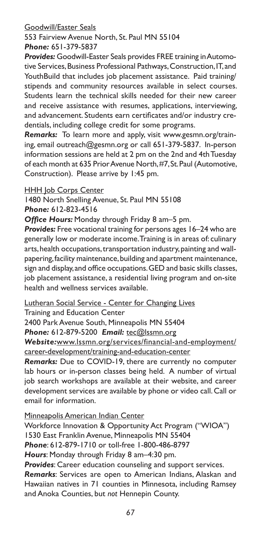#### Goodwill/Easter Seals

553 Fairview Avenue North, St. Paul MN 55104 *Phone:* 651-379-5837

*Provides:* Goodwill-Easter Seals provides FREE training in Automotive Services, Business Professional Pathways, Construction, IT, and YouthBuild that includes job placement assistance. Paid training/ stipends and community resources available in select courses. Students learn the technical skills needed for their new career and receive assistance with resumes, applications, interviewing, and advancement. Students earn certificates and/or industry credentials, including college credit for some programs.

*Remarks:* To learn more and apply, visit www.gesmn.org/training, email outreach@gesmn.org or call 651-379-5837. In-person information sessions are held at 2 pm on the 2nd and 4th Tuesday of each month at 635 Prior Avenue North, #7, St. Paul (Automotive, Construction). Please arrive by 1:45 pm.

HHH Job Corps Center

1480 North Snelling Avenue, St. Paul MN 55108 *Phone:* 612-823-4516

*Office Hours:* Monday through Friday 8 am–5 pm.

*Provides:* Free vocational training for persons ages 16–24 who are generally low or moderate income. Training is in areas of: culinary arts, health occupations, transportation industry, painting and wallpapering, facility maintenance, building and apartment maintenance, sign and display, and office occupations. GED and basic skills classes, job placement assistance, a residential living program and on-site health and wellness services available.

Lutheran Social Service - Center for Changing Lives

Training and Education Center

2400 Park Avenue South, Minneapolis MN 55404

*Phone:* 612-879-5200 *Email:* tec@lssmn.org

*Website:*www.lssmn.org/services/financial-and-employment/ career-development/training-and-education-center

*Remarks:* Due to COVID-19, there are currently no computer lab hours or in-person classes being held. A number of virtual job search workshops are available at their website, and career development services are available by phone or video call. Call or email for information.

Minneapolis American Indian Center

Workforce Innovation & Opportunity Act Program ("WIOA") 1530 East Franklin Avenue, Minneapolis MN 55404 *Phone*: 612-879-1710 or toll-free 1-800-486-8797 *Hours*: Monday through Friday 8 am–4:30 pm.

*Provides*: Career education counseling and support services.

*Remarks*: Services are open to American Indians, Alaskan and Hawaiian natives in 71 counties in Minnesota, including Ramsey and Anoka Counties, but *not* Hennepin County.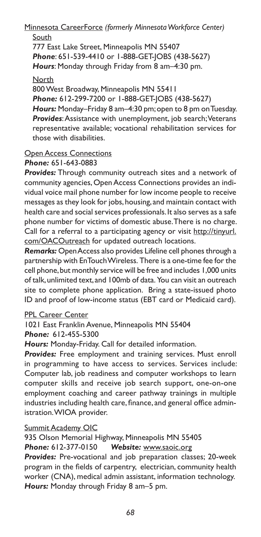Minnesota CareerForce *(formerly Minnesota Workforce Center)* South

777 East Lake Street, Minneapolis MN 55407 *Phone*: 651-539-4410 or 1-888-GET-JOBS (438-5627) *Hours*: Monday through Friday from 8 am–4:30 pm.

**North** 

800 West Broadway, Minneapolis MN 55411 *Phone:* 612-299-7200 or 1-888-GET-JOBS (438-5627) *Hours:* Monday–Friday 8 am–4:30 pm; open to 8 pm on Tuesday. *Provides*: Assistance with unemployment, job search; Veterans representative available; vocational rehabilitation services for those with disabilities.

#### **Open Access Connections** *Phone:* 651-643-0883

*Provides:* Through community outreach sites and a network of community agencies, Open Access Connections provides an individual voice mail phone number for low income people to receive messages as they look for jobs, housing, and maintain contact with health care and social services professionals. It also serves as a safe phone number for victims of domestic abuse. There is no charge. Call for a referral to a participating agency or visit http://tinyurl. com/OACOutreach for updated outreach locations.

*Remarks:* Open Access also provides Lifeline cell phones through a partnership with EnTouch Wireless. There is a one-time fee for the cell phone, but monthly service will be free and includes 1,000 units of talk, unlimited text, and 100mb of data. You can visit an outreach site to complete phone application. Bring a state-issued photo ID and proof of low-income status (EBT card or Medicaid card).

#### PPL Career Center

1021 East Franklin Avenue, Minneapolis MN 55404

*Phone:* 612-455-5300

*Hours:* Monday-Friday. Call for detailed information.

*Provides:* Free employment and training services. Must enroll in programming to have access to services. Services include: Computer lab, job readiness and computer workshops to learn computer skills and receive job search support, one-on-one employment coaching and career pathway trainings in multiple industries including health care, finance, and general office administration. WIOA provider.

#### **Summit Academy OIC**

935 Olson Memorial Highway, Minneapolis MN 55405 *Phone:* 612-377-0150 *Website:* www.saoic.org

*Provides:* Pre-vocational and job preparation classes; 20-week program in the fields of carpentry, electrician, community health worker (CNA), medical admin assistant, information technology. *Hours:* Monday through Friday 8 am–5 pm.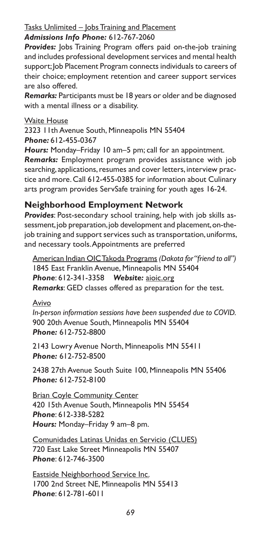# Tasks Unlimited - Jobs Training and Placement

### *Admissions Info Phone:* 612-767-2060

**Provides:** Jobs Training Program offers paid on-the-job training and includes professional development services and mental health support; Job Placement Program connects individuals to careers of their choice; employment retention and career support services are also offered.

*Remarks:* Participants must be 18 years or older and be diagnosed with a mental illness or a disability.

### Waite House

2323 11th Avenue South, Minneapolis MN 55404 *Phone:* 612-455-0367

*Hours:* Monday–Friday 10 am–5 pm; call for an appointment.

*Remarks:* Employment program provides assistance with job searching, applications, resumes and cover letters, interview practice and more. Call 612-455-0385 for information about Culinary arts program provides ServSafe training for youth ages 16-24.

### **Neighborhood Employment Network**

*Provides*: Post-secondary school training, help with job skills assessment, job preparation, job development and placement, on-thejob training and support services such as transportation, uniforms, and necessary tools. Appointments are preferred

American Indian OIC Takoda Programs *(Dakota for "friend to all")* 1845 East Franklin Avenue, Minneapolis MN 55404 *Phone*: 612-341-3358 *Website:* aioic.org *Remarks*: GED classes offered as preparation for the test.

#### Avivo

*In-person information sessions have been suspended due to COVID.* 900 20th Avenue South, Minneapolis MN 55404 *Phone:* 612-752-8800

2143 Lowry Avenue North, Minneapolis MN 55411 *Phone:* 612-752-8500

2438 27th Avenue South Suite 100, Minneapolis MN 55406 *Phone:* 612-752-8100

**Brian Coyle Community Center** 420 15th Avenue South, Minneapolis MN 55454 *Phone*: 612-338-5282 *Hours:* Monday–Friday 9 am–8 pm.

Comunidades Latinas Unidas en Servicio (CLUES) 720 East Lake Street Minneapolis MN 55407 *Phone*: 612-746-3500

Eastside Neighborhood Service Inc. 1700 2nd Street NE, Minneapolis MN 55413 *Phone*: 612-781-6011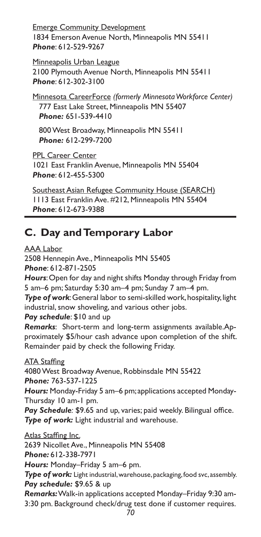Emerge Community Development 1834 Emerson Avenue North, Minneapolis MN 55411 *Phone*: 612-529-9267

Minneapolis Urban League 2100 Plymouth Avenue North, Minneapolis MN 55411 *Phone*: 612-302-3100

Minnesota CareerForce *(formerly Minnesota Workforce Center)* 777 East Lake Street, Minneapolis MN 55407 *Phone:* 651-539-4410

800 West Broadway, Minneapolis MN 55411 *Phone:* 612-299-7200

PPL Career Center 1021 East Franklin Avenue, Minneapolis MN 55404 *Phone*: 612-455-5300

Southeast Asian Refugee Community House (SEARCH) 1113 East Franklin Ave. #212, Minneapolis MN 55404 *Phone*: 612-673-9388

# **C. Day and Temporary Labor**

AAA Labor

2508 Hennepin Ave., Minneapolis MN 55405 *Phone*: 612-871-2505 *Hours*: Open for day and night shifts Monday through Friday from 5 am–6 pm; Saturday 5:30 am–4 pm; Sunday 7 am–4 pm. *Type of work*: General labor to semi-skilled work, hospitality, light industrial, snow shoveling, and various other jobs. *Pay schedule*: \$10 and up *Remarks*: Short-term and long-term assignments available.Approximately \$5/hour cash advance upon completion of the shift. Remainder paid by check the following Friday. **ATA Staffing** 4080 West Broadway Avenue, Robbinsdale MN 55422 *Phone:* 763-537-1225 *Hours:* Monday-Friday 5 am–6 pm; applications accepted Monday-Thursday 10 am-1 pm. Pay Schedule: \$9.65 and up, varies; paid weekly. Bilingual office. *Type of work:* Light industrial and warehouse. Atlas Staffing Inc. 2639 Nicollet Ave., Minneapolis MN 55408 *Phone:* 612-338-7971 *Hours:* Monday–Friday 5 am–6 pm. *Type of work:* Light industrial, warehouse, packaging, food svc, assembly. *Pay schedule:* \$9.65 & up *Remarks:* Walk-in applications accepted Monday–Friday 9:30 am-

3:30 pm. Background check/drug test done if customer requires.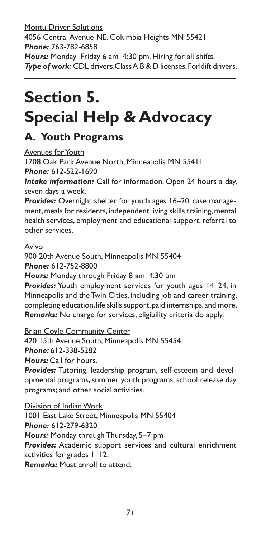Montu Driver Solutions 4056 Central Avenue NE, Columbia Heights MN 55421 *Phone:* 763-782-6858 *Hours:* Monday–Friday 6 am–4:30 pm. Hiring for all shifts. *Type of work:* CDL drivers.Class A B & D licenses. Forklift drivers.

# **Section 5. Special Help & Advocacy**

# **A. Youth Programs**

Avenues for Youth

1708 Oak Park Avenue North, Minneapolis MN 55411 *Phone:* 612-522-1690

*Intake information:* Call for information. Open 24 hours a day, seven days a week.

*Provides:* Overnight shelter for youth ages 16–20; case management, meals for residents, independent living skills training, mental health services, employment and educational support, referral to other services.

#### Avivo

900 20th Avenue South, Minneapolis MN 55404 *Phone:* 612-752-8800

*Hours:* Monday through Friday 8 am–4:30 pm

*Provides:* Youth employment services for youth ages 14–24, in Minneapolis and the Twin Cities, including job and career training, completing education, life skills support, paid internships, and more. *Remarks:* No charge for services; eligibility criteria do apply.

Brian Coyle Community Center

420 15th Avenue South, Minneapolis MN 55454 *Phone:* 612-338-5282

*Hours:* Call for hours.

*Provides:* Tutoring, leadership program, self-esteem and developmental programs, summer youth programs; school release day programs; and other social activities.

Division of Indian Work 1001 East Lake Street, Minneapolis MN 55404 *Phone:* 612-279-6320 *Hours:* Monday through Thursday, 5–7 pm *Provides:* Academic support services and cultural enrichment activities for grades 1–12. *Remarks:* Must enroll to attend.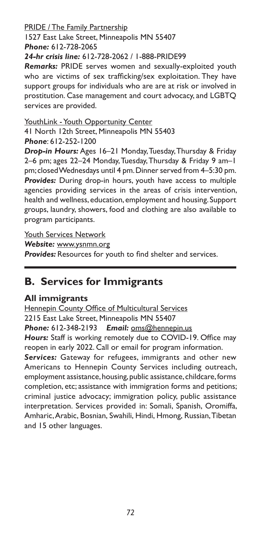#### PRIDE / The Family Partnership 1527 East Lake Street, Minneapolis MN 55407 *Phone:* 612-728-2065 *24-hr crisis line:* 612-728-2062 / 1-888-PRIDE99

*Remarks:* PRIDE serves women and sexually-exploited youth who are victims of sex trafficking/sex exploitation. They have support groups for individuals who are are at risk or involved in prostitution. Case management and court advocacy, and LGBTQ services are provided.

YouthLink - Youth Opportunity Center

41 North 12th Street, Minneapolis MN 55403 *Phone*: 612-252-1200

*Drop-in Hours:* Ages 16–21 Monday, Tuesday, Thursday & Friday 2–6 pm; ages 22–24 Monday, Tuesday, Thursday & Friday 9 am–1 pm; closed Wednesdays until 4 pm. Dinner served from 4–5:30 pm. *Provides:* During drop-in hours, youth have access to multiple agencies providing services in the areas of crisis intervention, health and wellness, education, employment and housing. Support groups, laundry, showers, food and clothing are also available to program participants.

Youth Services Network

*Website:* www.ysnmn.org

**Provides:** Resources for youth to find shelter and services.

# **B. Services for Immigrants**

## **All immigrants**

Hennepin County Office of Multicultural Services 2215 East Lake Street, Minneapolis MN 55407 *Phone:* 612-348-2193 *Email:* oms@hennepin.us *Hours:* Staff is working remotely due to COVID-19. Office may reopen in early 2022. Call or email for program information.

*Services:* Gateway for refugees, immigrants and other new Americans to Hennepin County Services including outreach, employment assistance, housing, public assistance, childcare, forms completion, etc; assistance with immigration forms and petitions; criminal justice advocacy; immigration policy, public assistance interpretation. Services provided in: Somali, Spanish, Oromiffa, Amharic, Arabic, Bosnian, Swahili, Hindi, Hmong, Russian, Tibetan and 15 other languages.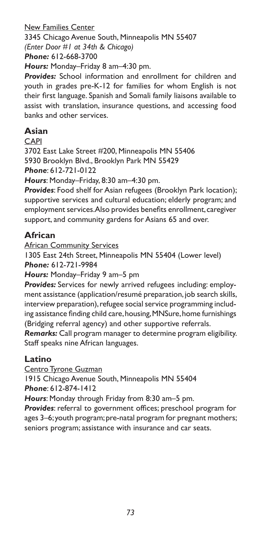New Families Center 3345 Chicago Avenue South, Minneapolis MN 55407 *(Enter Door #1 at 34th & Chicago) Phone:* 612-668-3700

*Hours:* Monday–Friday 8 am–4:30 pm.

*Provides:* School information and enrollment for children and youth in grades pre-K-12 for families for whom English is not their first language. Spanish and Somali family liaisons available to assist with translation, insurance questions, and accessing food banks and other services.

### **Asian**

CAPI

3702 East Lake Street #200, Minneapolis MN 55406 5930 Brooklyn Blvd., Brooklyn Park MN 55429 *Phone*: 612-721-0122

*Hours*: Monday–Friday, 8:30 am–4:30 pm.

*Provides*: Food shelf for Asian refugees (Brooklyn Park location); supportive services and cultural education; elderly program; and employment services. Also provides benefits enrollment, caregiver support, and community gardens for Asians 65 and over.

### **African**

African Community Services

1305 East 24th Street, Minneapolis MN 55404 (Lower level)

*Phone:* 612-721-9984

*Hours:* Monday–Friday 9 am–5 pm

*Provides:* Services for newly arrived refugees including: employment assistance (application/resumé preparation, job search skills, interview preparation), refugee social service programming including assistance finding child care, housing, MNSure, home furnishings (Bridging referral agency) and other supportive referrals.

*Remarks:* Call program manager to determine program eligibility. Staff speaks nine African languages.

#### **Latino**

Centro Tyrone Guzman

1915 Chicago Avenue South, Minneapolis MN 55404 *Phone*: 612-874-1412

*Hours*: Monday through Friday from 8:30 am–5 pm.

*Provides*: referral to government offices; preschool program for ages 3–6; youth program; pre-natal program for pregnant mothers; seniors program; assistance with insurance and car seats.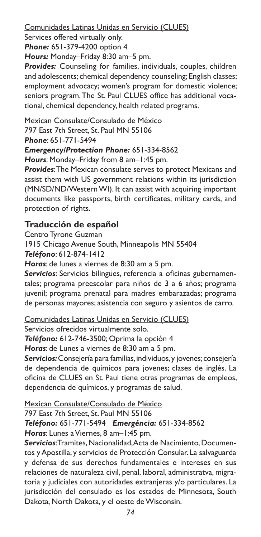#### Comunidades Latinas Unidas en Servicio (CLUES)

Services offered virtually only.

*Phone:* 651-379-4200 option 4

*Hours:* Monday–Friday 8:30 am–5 pm.

*Provides:* Counseling for families, individuals, couples, children and adolescents; chemical dependency counseling; English classes; employment advocacy; women's program for domestic violence; seniors program. The St. Paul CLUES office has additional vocational, chemical dependency, health related programs.

Mexican Consulate/Consulado de México

797 East 7th Street, St. Paul MN 55106

*Phone*: 651-771-5494

#### *Emergency/Protection Phone:* 651-334-8562

*Hours*: Monday–Friday from 8 am–1:45 pm.

*Provides*: The Mexican consulate serves to protect Mexicans and assist them with US government relations within its jurisdiction (MN/SD/ND/Western WI). It can assist with acquiring important documents like passports, birth certificates, military cards, and protection of rights.

### **Traducción de español**

Centro Tyrone Guzman

1915 Chicago Avenue South, Minneapolis MN 55404

*Teléfono*: 612-874-1412

*Horas*: de lunes a viernes de 8:30 am a 5 pm.

*Servicios*: Servicios bilingües, referencia a oficinas gubernamentales; programa preescolar para niños de 3 a 6 años; programa juvenil; programa prenatal para madres embarazadas; programa de personas mayores; asistencia con seguro y asientos de carro.

Comunidades Latinas Unidas en Servicio (CLUES)

Servicios ofrecidos virtualmente solo.

*Teléfono:* 612-746-3500; Oprima la opción 4

*Horas*: de Lunes a viernes de 8:30 am a 5 pm.

*Servicios:* Consejería para familias, individuos, y jovenes; consejería de dependencia de químicos para jovenes; clases de inglés. La oficina de CLUES en St. Paul tiene otras programas de empleos, dependencia de químicos, y programas de salud.

Mexican Consulate/Consulado de México

#### 797 East 7th Street, St. Paul MN 55106

#### *Teléfono:* 651-771-5494 *Emergéncia:* 651-334-8562

*Horas*: Lunes a Viernes, 8 am–1:45 pm.

*Servicios*: Tramites, Nacionalidad, Acta de Nacimiento, Documentos y Apostilla, y servicios de Protección Consular. La salvaguarda y defensa de sus derechos fundamentales e intereses en sus relaciones de naturaleza civil, penal, laboral, administratva, migratoria y judiciales con autoridades extranjeras y/o particulares. La jurisdicción del consulado es los estados de Minnesota, South Dakota, North Dakota, y el oeste de Wisconsin.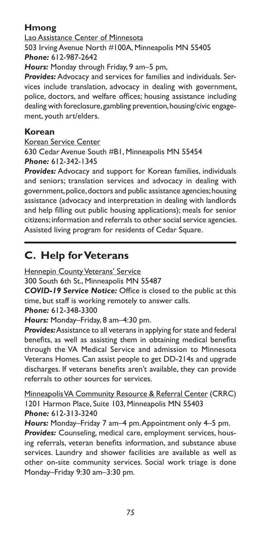### **Hmong**

Lao Assistance Center of Minnesota 503 Irving Avenue North #100A, Minneapolis MN 55405 *Phone:* 612-987-2642

*Hours:* Monday through Friday, 9 am–5 pm,

*Provides:* Advocacy and services for families and individuals. Services include translation, advocacy in dealing with government, police, doctors, and welfare offices; housing assistance including dealing with foreclosure, gambling prevention, housing/civic engagement, youth art/elders.

#### **Korean**

Korean Service Center

630 Cedar Avenue South #B1, Minneapolis MN 55454 *Phone:* 612-342-1345

*Provides:* Advocacy and support for Korean families, individuals and seniors; translation services and advocacy in dealing with government, police, doctors and public assistance agencies; housing assistance (advocacy and interpretation in dealing with landlords and help filling out public housing applications); meals for senior citizens; information and referrals to other social service agencies. Assisted living program for residents of Cedar Square.

# **C. Help for Veterans**

**Hennepin County Veterans' Service** 

300 South 6th St., Minneapolis MN 55487

*COVID-19 Service Notice:* Office is closed to the public at this time, but staff is working remotely to answer calls.

*Phone:* 612-348-3300

*Hours:* Monday–Friday, 8 am–4:30 pm.

*Provides:* Assistance to all veterans in applying for state and federal benefits, as well as assisting them in obtaining medical benefits through the VA Medical Service and admission to Minnesota Veterans Homes. Can assist people to get DD-214s and upgrade discharges. If veterans benefits aren't available, they can provide referrals to other sources for services.

Minneapolis VA Community Resource & Referral Center (CRRC) 1201 Harmon Place, Suite 103, Minneapolis MN 55403 *Phone:* 612-313-3240

*Hours:* Monday–Friday 7 am–4 pm. Appointment only 4–5 pm.

*Provides:* Counseling, medical care, employment services, housing referrals, veteran benefits information, and substance abuse services. Laundry and shower facilities are available as well as other on-site community services. Social work triage is done Monday–Friday 9:30 am–3:30 pm.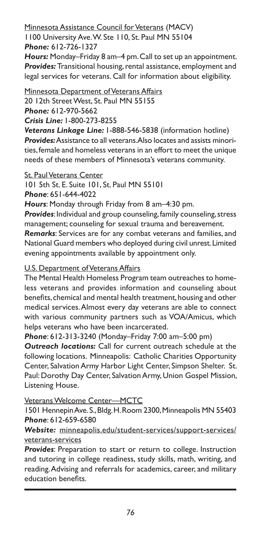### Minnesota Assistance Council for Veterans (MACV)

1100 University Ave. W. Ste 110, St. Paul MN 55104 *Phone:* 612-726-1327

*Hours:* Monday–Friday 8 am–4 pm. Call to set up an appointment. *Provides:* Transitional housing, rental assistance, employment and legal services for veterans. Call for information about eligibility.

Minnesota Department of Veterans Affairs 20 12th Street West, St. Paul MN 55155 *Phone:* 612-970-5662

*Crisis Line:* 1-800-273-8255

*Veterans Linkage Line:* 1-888-546-5838 (information hotline) *Provides:* Assistance to all veterans. Also locates and assists minorities, female and homeless veterans in an effort to meet the unique needs of these members of Minnesota's veterans community.

#### **St. Paul Veterans Center**

101 5th St. E. Suite 101, St. Paul MN 55101

*Phone*: 651-644-4022

*Hours*: Monday through Friday from 8 am–4:30 pm.

*Provides*: Individual and group counseling, family counseling, stress management; counseling for sexual trauma and bereavement.

*Remarks*: Services are for any combat veterans and families, and National Guard members who deployed during civil unrest. Limited evening appointments available by appointment only.

#### U.S. Department of Veterans Affairs

The Mental Health Homeless Program team outreaches to homeless veterans and provides information and counseling about benefits, chemical and mental health treatment, housing and other medical services. Almost every day veterans are able to connect with various community partners such as VOA/Amicus, which helps veterans who have been incarcerated.

*Phone*: 612-313-3240 (Monday–Friday 7:00 am–5:00 pm) *Outreach locations:* Call for current outreach schedule at the following locations. Minneapolis: Catholic Charities Opportunity Center, Salvation Army Harbor Light Center, Simpson Shelter. St. Paul: Dorothy Day Center, Salvation Army, Union Gospel Mission, Listening House.

Veterans Welcome Center—MCTC

1501 Hennepin Ave. S., Bldg. H. Room 2300, Minneapolis MN 55403 *Phone*: 612-659-6580

*Website:* minneapolis.edu/student-services/support-services/ veterans-services

*Provides*: Preparation to start or return to college. Instruction and tutoring in college readiness, study skills, math, writing, and reading. Advising and referrals for academics, career, and military education benefits.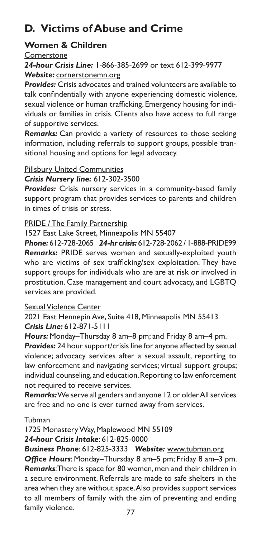# **D. Victims of Abuse and Crime**

#### **Women & Children**

#### Cornerstone

*24-hour Crisis Line:* 1-866-385-2699 or text 612-399-9977 *Website:* cornerstonemn.org

*Provides:* Crisis advocates and trained volunteers are available to talk confindentially with anyone experiencing domestic violence, sexual violence or human trafficking. Emergency housing for individuals or families in crisis. Clients also have access to full range of supportive services.

*Remarks:* Can provide a variety of resources to those seeking information, including referrals to support groups, possible transitional housing and options for legal advocacy.

#### Pillsbury United Communities

#### *Crisis Nursery line:* 612-302-3500

*Provides:* Crisis nursery services in a community-based family support program that provides services to parents and children in times of crisis or stress.

#### PRIDE / The Family Partnership

1527 East Lake Street, Minneapolis MN 55407

*Phone:* 612-728-2065 *24-hr crisis:* 612-728-2062 / 1-888-PRIDE99 *Remarks:* PRIDE serves women and sexually-exploited youth who are victims of sex trafficking/sex exploitation. They have support groups for individuals who are are at risk or involved in prostitution. Case management and court advocacy, and LGBTQ services are provided.

#### Sexual Violence Center

2021 East Hennepin Ave, Suite 418, Minneapolis MN 55413 *Crisis Line:* 612-871-5111

*Hours:* Monday–Thursday 8 am–8 pm; and Friday 8 am–4 pm. *Provides:* 24 hour support/crisis line for anyone affected by sexual violence; advocacy services after a sexual assault, reporting to law enforcement and navigating services; virtual support groups; individual counseling, and education. Reporting to law enforcement not required to receive services.

**Remarks:** We serve all genders and anyone 12 or older. All services are free and no one is ever turned away from services.

#### Tubman

1725 Monastery Way, Maplewood MN 55109

#### *24-hour Crisis Intake*: 612-825-0000

#### *Business Phone*: 612-825-3333 *Website:* www.tubman.org

*Office Hours*: Monday–Thursday 8 am–5 pm; Friday 8 am–3 pm. *Remarks*: There is space for 80 women, men and their children in a secure environment. Referrals are made to safe shelters in the area when they are without space. Also provides support services to all members of family with the aim of preventing and ending family violence.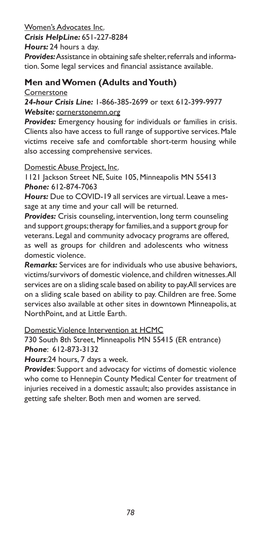Women's Advocates Inc.

*Crisis HelpLine:* 651-227-8284

*Hours:* 24 hours a day.

*Provides:* Assistance in obtaining safe shelter, referrals and information. Some legal services and financial assistance available.

### **Men and Women (Adults and Youth)**

**Cornerstone** 

#### *24-hour Crisis Line:* 1-866-385-2699 or text 612-399-9977 *Website:* cornerstonemn.org

**Provides:** Emergency housing for individuals or families in crisis. Clients also have access to full range of supportive services. Male victims receive safe and comfortable short-term housing while also accessing comprehensive services.

#### Domestic Abuse Project, Inc.

1121 Jackson Street NE, Suite 105, Minneapolis MN 55413 *Phone:* 612-874-7063

*Hours:* Due to COVID-19 all services are virtual. Leave a message at any time and your call will be returned.

*Provides:* Crisis counseling, intervention, long term counseling and support groups; therapy for families, and a support group for veterans. Legal and community advocacy programs are offered, as well as groups for children and adolescents who witness domestic violence.

*Remarks:* Services are for individuals who use abusive behaviors, victims/survivors of domestic violence, and children witnesses. All services are on a sliding scale based on ability to pay. All services are on a sliding scale based on ability to pay. Children are free. Some services also available at other sites in downtown Minneapolis, at NorthPoint, and at Little Earth.

Domestic Violence Intervention at HCMC

730 South 8th Street, Minneapolis MN 55415 (ER entrance) *Phone*: 612-873-3132

*Hours*:24 hours, 7 days a week.

*Provides*: Support and advocacy for victims of domestic violence who come to Hennepin County Medical Center for treatment of injuries received in a domestic assault; also provides assistance in getting safe shelter. Both men and women are served.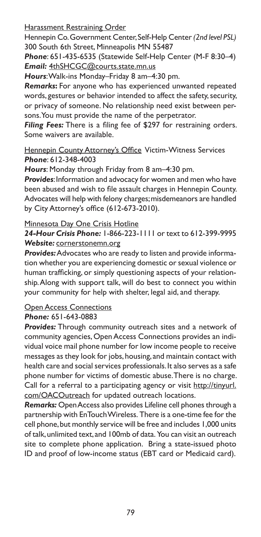Harassment Restraining Order

Hennepin Co. Government Center, Self-Help Center *(2nd level PSL)* 300 South 6th Street, Minneapolis MN 55487

*Phone*: 651-435-6535 (Statewide Self-Help Center (M-F 8:30–4) *Email:* 4thSHCGC@courts.state.mn.us

*Hours*: Walk-ins Monday–Friday 8 am–4:30 pm.

*Remarks***:** For anyone who has experienced unwanted repeated words, gestures or behavior intended to affect the safety, security, or privacy of someone. No relationship need exist between persons. You must provide the name of the perpetrator.

*Filing Fees:* There is a filing fee of \$297 for restraining orders. Some waivers are available.

Hennepin County Attorney's Office Victim-Witness Services *Phone*: 612-348-4003

*Hours*: Monday through Friday from 8 am–4:30 pm.

*Provides*: Information and advocacy for women and men who have been abused and wish to file assault charges in Hennepin County. Advocates will help with felony charges; misdemeanors are handled by City Attorney's office (612-673-2010).

#### Minnesota Day One Crisis Hotline

*24-Hour Crisis Phone:* 1-866-223-1111 or text to 612-399-9995 *Website:* cornerstonemn.org

*Provides:* Advocates who are ready to listen and provide information whether you are experiencing domestic or sexual violence or human trafficking, or simply questioning aspects of your relationship. Along with support talk, will do best to connect you within your community for help with shelter, legal aid, and therapy.

# **Open Access Connections**

#### *Phone:* 651-643-0883

*Provides:* Through community outreach sites and a network of community agencies, Open Access Connections provides an individual voice mail phone number for low income people to receive messages as they look for jobs, housing, and maintain contact with health care and social services professionals. It also serves as a safe phone number for victims of domestic abuse. There is no charge. Call for a referral to a participating agency or visit http://tinyurl. com/OACOutreach for updated outreach locations.

*Remarks:* Open Access also provides Lifeline cell phones through a partnership with EnTouch Wireless. There is a one-time fee for the cell phone, but monthly service will be free and includes 1,000 units of talk, unlimited text, and 100mb of data. You can visit an outreach site to complete phone application. Bring a state-issued photo ID and proof of low-income status (EBT card or Medicaid card).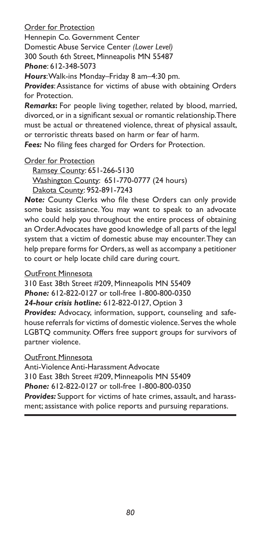Order for Protection

Hennepin Co. Government Center

Domestic Abuse Service Center *(Lower Level)*

300 South 6th Street, Minneapolis MN 55487

*Phone*: 612-348-5073

*Hours*: Walk-ins Monday–Friday 8 am–4:30 pm.

*Provides*: Assistance for victims of abuse with obtaining Orders for Protection.

*Remarks***:** For people living together, related by blood, married, divorced, or in a significant sexual or romantic relationship. There must be actual or threatened violence, threat of physical assault, or terroristic threats based on harm or fear of harm.

*Fees:* No filing fees charged for Orders for Protection.

Order for Protection

Ramsey County: 651-266-5130 Washington County: 651-770-0777 (24 hours) Dakota County: 952-891-7243

*Note:* County Clerks who file these Orders can only provide some basic assistance. You may want to speak to an advocate who could help you throughout the entire process of obtaining an Order. Advocates have good knowledge of all parts of the legal system that a victim of domestic abuse may encounter. They can help prepare forms for Orders, as well as accompany a petitioner to court or help locate child care during court.

#### OutFront Minnesota

310 East 38th Street #209, Minneapolis MN 55409 *Phone:* 612-822-0127 or toll-free 1-800-800-0350 *24-hour crisis hotline:* 612-822-0127, Option 3

*Provides:* Advocacy, information, support, counseling and safehouse referrals for victims of domestic violence. Serves the whole LGBTQ community. Offers free support groups for survivors of partner violence.

#### OutFront Minnesota

Anti-Violence Anti-Harassment Advocate 310 East 38th Street #209, Minneapolis MN 55409 *Phone:* 612-822-0127 or toll-free 1-800-800-0350 *Provides:* Support for victims of hate crimes, assault, and harassment; assistance with police reports and pursuing reparations.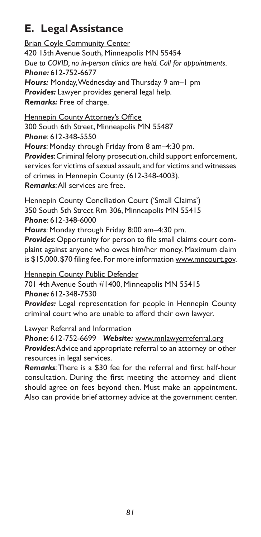# **E. Legal Assistance**

**Brian Coyle Community Center** 420 15th Avenue South, Minneapolis MN 55454 *Due to COVID, no in-person clinics are held. Call for appointments. Phone:* 612-752-6677 *Hours:* Monday, Wednesday and Thursday 9 am–1 pm *Provides:* Lawyer provides general legal help. *Remarks:* Free of charge.

**Hennepin County Attorney's Office** 300 South 6th Street, Minneapolis MN 55487 *Phone*: 612-348-5550 *Hours*: Monday through Friday from 8 am–4:30 pm. *Provides*: Criminal felony prosecution, child support enforcement, services for victims of sexual assault, and for victims and witnesses of crimes in Hennepin County (612-348-4003). *Remarks*: All services are free.

Hennepin County Conciliation Court ('Small Claims') 350 South 5th Street Rm 306, Minneapolis MN 55415 *Phone*: 612-348-6000

*Hours*: Monday through Friday 8:00 am–4:30 pm.

*Provides*: Opportunity for person to file small claims court complaint against anyone who owes him/her money. Maximum claim is \$15,000. \$70 filing fee. For more information www.mncourt.gov.

**Hennepin County Public Defender** 701 4th Avenue South #1400, Minneapolis MN 55415 *Phone:* 612-348-7530

*Provides:* Legal representation for people in Hennepin County criminal court who are unable to afford their own lawyer.

**Lawyer Referral and Information** 

*Phone*: 612-752-6699 *Website:* www.mnlawyerreferral.org *Provides*: Advice and appropriate referral to an attorney or other resources in legal services.

*Remarks*: There is a \$30 fee for the referral and first half-hour consultation. During the first meeting the attorney and client should agree on fees beyond then. Must make an appointment. Also can provide brief attorney advice at the government center.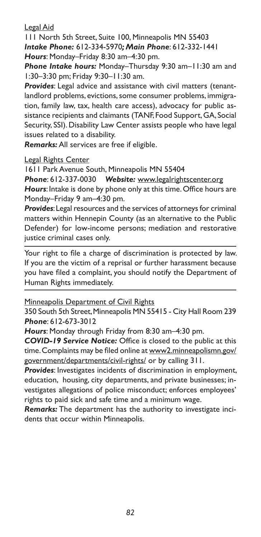Legal Aid

111 North 5th Street, Suite 100, Minneapolis MN 55403 *Intake Phone:* 612-334-5970*; Main Phone*: 612-332-1441 *Hours*: Monday–Friday 8:30 am–4:30 pm.

*Phone Intake hours:* Monday–Thursday 9:30 am–11:30 am and 1:30–3:30 pm; Friday 9:30–11:30 am.

*Provides*: Legal advice and assistance with civil matters (tenantlandlord problems, evictions, some consumer problems, immigration, family law, tax, health care access), advocacy for public assistance recipients and claimants (TANF, Food Support, GA, Social Security, SSI). Disability Law Center assists people who have legal issues related to a disability.

*Remarks:* All services are free if eligible.

Legal Rights Center

1611 Park Avenue South, Minneapolis MN 55404

*Phone*: 612-337-0030 *Website:* www.legalrightscenter.org *Hours*: Intake is done by phone only at this time. Office hours are Monday–Friday 9 am–4:30 pm.

*Provides*: Legal resources and the services of attorneys for criminal matters within Hennepin County (as an alternative to the Public Defender) for low-income persons; mediation and restorative justice criminal cases only.

Your right to file a charge of discrimination is protected by law. If you are the victim of a reprisal or further harassment because you have filed a complaint, you should notify the Department of Human Rights immediately.

Minneapolis Department of Civil Rights

350 South 5th Street, Minneapolis MN 55415 - City Hall Room 239 *Phone*: 612-673-3012

*Hours*: Monday through Friday from 8:30 am–4:30 pm.

*COVID-19 Service Notice:* Office is closed to the public at this time. Complaints may be filed online at www2.minneapolismn.gov/ government/departments/civil-rights/ or by calling 311.

*Provides*: Investigates incidents of discrimination in employment, education, housing, city departments, and private businesses; investigates allegations of police misconduct; enforces employees' rights to paid sick and safe time and a minimum wage.

*Remarks:* The department has the authority to investigate incidents that occur within Minneapolis.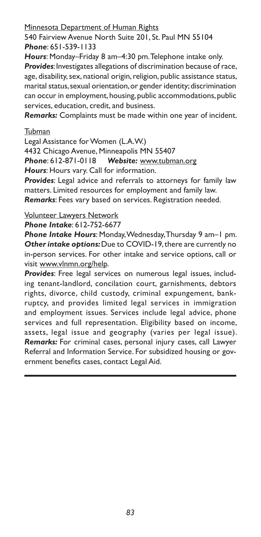Minnesota Department of Human Rights

540 Fairview Avenue North Suite 201, St. Paul MN 55104 *Phone*: 651-539-1133

*Hours*: Monday–Friday 8 am–4:30 pm. Telephone intake only. *Provides*: Investigates allegations of discrimination because of race, age, disability, sex, national origin, religion, public assistance status, marital status, sexual orientation, or gender identity; discrimination can occur in employment, housing, public accommodations, public services, education, credit, and business.

*Remarks:* Complaints must be made within one year of incident.

#### Tubman

Legal Assistance for Women (L.A.W.)

4432 Chicago Avenue, Minneapolis MN 55407

*Phone*: 612-871-0118 *Website:* www.tubman.org

*Hours*: Hours vary. Call for information.

*Provides*: Legal advice and referrals to attorneys for family law matters. Limited resources for employment and family law.

*Remarks*: Fees vary based on services. Registration needed.

### Volunteer Lawyers Network

*Phone Intake*: 612-752-6677

*Phone Intake Hours*: Monday, Wednesday, Thursday 9 am–1 pm. *Other intake options:* Due to COVID-19, there are currently no in-person services. For other intake and service options, call or visit www.vlnmn.org/help.

*Provides*: Free legal services on numerous legal issues, including tenant-landlord, concilation court, garnishments, debtors rights, divorce, child custody, criminal expungement, bankruptcy, and provides limited legal services in immigration and employment issues. Services include legal advice, phone services and full representation. Eligibility based on income, assets, legal issue and geography (varies per legal issue). *Remarks:* For criminal cases, personal injury cases, call Lawyer Referral and Information Service. For subsidized housing or government benefits cases, contact Legal Aid.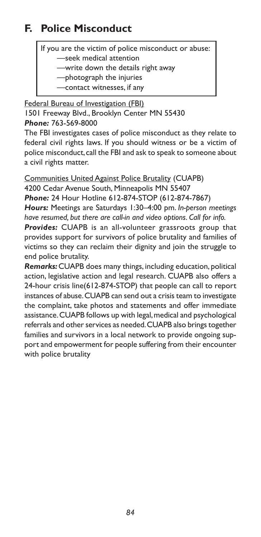# **F. Police Misconduct**

If you are the victim of police misconduct or abuse:

—seek medical attention

—write down the details right away

—photograph the injuries

—contact witnesses, if any

Federal Bureau of Investigation (FBI) 1501 Freeway Blvd., Brooklyn Center MN 55430 *Phone:* 763-569-8000

The FBI investigates cases of police misconduct as they relate to federal civil rights laws. If you should witness or be a victim of police misconduct, call the FBI and ask to speak to someone about a civil rights matter.

Communities United Against Police Brutality (CUAPB) 4200 Cedar Avenue South, Minneapolis MN 55407

*Phone:* 24 Hour Hotline 612-874-STOP (612-874-7867)

*Hours:* Meetings are Saturdays 1:30–4:00 pm. *In-person meetings have resumed, but there are call-in and video options. Call for info.*

*Provides:* CUAPB is an all-volunteer grassroots group that provides support for survivors of police brutality and families of victims so they can reclaim their dignity and join the struggle to end police brutality.

*Remarks:* CUAPB does many things, including education, political action, legislative action and legal research. CUAPB also offers a 24-hour crisis line(612-874-STOP) that people can call to report instances of abuse. CUAPB can send out a crisis team to investigate the complaint, take photos and statements and offer immediate assistance. CUAPB follows up with legal, medical and psychological referrals and other services as needed. CUAPB also brings together families and survivors in a local network to provide ongoing support and empowerment for people suffering from their encounter with police brutality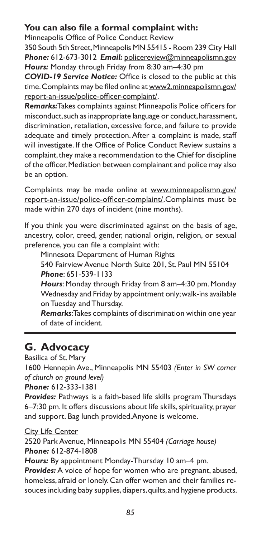### **You can also file a formal complaint with:**

Minneapolis Office of Police Conduct Review

350 South 5th Street, Minneapolis MN 55415 - Room 239 City Hall *Phone:* 612-673-3012 *Email:* policereview@minneapolismn.gov *Hours:* Monday through Friday from 8:30 am–4:30 pm

*COVID-19 Service Notice:* Office is closed to the public at this time. Complaints may be filed online at www2.minneapolismn.gov/ report-an-issue/police-officer-complaint/.

*Remarks:*Takes complaints against Minneapolis Police officers for misconduct, such as inappropriate language or conduct, harassment, discrimination, retaliation, excessive force, and failure to provide adequate and timely protection. After a complaint is made, staff will investigate. If the Office of Police Conduct Review sustains a complaint, they make a recommendation to the Chief for discipline of the officer. Mediation between complainant and police may also be an option.

Complaints may be made online at www.minneapolismn.gov/ report-an-issue/police-officer-complaint/.Complaints must be made within 270 days of incident (nine months).

If you think you were discriminated against on the basis of age, ancestry, color, creed, gender, national origin, religion, or sexual preference, you can file a complaint with:

Minnesota Department of Human Rights

540 Fairview Avenue North Suite 201, St. Paul MN 55104 *Phone*: 651-539-1133

*Hours*: Monday through Friday from 8 am–4:30 pm. Monday Wednesday and Friday by appointment only; walk-ins available on Tuesday and Thursday.

*Remarks*: Takes complaints of discrimination within one year of date of incident.

# **G. Advocacy**

Basilica of St. Mary

1600 Hennepin Ave., Minneapolis MN 55403 *(Enter in SW corner of church on ground level)* 

*Phone:* 612-333-1381

*Provides:* Pathways is a faith-based life skills program Thursdays 6–7:30 pm. It offers discussions about life skills, spirituality, prayer and support. Bag lunch provided.Anyone is welcome.

#### City Life Center

2520 Park Avenue, Minneapolis MN 55404 *(Carriage house) Phone:* 612-874-1808

*Hours:* By appointment Monday-Thursday 10 am–4 pm.

*Provides:* A voice of hope for women who are pregnant, abused, homeless, afraid or lonely. Can offer women and their families resouces including baby supplies, diapers, quilts, and hygiene products.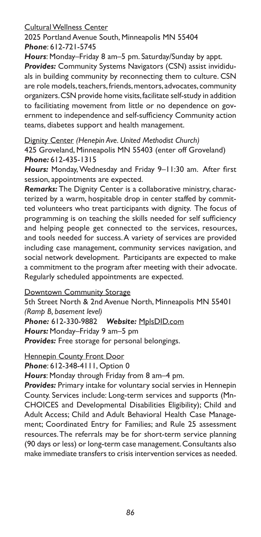#### Cultural Wellness Center

2025 Portland Avenue South, Minneapolis MN 55404 *Phone*: 612-721-5745

*Hours*: Monday–Friday 8 am–5 pm. Saturday/Sunday by appt.

*Provides:* Community Systems Navigators (CSN) assist invididuals in building community by reconnecting them to culture. CSN are role models, teachers, friends, mentors, advocates, community organizers. CSN provide home visits, facilitate self-study in addition to facilitiating movement from little or no dependence on government to independence and self-sufficiency Community action teams, diabetes support and health management.

Dignity Center *(Henepin Ave. United Methodist Church)* 425 Groveland, Minneapolis MN 55403 (enter off Groveland) *Phone:* 612-435-1315

*Hours:* Monday, Wednesday and Friday 9–11:30 am. After first session, appointments are expected.

*Remarks:* The Dignity Center is a collaborative ministry, characterized by a warm, hospitable drop in center staffed by committed volunteers who treat participants with dignity. The focus of programming is on teaching the skills needed for self sufficiency and helping people get connected to the services, resources, and tools needed for success. A variety of services are provided including case management, community services navigation, and social network development. Participants are expected to make a commitment to the program after meeting with their advocate. Regularly scheduled appointments are expected.

**Downtown Community Storage** 

5th Street North & 2nd Avenue North, Minneapolis MN 55401 *(Ramp B, basement level)*

*Phone:* 612-330-9882 *Website:* MplsDID.com

*Hours:* Monday–Friday 9 am–5 pm

*Provides:* Free storage for personal belongings.

**Hennepin County Front Door** 

*Phone*: 612-348-4111, Option 0

*Hours*: Monday through Friday from 8 am–4 pm.

*Provides:* Primary intake for voluntary social servies in Hennepin County. Services include: Long-term services and supports (Mn-CHOICES and Developmental Disabilities Eligibility); Child and Adult Access; Child and Adult Behavioral Health Case Management; Coordinated Entry for Families; and Rule 25 assessment resources. The referrals may be for short-term service planning (90 days or less) or long-term case management. Consultants also make immediate transfers to crisis intervention services as needed.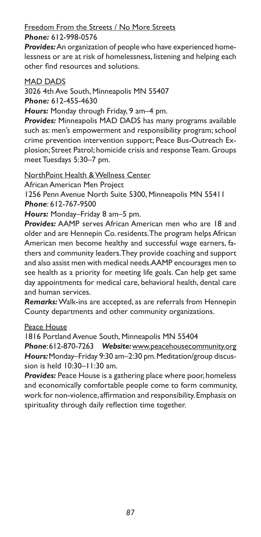#### Freedom From the Streets / No More Streets *Phone:* 612-998-0576

*Provides:* An organization of people who have experienced homelessness or are at risk of homelessness, listening and helping each other find resources and solutions.

#### MAD DADS

3026 4th Ave South, Minneapolis MN 55407

*Phone:* 612-455-4630

*Hours:* Monday through Friday, 9 am–4 pm.

*Provides:* Minneapolis MAD DADS has many programs available such as: men's empowerment and responsibility program; school crime prevention intervention support; Peace Bus-Outreach Explosion; Street Patrol; homicide crisis and response Team. Groups meet Tuesdays 5:30–7 pm.

NorthPoint Health & Wellness Center

African American Men Project

1256 Penn Avenue North Suite 5300, Minneapolis MN 55411 *Phone*: 612-767-9500

*Hours:* Monday–Friday 8 am–5 pm.

*Provides:* AAMP serves African American men who are 18 and older and are Hennepin Co. residents. The program helps African American men become healthy and successful wage earners, fathers and community leaders. They provide coaching and support and also assist men with medical needs. AAMP encourages men to see health as a priority for meeting life goals. Can help get same day appointments for medical care, behavioral health, dental care and human services.

*Remarks:* Walk-ins are accepted, as are referrals from Hennepin County departments and other community organizations.

Peace House

1816 Portland Avenue South, Minneapolis MN 55404

*Phone*: 612-870-7263 *Website:* www.peacehousecommunity.org *Hours:* Monday–Friday 9:30 am–2:30 pm. Meditation/group discussion is held 10:30–11:30 am.

*Provides:* Peace House is a gathering place where poor, homeless and economically comfortable people come to form community, work for non-violence, affirmation and responsibility. Emphasis on spirituality through daily reflection time together.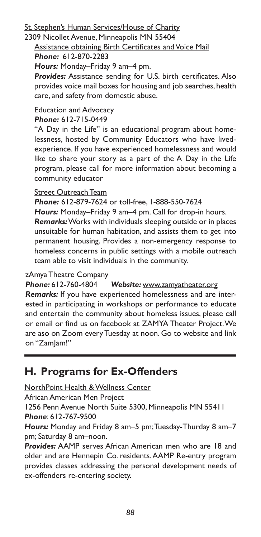#### St. Stephen's Human Services/House of Charity

# 2309 Nicollet Avenue, Minneapolis MN 55404

### Assistance obtaining Birth Certificates and Voice Mail

#### *Phone:* 612-870-2283

*Hours:* Monday–Friday 9 am–4 pm.

*Provides:* Assistance sending for U.S. birth certificates. Also provides voice mail boxes for housing and job searches, health care, and safety from domestic abuse.

# Education and Advocacy

*Phone:* 612-715-0449

"A Day in the Life" is an educational program about homelessness, hosted by Community Educators who have livedexperience. If you have experienced homelessness and would like to share your story as a part of the A Day in the Life program, please call for more information about becoming a community educator

#### Street Outreach Team

*Phone:* 612-879-7624 or toll-free, 1-888-550-7624

*Hours:* Monday–Friday 9 am–4 pm. Call for drop-in hours.

*Remarks:* Works with individuals sleeping outside or in places unsuitable for human habitation, and assists them to get into permanent housing. Provides a non-emergency response to homeless concerns in public settings with a mobile outreach team able to visit individuals in the community.

#### zAmya Theatre Company

*Phone:* 612-760-4804 *Website:* www.zamyatheater.org

*Remarks:* If you have experienced homelessness and are interested in participating in workshops or performance to educate and entertain the community about homeless issues, please call or email or find us on facebook at ZAMYA Theater Project. We are aso on Zoom every Tuesday at noon. Go to website and link on "ZamJam!"

# **H. Programs for Ex-Offenders**

NorthPoint Health & Wellness Center

African American Men Project

1256 Penn Avenue North Suite 5300, Minneapolis MN 55411 *Phone*: 612-767-9500

*Hours:* Monday and Friday 8 am–5 pm; Tuesday-Thurday 8 am–7 pm; Saturday 8 am–noon.

*Provides:* AAMP serves African American men who are 18 and older and are Hennepin Co. residents. AAMP Re-entry program provides classes addressing the personal development needs of ex-offenders re-entering society.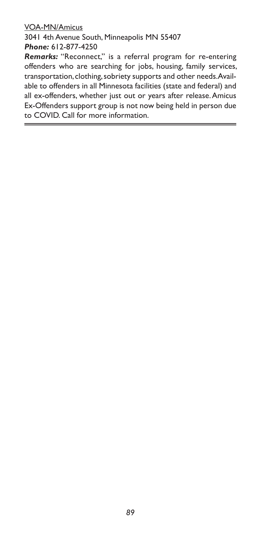#### VOA-MN/Amicus

3041 4th Avenue South, Minneapolis MN 55407 *Phone:* 612-877-4250

*Remarks:* "Reconnect," is a referral program for re-entering offenders who are searching for jobs, housing, family services, transportation, clothing, sobriety supports and other needs. Available to offenders in all Minnesota facilities (state and federal) and all ex-offenders, whether just out or years after release. Amicus Ex-Offenders support group is not now being held in person due to COVID. Call for more information.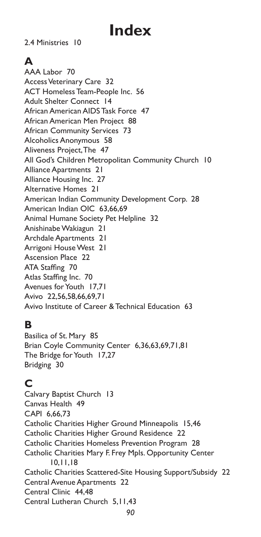# **Index**

2.4 Ministries 10

# **A**

AAA Labor 70 Access Veterinary Care 32 ACT Homeless Team-People Inc. 56 Adult Shelter Connect 14 African American AIDS Task Force 47 African American Men Project 88 African Community Services 73 Alcoholics Anonymous 58 Aliveness Project, The 47 All God's Children Metropolitan Community Church 10 Alliance Apartments 21 Alliance Housing Inc. 27 Alternative Homes 21 American Indian Community Development Corp. 28 American Indian OIC 63,66,69 Animal Humane Society Pet Helpline 32 Anishinabe Wakiagun 21 Archdale Apartments 21 Arrigoni House West 21 Ascension Place 22 ATA Staffing 70 Atlas Staffing Inc. 70 Avenues for Youth 17,71 Avivo 22,56,58,66,69,71 Avivo Institute of Career & Technical Education 63

# **B**

Basilica of St. Mary 85 Brian Coyle Community Center 6,36,63,69,71,81 The Bridge for Youth 17,27 Bridging 30

# **C**

Calvary Baptist Church 13 Canvas Health 49 CAPI 6,66,73 Catholic Charities Higher Ground Minneapolis 15,46 Catholic Charities Higher Ground Residence 22 Catholic Charities Homeless Prevention Program 28 Catholic Charities Mary F. Frey Mpls. Opportunity Center 10,11,18 Catholic Charities Scattered-Site Housing Support/Subsidy 22 Central Avenue Apartments 22 Central Clinic 44,48 Central Lutheran Church 5,11,43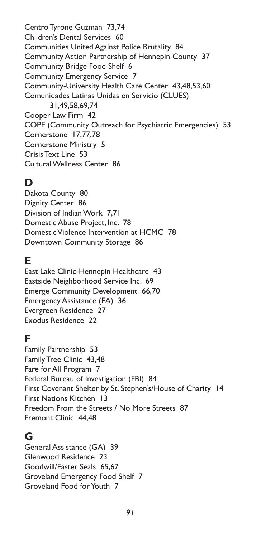Centro Tyrone Guzman 73,74 Children's Dental Services 60 Communities United Against Police Brutality 84 Community Action Partnership of Hennepin County 37 Community Bridge Food Shelf 6 Community Emergency Service 7 Community-University Health Care Center 43,48,53,60 Comunidades Latinas Unidas en Servicio (CLUES) 31,49,58,69,74 Cooper Law Firm 42 COPE (Community Outreach for Psychiatric Emergencies) 53 Cornerstone 17,77,78 Cornerstone Ministry 5 Crisis Text Line 53 Cultural Wellness Center 86

# **D**

Dakota County 80 Dignity Center 86 Division of Indian Work 7,71 Domestic Abuse Project, Inc. 78 Domestic Violence Intervention at HCMC 78 Downtown Community Storage 86

### **E**

East Lake Clinic-Hennepin Healthcare 43 Eastside Neighborhood Service Inc. 69 Emerge Community Development 66,70 Emergency Assistance (EA) 36 Evergreen Residence 27 Exodus Residence 22

# **F**

Family Partnership 53 Family Tree Clinic 43,48 Fare for All Program 7 Federal Bureau of Investigation (FBI) 84 First Covenant Shelter by St. Stephen's/House of Charity 14 First Nations Kitchen 13 Freedom From the Streets / No More Streets 87 Fremont Clinic 44,48

### **G**

General Assistance (GA) 39 Glenwood Residence 23 Goodwill/Easter Seals 65,67 Groveland Emergency Food Shelf 7 Groveland Food for Youth 7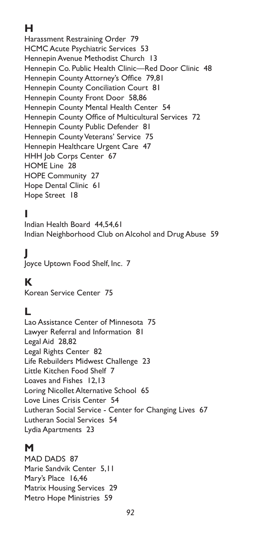# **H**

Harassment Restraining Order 79 HCMC Acute Psychiatric Services 53 Hennepin Avenue Methodist Church 13 Hennepin Co. Public Health Clinic—Red Door Clinic 48 Hennepin County Attorney's Office 79,81 Hennepin County Conciliation Court 81 Hennepin County Front Door 58,86 Hennepin County Mental Health Center 54 Hennepin County Office of Multicultural Services 72 Hennepin County Public Defender 81 Hennepin County Veterans' Service 75 Hennepin Healthcare Urgent Care 47 HHH Job Corps Center 67 HOME Line 28 HOPE Community 27 Hope Dental Clinic 61 Hope Street 18

# **I**

Indian Health Board 44,54,61 Indian Neighborhood Club on Alcohol and Drug Abuse 59

# **J**

Joyce Uptown Food Shelf, Inc. 7

# **K**

Korean Service Center 75

### **L**

Lao Assistance Center of Minnesota 75 Lawyer Referral and Information 81 Legal Aid 28,82 Legal Rights Center 82 Life Rebuilders Midwest Challenge 23 Little Kitchen Food Shelf 7 Loaves and Fishes 12,13 Loring Nicollet Alternative School 65 Love Lines Crisis Center 54 Lutheran Social Service - Center for Changing Lives 67 Lutheran Social Services 54 Lydia Apartments 23

### **M**

MAD DADS 87 Marie Sandvik Center 5,11 Mary's Place 16,46 Matrix Housing Services 29 Metro Hope Ministries 59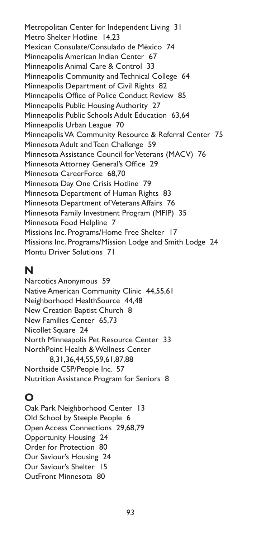Metropolitan Center for Independent Living 31 Metro Shelter Hotline 14,23 Mexican Consulate/Consulado de México 74 Minneapolis American Indian Center 67 Minneapolis Animal Care & Control 33 Minneapolis Community and Technical College 64 Minneapolis Department of Civil Rights 82 Minneapolis Office of Police Conduct Review 85 Minneapolis Public Housing Authority 27 Minneapolis Public Schools Adult Education 63,64 Minneapolis Urban League 70 Minneapolis VA Community Resource & Referral Center 75 Minnesota Adult and Teen Challenge 59 Minnesota Assistance Council for Veterans (MACV) 76 Minnesota Attorney General's Office 29 Minnesota CareerForce 68,70 Minnesota Day One Crisis Hotline 79 Minnesota Department of Human Rights 83 Minnesota Department of Veterans Affairs 76 Minnesota Family Investment Program (MFIP) 35 Minnesota Food Helpline 7 Missions Inc. Programs/Home Free Shelter 17 Missions Inc. Programs/Mission Lodge and Smith Lodge 24 Montu Driver Solutions 71

### **N**

Narcotics Anonymous 59 Native American Community Clinic 44,55,61 Neighborhood HealthSource 44,48 New Creation Baptist Church 8 New Families Center 65,73 Nicollet Square 24 North Minneapolis Pet Resource Center 33 NorthPoint Health & Wellness Center 8,31,36,44,55,59,61,87,88 Northside CSP/People Inc. 57 Nutrition Assistance Program for Seniors 8

# **O**

Oak Park Neighborhood Center 13 Old School by Steeple People 6 Open Access Connections 29,68,79 Opportunity Housing 24 Order for Protection 80 Our Saviour's Housing 24 Our Saviour's Shelter 15 OutFront Minnesota 80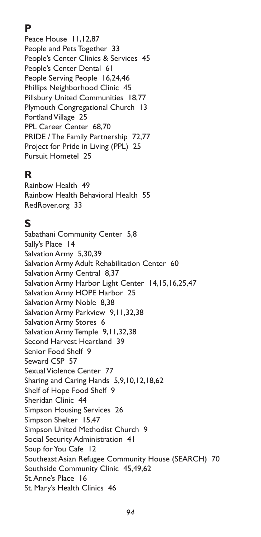# **P**

Peace House 11,12,87 People and Pets Together 33 People's Center Clinics & Services 45 People's Center Dental 61 People Serving People 16,24,46 Phillips Neighborhood Clinic 45 Pillsbury United Communities 18,77 Plymouth Congregational Church 13 Portland Village 25 PPL Career Center 68,70 PRIDE / The Family Partnership 72,77 Project for Pride in Living (PPL) 25 Pursuit Hometel 25

# **R**

Rainbow Health 49 Rainbow Health Behavioral Health 55 RedRover.org 33

### **S**

Sabathani Community Center 5,8 Sally's Place 14 Salvation Army 5,30,39 Salvation Army Adult Rehabilitation Center 60 Salvation Army Central 8,37 Salvation Army Harbor Light Center 14,15,16,25,47 Salvation Army HOPE Harbor 25 Salvation Army Noble 8,38 Salvation Army Parkview 9,11,32,38 Salvation Army Stores 6 Salvation Army Temple 9,11,32,38 Second Harvest Heartland 39 Senior Food Shelf 9 Seward CSP 57 Sexual Violence Center 77 Sharing and Caring Hands 5,9,10,12,18,62 Shelf of Hope Food Shelf 9 Sheridan Clinic 44 Simpson Housing Services 26 Simpson Shelter 15,47 Simpson United Methodist Church 9 Social Security Administration 41 Soup for You Cafe 12 Southeast Asian Refugee Community House (SEARCH) 70 Southside Community Clinic 45,49,62 St. Anne's Place 16 St. Mary's Health Clinics 46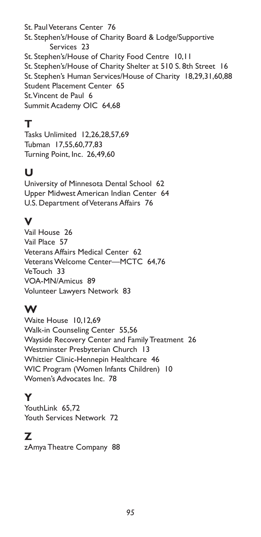St. Paul Veterans Center 76 St. Stephen's/House of Charity Board & Lodge/Supportive Services 23 St. Stephen's/House of Charity Food Centre 10,11 St. Stephen's/House of Charity Shelter at 510 S. 8th Street 16 St. Stephen's Human Services/House of Charity 18,29,31,60,88 Student Placement Center 65 St. Vincent de Paul 6 Summit Academy OIC 64,68

# **T**

Tasks Unlimited 12,26,28,57,69 Tubman 17,55,60,77,83 Turning Point, Inc. 26,49,60

# **U**

University of Minnesota Dental School 62 Upper Midwest American Indian Center 64 U.S. Department of Veterans Affairs 76

# **V**

Vail House 26 Vail Place 57 Veterans Affairs Medical Center 62 Veterans Welcome Center—MCTC 64,76 VeTouch 33 VOA-MN/Amicus 89 Volunteer Lawyers Network 83

# **W**

Waite House 10,12,69 Walk-in Counseling Center 55,56 Wayside Recovery Center and Family Treatment 26 Westminster Presbyterian Church 13 Whittier Clinic-Hennepin Healthcare 46 WIC Program (Women Infants Children) 10 Women's Advocates Inc. 78

# **Y**

YouthLink 65,72 Youth Services Network 72

# **Z**

zAmya Theatre Company 88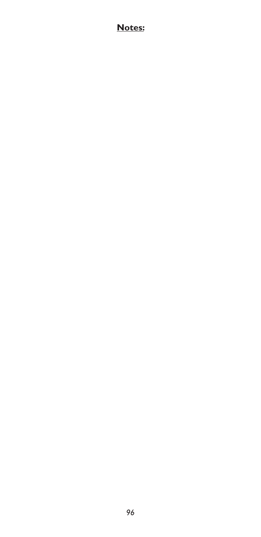### **Notes:**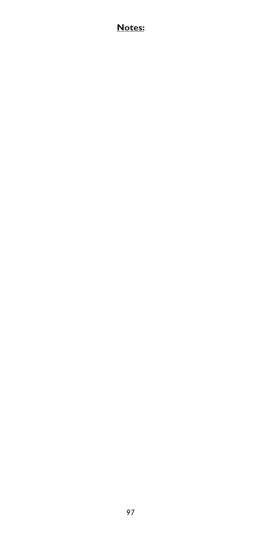### **Notes:**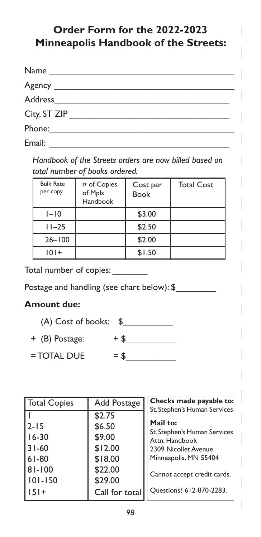# **Order Form for the 2022-2023 Minneapolis Handbook of the Streets:**

| Name         | <u> The Communication of the Communication of the Communication of the Communication of the Communication of the Communication of the Communication of the Communication of the Communication of the Communication of the Commun</u> |  |  |
|--------------|--------------------------------------------------------------------------------------------------------------------------------------------------------------------------------------------------------------------------------------|--|--|
|              |                                                                                                                                                                                                                                      |  |  |
|              |                                                                                                                                                                                                                                      |  |  |
| City, ST ZIP |                                                                                                                                                                                                                                      |  |  |
| Phone: 2008  |                                                                                                                                                                                                                                      |  |  |
| Email:       |                                                                                                                                                                                                                                      |  |  |

*Handbook of the Streets orders are now billed based on total number of books ordered.*

| <b>Bulk Rate</b><br>per copy | # of Copies<br>of Mpls<br>Handbook | Cost per<br><b>Book</b> | <b>Total Cost</b> |
|------------------------------|------------------------------------|-------------------------|-------------------|
| $I-I0$                       |                                    | \$3.00                  |                   |
| $11 - 25$                    |                                    | \$2.50                  |                   |
| $26 - 100$                   |                                    | \$2.00                  |                   |
| $101+$                       |                                    | \$1.50                  |                   |

Total number of copies:

Postage and handling (see chart below): \$

#### **Amount due:**

| $(A)$ Cost of books: $\$$ |      |  |
|---------------------------|------|--|
| + (B) Postage:            | $+5$ |  |

 $=$  TOTAL DUE  $=$  \$

| Total Copies                                              | Add Postage                                                            | Checks made payable to:                                                                                                                                                    |  |  |
|-----------------------------------------------------------|------------------------------------------------------------------------|----------------------------------------------------------------------------------------------------------------------------------------------------------------------------|--|--|
| $12 - 15$<br>16-30<br>31-60<br>61-80<br>81-100<br>101-150 | \$2.75<br>\$6.50<br>\$9.00<br>\$12.00<br>\$18.00<br>\$22.00<br>\$29.00 | St. Stephen's Human Services<br>Mail to:<br>St. Stephen's Human Services<br>Attn: Handbook<br>2309 Nicollet Avenue<br>Minneapolis, MN 55404<br>Cannot accept credit cards. |  |  |
| 1151+                                                     | Call for total                                                         | Ouestions? 612-870-2283.                                                                                                                                                   |  |  |